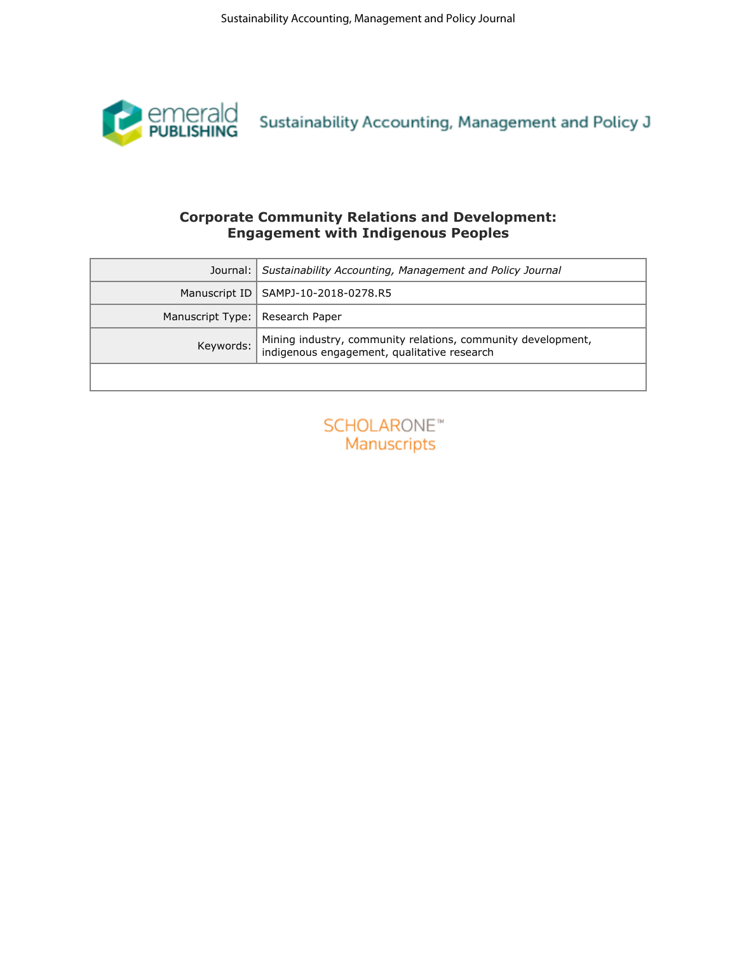

# **Corporate Community Relations and Development: Engagement with Indigenous Peoples**

| emerald<br>PUBLISHING<br><b>Corporate Community Relations and Development:</b><br><b>Engagement with Indigenous Peoples</b><br>Journal:<br>Sustainability Accounting, Management and Policy Journal<br>Manuscript ID<br>SAMPJ-10-2018-0278.R5<br>Manuscript Type:<br>Research Paper<br>Keywords:<br>indigenous engagement, qualitative research<br><b>SCHOLARONE™</b><br>Manuscripts | Sustainability Accounting, Management and Policy J<br>Mining industry, community relations, community development, |  | Sustainability Accounting, Management and Policy Journal |
|--------------------------------------------------------------------------------------------------------------------------------------------------------------------------------------------------------------------------------------------------------------------------------------------------------------------------------------------------------------------------------------|--------------------------------------------------------------------------------------------------------------------|--|----------------------------------------------------------|
|                                                                                                                                                                                                                                                                                                                                                                                      |                                                                                                                    |  |                                                          |
|                                                                                                                                                                                                                                                                                                                                                                                      |                                                                                                                    |  |                                                          |
|                                                                                                                                                                                                                                                                                                                                                                                      |                                                                                                                    |  |                                                          |
|                                                                                                                                                                                                                                                                                                                                                                                      |                                                                                                                    |  |                                                          |
|                                                                                                                                                                                                                                                                                                                                                                                      |                                                                                                                    |  |                                                          |
|                                                                                                                                                                                                                                                                                                                                                                                      |                                                                                                                    |  |                                                          |
|                                                                                                                                                                                                                                                                                                                                                                                      |                                                                                                                    |  |                                                          |

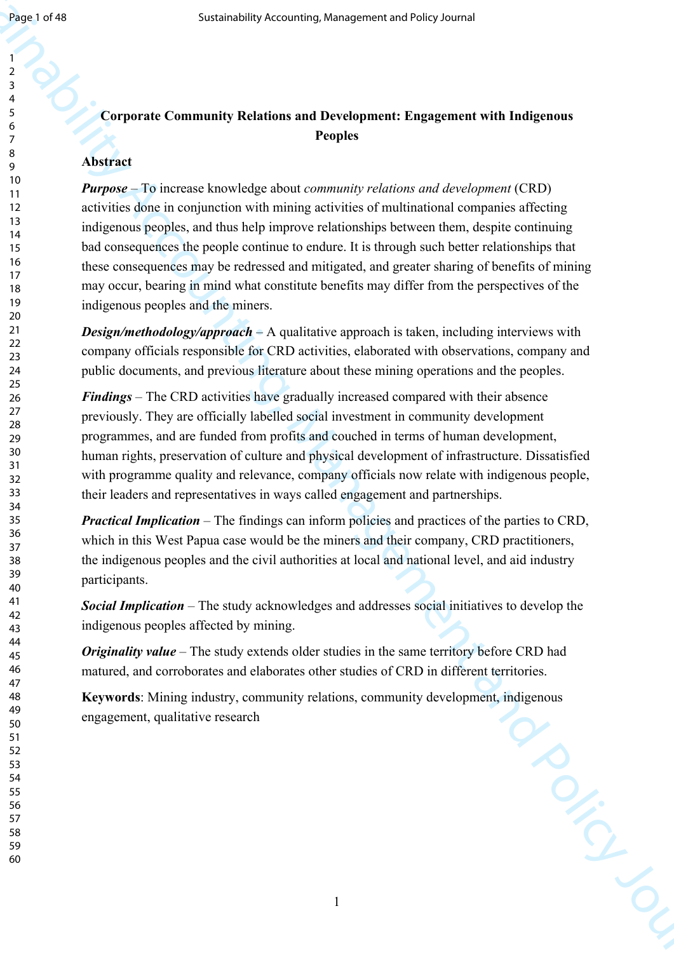#### 

# **Corporate Community Relations and Development: Engagement with Indigenous Peoples**

# **Abstract**

Sustainability Accounting, Management and Hersencontroller, sounding<br>
Surface Comparison (Schement Benderster Metallien and Policy Journal of the Integration (SD)<br>
A Northern Progress Constrained Comparison (SD)<br>
The Mana *Purpose* – To increase knowledge about *community relations and development* (CRD) activities done in conjunction with mining activities of multinational companies affecting indigenous peoples, and thus help improve relationships between them, despite continuing bad consequences the people continue to endure. It is through such better relationships that these consequences may be redressed and mitigated, and greater sharing of benefits of mining may occur, bearing in mind what constitute benefits may differ from the perspectives of the indigenous peoples and the miners.

*Design/methodology/approach* – A qualitative approach is taken, including interviews with company officials responsible for CRD activities, elaborated with observations, company and public documents, and previous literature about these mining operations and the peoples.

*Findings* – The CRD activities have gradually increased compared with their absence previously. They are officially labelled social investment in community development programmes, and are funded from profits and couched in terms of human development, human rights, preservation of culture and physical development of infrastructure. Dissatisfied with programme quality and relevance, company officials now relate with indigenous people, their leaders and representatives in ways called engagement and partnerships.

*Practical Implication* – The findings can inform policies and practices of the parties to CRD, which in this West Papua case would be the miners and their company, CRD practitioners, the indigenous peoples and the civil authorities at local and national level, and aid industry participants.

*Social Implication* – The study acknowledges and addresses social initiatives to develop the indigenous peoples affected by mining.

*Originality value* – The study extends older studies in the same territory before CRD had matured, and corroborates and elaborates other studies of CRD in different territories.

**Keywords**: Mining industry, community relations, community development, indigenous engagement, qualitative research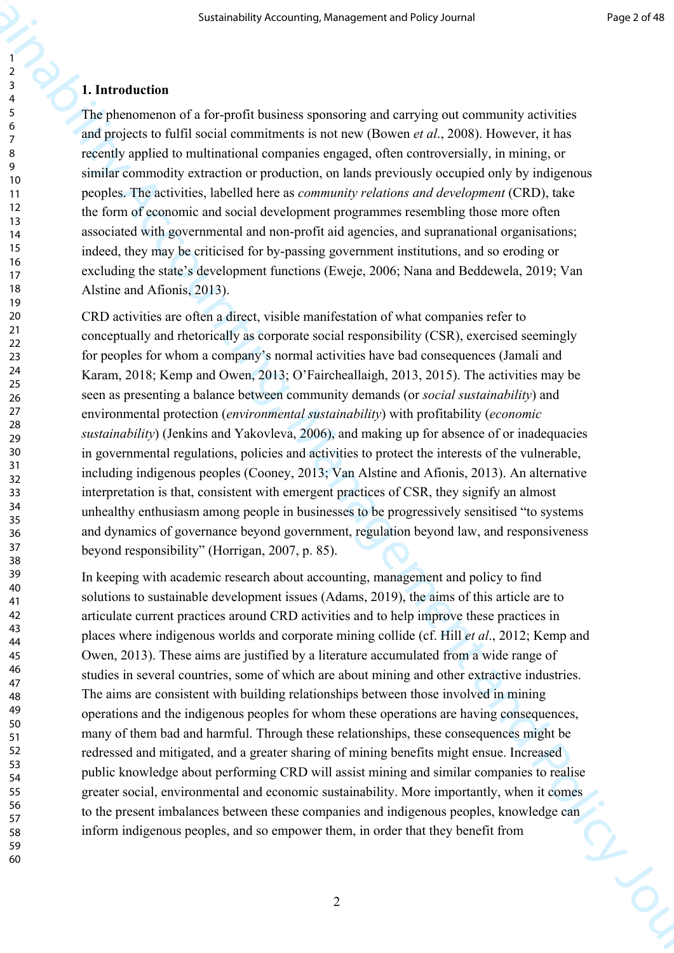#### **1. Introduction**

The phenomenon of a for-profit business sponsoring and carrying out community activities and projects to fulfil social commitments is not new (Bowen *et al*., 2008). However, it has recently applied to multinational companies engaged, often controversially, in mining, or similar commodity extraction or production, on lands previously occupied only by indigenous peoples. The activities, labelled here as *community relations and development* (CRD), take the form of economic and social development programmes resembling those more often associated with governmental and non-profit aid agencies, and supranational organisations; indeed, they may be criticised for by-passing government institutions, and so eroding or excluding the state's development functions (Eweje, 2006; Nana and Beddewela, 2019; Van Alstine and Afionis, 2013).

CRD activities are often a direct, visible manifestation of what companies refer to conceptually and rhetorically as corporate social responsibility (CSR), exercised seemingly for peoples for whom a company's normal activities have bad consequences (Jamali and Karam, 2018; Kemp and Owen, 2013; O'Faircheallaigh, 2013, 2015). The activities may be seen as presenting a balance between community demands (or *social sustainability*) and environmental protection (*environmental sustainability*) with profitability (*economic sustainability*) (Jenkins and Yakovleva, 2006), and making up for absence of or inadequacies in governmental regulations, policies and activities to protect the interests of the vulnerable, including indigenous peoples (Cooney, 2013; Van Alstine and Afionis, 2013). An alternative interpretation is that, consistent with emergent practices of CSR, they signify an almost unhealthy enthusiasm among people in businesses to be progressively sensitised "to systems and dynamics of governance beyond government, regulation beyond law, and responsiveness beyond responsibility" (Horrigan, 2007, p. 85).

Sustainability Accounting, Management and the ysterial research of the specific controller in the policy of the policy of the specific controller in the specific controller in the specific controller in the specific contr In keeping with academic research about accounting, management and policy to find solutions to sustainable development issues (Adams, 2019), the aims of this article are to articulate current practices around CRD activities and to help improve these practices in places where indigenous worlds and corporate mining collide (cf. Hill *et al*., 2012; Kemp and Owen, 2013). These aims are justified by a literature accumulated from a wide range of studies in several countries, some of which are about mining and other extractive industries. The aims are consistent with building relationships between those involved in mining operations and the indigenous peoples for whom these operations are having consequences, many of them bad and harmful. Through these relationships, these consequences might be redressed and mitigated, and a greater sharing of mining benefits might ensue. Increased public knowledge about performing CRD will assist mining and similar companies to realise greater social, environmental and economic sustainability. More importantly, when it comes to the present imbalances between these companies and indigenous peoples, knowledge can inform indigenous peoples, and so empower them, in order that they benefit from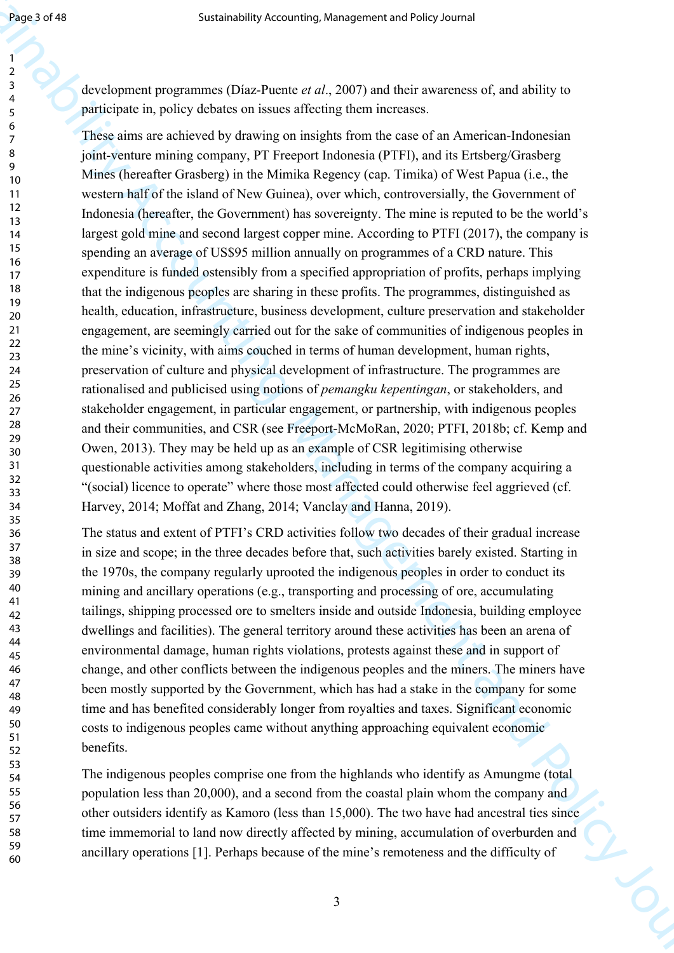> 59 60

development programmes (Díaz-Puente *et al*., 2007) and their awareness of, and ability to participate in, policy debates on issues affecting them increases.

Sustainability Accounting, Management and Sustainability Accounting the spectral of each of the spectral of the spectral of the spectral of the spectral of the spectral of the spectral of the spectral of the spectral of t These aims are achieved by drawing on insights from the case of an American-Indonesian joint-venture mining company, PT Freeport Indonesia (PTFI), and its Ertsberg/Grasberg Mines (hereafter Grasberg) in the Mimika Regency (cap. Timika) of West Papua (i.e., the western half of the island of New Guinea), over which, controversially, the Government of Indonesia (hereafter, the Government) has sovereignty. The mine is reputed to be the world's largest gold mine and second largest copper mine. According to PTFI (2017), the company is spending an average of US\$95 million annually on programmes of a CRD nature. This expenditure is funded ostensibly from a specified appropriation of profits, perhaps implying that the indigenous peoples are sharing in these profits. The programmes, distinguished as health, education, infrastructure, business development, culture preservation and stakeholder engagement, are seemingly carried out for the sake of communities of indigenous peoples in the mine's vicinity, with aims couched in terms of human development, human rights, preservation of culture and physical development of infrastructure. The programmes are rationalised and publicised using notions of *pemangku kepentingan*, or stakeholders, and stakeholder engagement, in particular engagement, or partnership, with indigenous peoples and their communities, and CSR (see Freeport-McMoRan, 2020; PTFI, 2018b; cf. Kemp and Owen, 2013). They may be held up as an example of CSR legitimising otherwise questionable activities among stakeholders, including in terms of the company acquiring a "(social) licence to operate" where those most affected could otherwise feel aggrieved (cf. Harvey, 2014; Moffat and Zhang, 2014; Vanclay and Hanna, 2019).

The status and extent of PTFI's CRD activities follow two decades of their gradual increase in size and scope; in the three decades before that, such activities barely existed. Starting in the 1970s, the company regularly uprooted the indigenous peoples in order to conduct its mining and ancillary operations (e.g., transporting and processing of ore, accumulating tailings, shipping processed ore to smelters inside and outside Indonesia, building employee dwellings and facilities). The general territory around these activities has been an arena of environmental damage, human rights violations, protests against these and in support of change, and other conflicts between the indigenous peoples and the miners. The miners have been mostly supported by the Government, which has had a stake in the company for some time and has benefited considerably longer from royalties and taxes. Significant economic costs to indigenous peoples came without anything approaching equivalent economic benefits.

The indigenous peoples comprise one from the highlands who identify as Amungme (total population less than 20,000), and a second from the coastal plain whom the company and other outsiders identify as Kamoro (less than 15,000). The two have had ancestral ties since time immemorial to land now directly affected by mining, accumulation of overburden and ancillary operations [1]. Perhaps because of the mine's remoteness and the difficulty of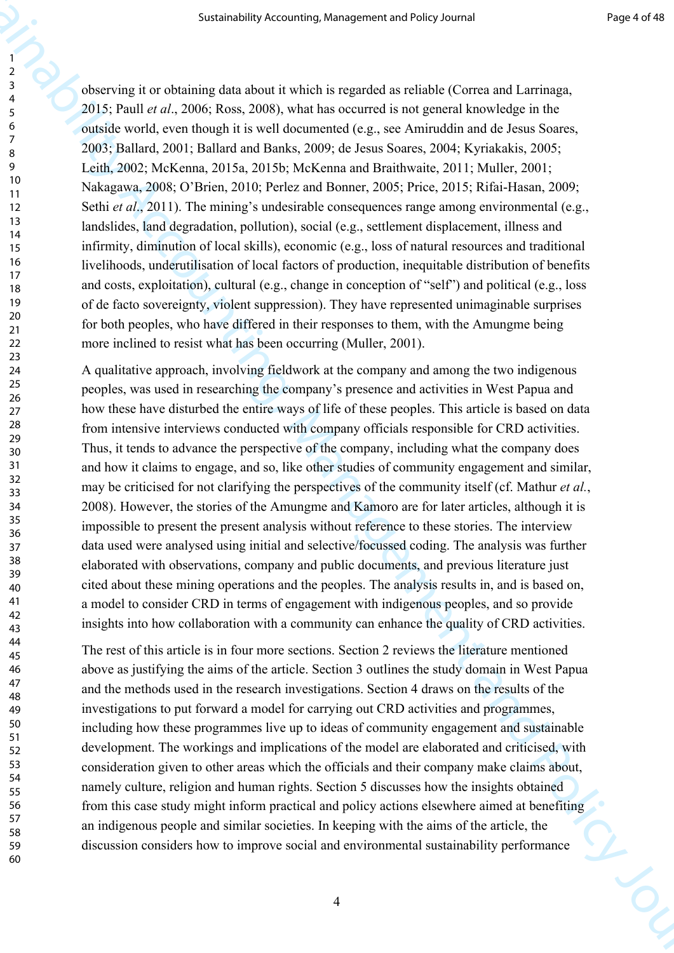observing it or obtaining data about it which is regarded as reliable (Correa and Larrinaga, 2015; Paull *et al*., 2006; Ross, 2008), what has occurred is not general knowledge in the outside world, even though it is well documented (e.g., see Amiruddin and de Jesus Soares, 2003; Ballard, 2001; Ballard and Banks, 2009; de Jesus Soares, 2004; Kyriakakis, 2005; Leith, 2002; McKenna, 2015a, 2015b; McKenna and Braithwaite, 2011; Muller, 2001; Nakagawa, 2008; O'Brien, 2010; Perlez and Bonner, 2005; Price, 2015; Rifai-Hasan, 2009; Sethi *et al.*, 2011). The mining's undesirable consequences range among environmental (e.g., landslides, land degradation, pollution), social (e.g., settlement displacement, illness and infirmity, diminution of local skills), economic (e.g., loss of natural resources and traditional livelihoods, underutilisation of local factors of production, inequitable distribution of benefits and costs, exploitation), cultural (e.g., change in conception of "self") and political (e.g., loss of de facto sovereignty, violent suppression). They have represented unimaginable surprises for both peoples, who have differed in their responses to them, with the Amungme being more inclined to resist what has been occurring (Muller, 2001).

Sustainability Accounting, Management and Folio Correlation and Theoretical Correlation (1993). Then I on 2008, I (A)  $\approx$  300, I (A)  $\approx$  300, I (A)  $\approx$  300, I (A)  $\approx$  300, I (A)  $\approx$  300, I (A)  $\approx$  300, I (A)  $\approx$  30 A qualitative approach, involving fieldwork at the company and among the two indigenous peoples, was used in researching the company's presence and activities in West Papua and how these have disturbed the entire ways of life of these peoples. This article is based on data from intensive interviews conducted with company officials responsible for CRD activities. Thus, it tends to advance the perspective of the company, including what the company does and how it claims to engage, and so, like other studies of community engagement and similar, may be criticised for not clarifying the perspectives of the community itself (cf. Mathur *et al.*, 2008). However, the stories of the Amungme and Kamoro are for later articles, although it is impossible to present the present analysis without reference to these stories. The interview data used were analysed using initial and selective/focussed coding. The analysis was further elaborated with observations, company and public documents, and previous literature just cited about these mining operations and the peoples. The analysis results in, and is based on, a model to consider CRD in terms of engagement with indigenous peoples, and so provide insights into how collaboration with a community can enhance the quality of CRD activities.

The rest of this article is in four more sections. Section 2 reviews the literature mentioned above as justifying the aims of the article. Section 3 outlines the study domain in West Papua and the methods used in the research investigations. Section 4 draws on the results of the investigations to put forward a model for carrying out CRD activities and programmes, including how these programmes live up to ideas of community engagement and sustainable development. The workings and implications of the model are elaborated and criticised, with consideration given to other areas which the officials and their company make claims about, namely culture, religion and human rights. Section 5 discusses how the insights obtained from this case study might inform practical and policy actions elsewhere aimed at benefiting an indigenous people and similar societies. In keeping with the aims of the article, the discussion considers how to improve social and environmental sustainability performance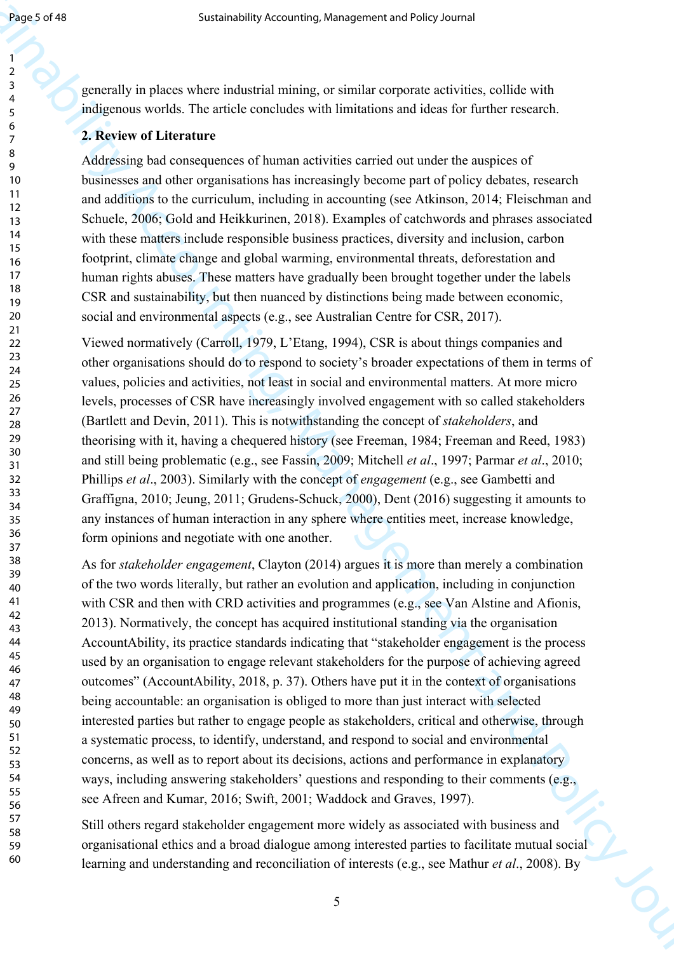60

generally in places where industrial mining, or similar corporate activities, collide with indigenous worlds. The article concludes with limitations and ideas for further research.

## **2. Review of Literature**

Addressing bad consequences of human activities carried out under the auspices of businesses and other organisations has increasingly become part of policy debates, research and additions to the curriculum, including in accounting (see Atkinson, 2014; Fleischman and Schuele, 2006; Gold and Heikkurinen, 2018). Examples of catchwords and phrases associated with these matters include responsible business practices, diversity and inclusion, carbon footprint, climate change and global warming, environmental threats, deforestation and human rights abuses. These matters have gradually been brought together under the labels CSR and sustainability, but then nuanced by distinctions being made between economic, social and environmental aspects (e.g., see Australian Centre for CSR, 2017).

Viewed normatively (Carroll, 1979, L'Etang, 1994), CSR is about things companies and other organisations should do to respond to society's broader expectations of them in terms of values, policies and activities, not least in social and environmental matters. At more micro levels, processes of CSR have increasingly involved engagement with so called stakeholders (Bartlett and Devin, 2011). This is notwithstanding the concept of *stakeholders*, and theorising with it, having a chequered history (see Freeman, 1984; Freeman and Reed, 1983) and still being problematic (e.g., see Fassin, 2009; Mitchell *et al*., 1997; Parmar *et al*., 2010; Phillips *et al*., 2003). Similarly with the concept of *engagement* (e.g., see Gambetti and Graffigna, 2010; Jeung, 2011; Grudens-Schuck, 2000), Dent (2016) suggesting it amounts to any instances of human interaction in any sphere where entities meet, increase knowledge, form opinions and negotiate with one another.

Space of the statement of the statement and the statement and the statement and the statement and the statement and the statement and the statement and the statement and the statement and the statement and the statement a As for *stakeholder engagement*, Clayton (2014) argues it is more than merely a combination of the two words literally, but rather an evolution and application, including in conjunction with CSR and then with CRD activities and programmes (e.g., see Van Alstine and Afionis, 2013). Normatively, the concept has acquired institutional standing via the organisation AccountAbility, its practice standards indicating that "stakeholder engagement is the process used by an organisation to engage relevant stakeholders for the purpose of achieving agreed outcomes" (AccountAbility, 2018, p. 37). Others have put it in the context of organisations being accountable: an organisation is obliged to more than just interact with selected interested parties but rather to engage people as stakeholders, critical and otherwise, through a systematic process, to identify, understand, and respond to social and environmental concerns, as well as to report about its decisions, actions and performance in explanatory ways, including answering stakeholders' questions and responding to their comments (e.g., see Afreen and Kumar, 2016; Swift, 2001; Waddock and Graves, 1997).

Still others regard stakeholder engagement more widely as associated with business and organisational ethics and a broad dialogue among interested parties to facilitate mutual social learning and understanding and reconciliation of interests (e.g., see Mathur *et al*., 2008). By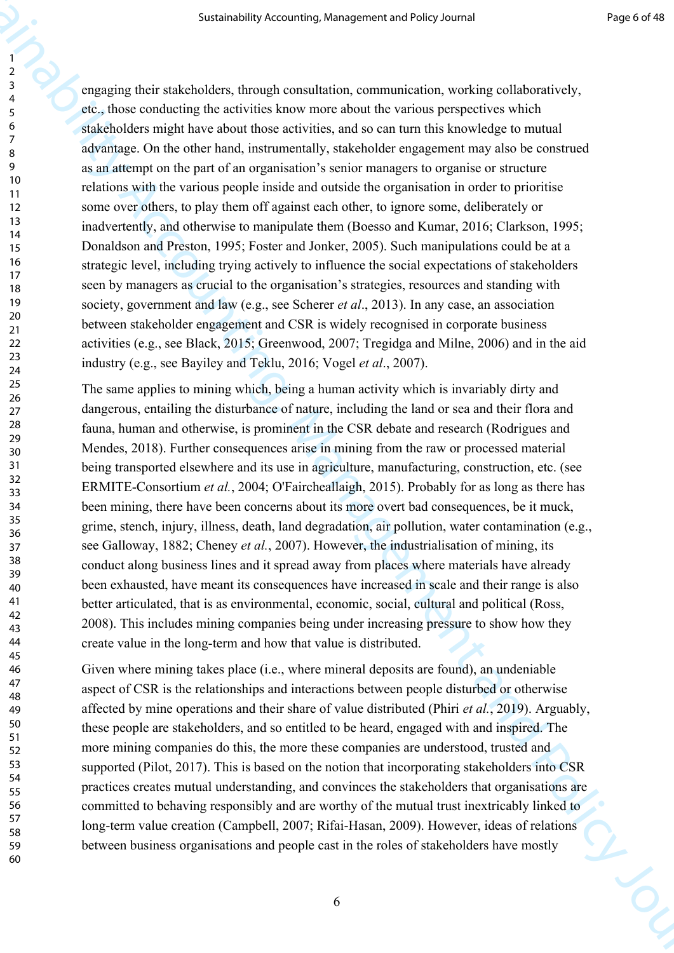Sustainability Accounting, Management and Policy Journal Properties Associates (accounting the subsect of the subsect of the subsect of the subsect of the subsect of the subsect of the subsect of the subsect of the subsec engaging their stakeholders, through consultation, communication, working collaboratively, etc., those conducting the activities know more about the various perspectives which stakeholders might have about those activities, and so can turn this knowledge to mutual advantage. On the other hand, instrumentally, stakeholder engagement may also be construed as an attempt on the part of an organisation's senior managers to organise or structure relations with the various people inside and outside the organisation in order to prioritise some over others, to play them off against each other, to ignore some, deliberately or inadvertently, and otherwise to manipulate them (Boesso and Kumar, 2016; Clarkson, 1995; Donaldson and Preston, 1995; Foster and Jonker, 2005). Such manipulations could be at a strategic level, including trying actively to influence the social expectations of stakeholders seen by managers as crucial to the organisation's strategies, resources and standing with society, government and law (e.g., see Scherer *et al*., 2013). In any case, an association between stakeholder engagement and CSR is widely recognised in corporate business activities (e.g., see Black, 2015; Greenwood, 2007; Tregidga and Milne, 2006) and in the aid industry (e.g., see Bayiley and Teklu, 2016; Vogel *et al*., 2007).

The same applies to mining which, being a human activity which is invariably dirty and dangerous, entailing the disturbance of nature, including the land or sea and their flora and fauna, human and otherwise, is prominent in the CSR debate and research (Rodrigues and Mendes, 2018). Further consequences arise in mining from the raw or processed material being transported elsewhere and its use in agriculture, manufacturing, construction, etc. (see ERMITE-Consortium *et al.*, 2004; O'Faircheallaigh, 2015). Probably for as long as there has been mining, there have been concerns about its more overt bad consequences, be it muck, grime, stench, injury, illness, death, land degradation, air pollution, water contamination (e.g., see Galloway, 1882; Cheney *et al.*, 2007). However, the industrialisation of mining, its conduct along business lines and it spread away from places where materials have already been exhausted, have meant its consequences have increased in scale and their range is also better articulated, that is as environmental, economic, social, cultural and political (Ross, 2008). This includes mining companies being under increasing pressure to show how they create value in the long-term and how that value is distributed.

Given where mining takes place (i.e., where mineral deposits are found), an undeniable aspect of CSR is the relationships and interactions between people disturbed or otherwise affected by mine operations and their share of value distributed (Phiri *et al.*, 2019). Arguably, these people are stakeholders, and so entitled to be heard, engaged with and inspired. The more mining companies do this, the more these companies are understood, trusted and supported (Pilot, 2017). This is based on the notion that incorporating stakeholders into CSR practices creates mutual understanding, and convinces the stakeholders that organisations are committed to behaving responsibly and are worthy of the mutual trust inextricably linked to long-term value creation (Campbell, 2007; Rifai-Hasan, 2009). However, ideas of relations between business organisations and people cast in the roles of stakeholders have mostly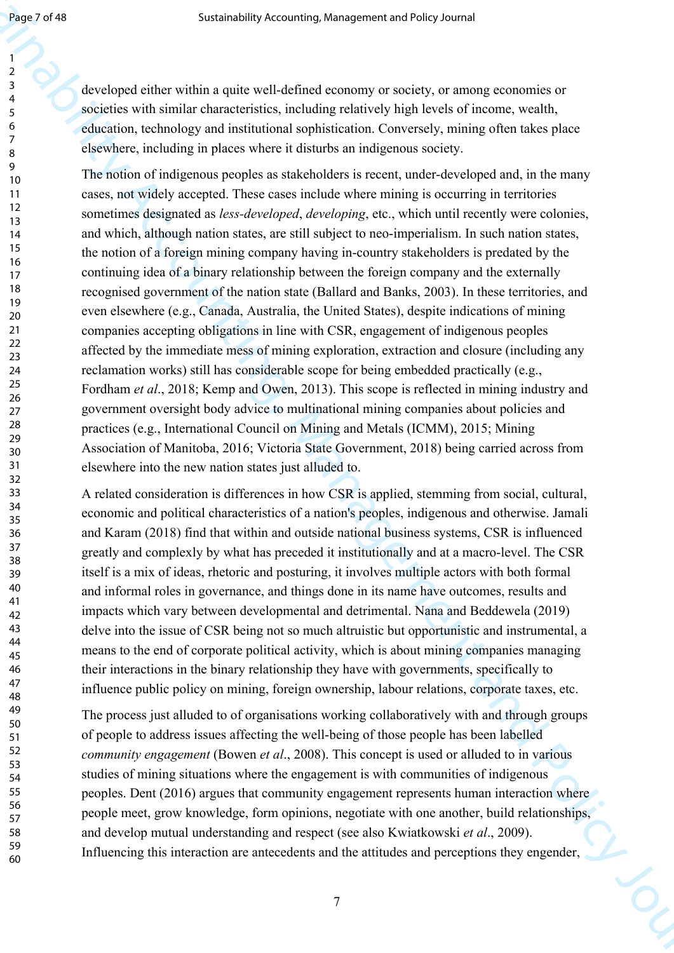developed either within a quite well-defined economy or society, or among economies or societies with similar characteristics, including relatively high levels of income, wealth, education, technology and institutional sophistication. Conversely, mining often takes place elsewhere, including in places where it disturbs an indigenous society.

Sustainability Accounting, Management and Policy Journalisty Accounting Management and Policy Journalisty Pressure (and Contents). And Accounting the policy of the substitution of the substitution of the substitution of t The notion of indigenous peoples as stakeholders is recent, under-developed and, in the many cases, not widely accepted. These cases include where mining is occurring in territories sometimes designated as *less-developed*, *developing*, etc., which until recently were colonies, and which, although nation states, are still subject to neo-imperialism. In such nation states, the notion of a foreign mining company having in-country stakeholders is predated by the continuing idea of a binary relationship between the foreign company and the externally recognised government of the nation state (Ballard and Banks, 2003). In these territories, and even elsewhere (e.g., Canada, Australia, the United States), despite indications of mining companies accepting obligations in line with CSR, engagement of indigenous peoples affected by the immediate mess of mining exploration, extraction and closure (including any reclamation works) still has considerable scope for being embedded practically (e.g., Fordham *et al*., 2018; Kemp and Owen, 2013). This scope is reflected in mining industry and government oversight body advice to multinational mining companies about policies and practices (e.g., International Council on Mining and Metals (ICMM), 2015; Mining Association of Manitoba, 2016; Victoria State Government, 2018) being carried across from elsewhere into the new nation states just alluded to.

A related consideration is differences in how CSR is applied, stemming from social, cultural, economic and political characteristics of a nation's peoples, indigenous and otherwise. Jamali and Karam (2018) find that within and outside national business systems, CSR is influenced greatly and complexly by what has preceded it institutionally and at a macro-level. The CSR itself is a mix of ideas, rhetoric and posturing, it involves multiple actors with both formal and informal roles in governance, and things done in its name have outcomes, results and impacts which vary between developmental and detrimental. Nana and Beddewela (2019) delve into the issue of CSR being not so much altruistic but opportunistic and instrumental, a means to the end of corporate political activity, which is about mining companies managing their interactions in the binary relationship they have with governments, specifically to influence public policy on mining, foreign ownership, labour relations, corporate taxes, etc.

The process just alluded to of organisations working collaboratively with and through groups of people to address issues affecting the well-being of those people has been labelled *community engagement* (Bowen *et al*., 2008). This concept is used or alluded to in various studies of mining situations where the engagement is with communities of indigenous peoples. Dent (2016) argues that community engagement represents human interaction where people meet, grow knowledge, form opinions, negotiate with one another, build relationships, and develop mutual understanding and respect (see also Kwiatkowski *et al*., 2009). Influencing this interaction are antecedents and the attitudes and perceptions they engender,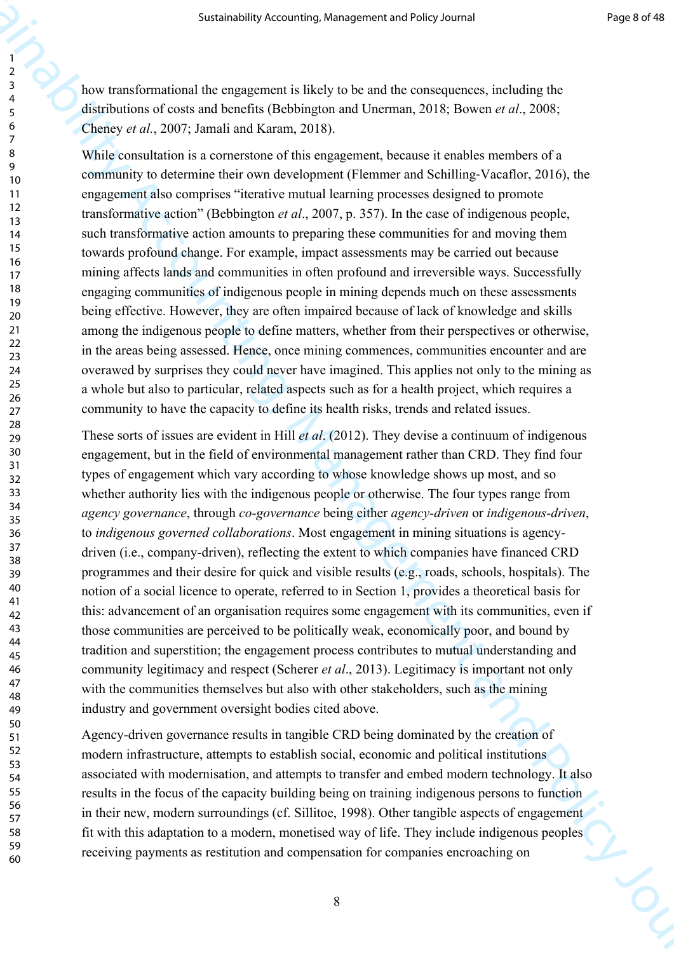how transformational the engagement is likely to be and the consequences, including the distributions of costs and benefits (Bebbington and Unerman, 2018; Bowen *et al*., 2008; Cheney *et al.*, 2007; Jamali and Karam, 2018).

While consultation is a cornerstone of this engagement, because it enables members of a community to determine their own development (Flemmer and Schilling‐Vacaflor, 2016), the engagement also comprises "iterative mutual learning processes designed to promote transformative action" (Bebbington *et al*., 2007, p. 357). In the case of indigenous people, such transformative action amounts to preparing these communities for and moving them towards profound change. For example, impact assessments may be carried out because mining affects lands and communities in often profound and irreversible ways. Successfully engaging communities of indigenous people in mining depends much on these assessments being effective. However, they are often impaired because of lack of knowledge and skills among the indigenous people to define matters, whether from their perspectives or otherwise, in the areas being assessed. Hence, once mining commences, communities encounter and are overawed by surprises they could never have imagined. This applies not only to the mining as a whole but also to particular, related aspects such as for a health project, which requires a community to have the capacity to define its health risks, trends and related issues.

Sustainability Accounting, Management and Policy Counting, The Eq. (31) American control of the Constraine Counting (Fig. 2) American control of the Counting Counting (Fig. 2) American control of the Counting Counting Cou These sorts of issues are evident in Hill *et al*. (2012). They devise a continuum of indigenous engagement, but in the field of environmental management rather than CRD. They find four types of engagement which vary according to whose knowledge shows up most, and so whether authority lies with the indigenous people or otherwise. The four types range from *agency governance*, through *co-governance* being either *agency-driven* or *indigenous-driven*, to *indigenous governed collaborations*. Most engagement in mining situations is agencydriven (i.e., company-driven), reflecting the extent to which companies have financed CRD programmes and their desire for quick and visible results (e.g., roads, schools, hospitals). The notion of a social licence to operate, referred to in Section 1, provides a theoretical basis for this: advancement of an organisation requires some engagement with its communities, even if those communities are perceived to be politically weak, economically poor, and bound by tradition and superstition; the engagement process contributes to mutual understanding and community legitimacy and respect (Scherer *et al*., 2013). Legitimacy is important not only with the communities themselves but also with other stakeholders, such as the mining industry and government oversight bodies cited above.

Agency-driven governance results in tangible CRD being dominated by the creation of modern infrastructure, attempts to establish social, economic and political institutions associated with modernisation, and attempts to transfer and embed modern technology. It also results in the focus of the capacity building being on training indigenous persons to function in their new, modern surroundings (cf. Sillitoe, 1998). Other tangible aspects of engagement fit with this adaptation to a modern, monetised way of life. They include indigenous peoples receiving payments as restitution and compensation for companies encroaching on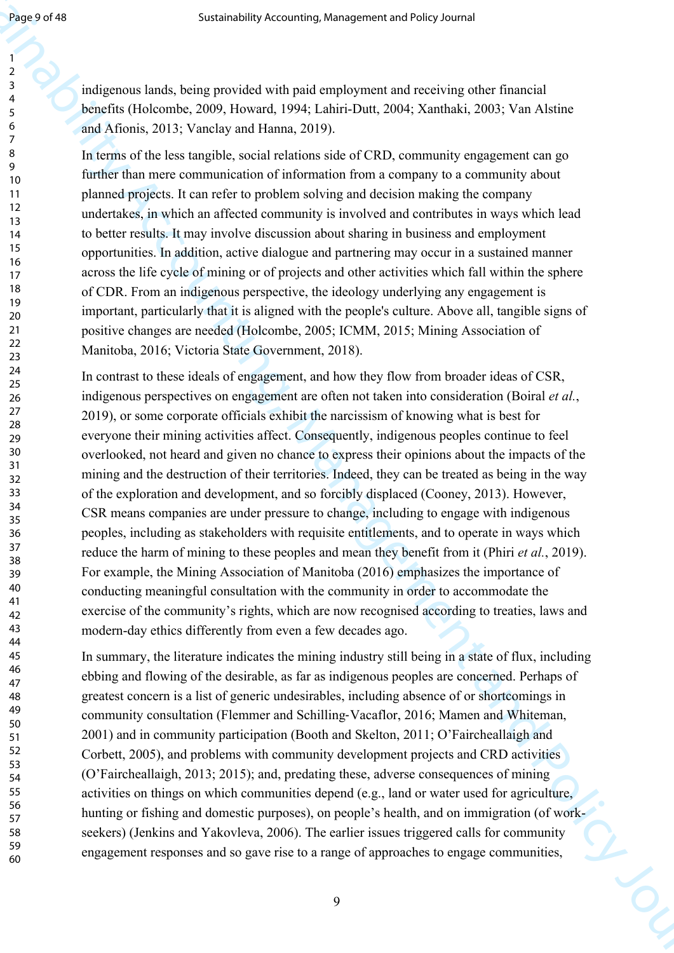indigenous lands, being provided with paid employment and receiving other financial benefits (Holcombe, 2009, Howard, 1994; Lahiri-Dutt, 2004; Xanthaki, 2003; Van Alstine and Afionis, 2013; Vanclay and Hanna, 2019).

In terms of the less tangible, social relations side of CRD, community engagement can go further than mere communication of information from a company to a community about planned projects. It can refer to problem solving and decision making the company undertakes, in which an affected community is involved and contributes in ways which lead to better results. It may involve discussion about sharing in business and employment opportunities. In addition, active dialogue and partnering may occur in a sustained manner across the life cycle of mining or of projects and other activities which fall within the sphere of CDR. From an indigenous perspective, the ideology underlying any engagement is important, particularly that it is aligned with the people's culture. Above all, tangible signs of positive changes are needed (Holcombe, 2005; ICMM, 2015; Mining Association of Manitoba, 2016; Victoria State Government, 2018).

Sugary of the Sustainability Accounting, Management and New Polyce and Receivery of the Theorem is the Sustainability Accounting to the Sustainability Accounting to the Sustainability Accounting to the Sustainability Acco In contrast to these ideals of engagement, and how they flow from broader ideas of CSR, indigenous perspectives on engagement are often not taken into consideration (Boiral *et al.*, 2019), or some corporate officials exhibit the narcissism of knowing what is best for everyone their mining activities affect. Consequently, indigenous peoples continue to feel overlooked, not heard and given no chance to express their opinions about the impacts of the mining and the destruction of their territories. Indeed, they can be treated as being in the way of the exploration and development, and so forcibly displaced (Cooney, 2013). However, CSR means companies are under pressure to change, including to engage with indigenous peoples, including as stakeholders with requisite entitlements, and to operate in ways which reduce the harm of mining to these peoples and mean they benefit from it (Phiri *et al.*, 2019). For example, the Mining Association of Manitoba (2016) emphasizes the importance of conducting meaningful consultation with the community in order to accommodate the exercise of the community's rights, which are now recognised according to treaties, laws and modern-day ethics differently from even a few decades ago.

In summary, the literature indicates the mining industry still being in a state of flux, including ebbing and flowing of the desirable, as far as indigenous peoples are concerned. Perhaps of greatest concern is a list of generic undesirables, including absence of or shortcomings in community consultation (Flemmer and Schilling‐Vacaflor, 2016; Mamen and Whiteman, 2001) and in community participation (Booth and Skelton, 2011; O'Faircheallaigh and Corbett, 2005), and problems with community development projects and CRD activities (O'Faircheallaigh, 2013; 2015); and, predating these, adverse consequences of mining activities on things on which communities depend (e.g., land or water used for agriculture, hunting or fishing and domestic purposes), on people's health, and on immigration (of workseekers) (Jenkins and Yakovleva, 2006). The earlier issues triggered calls for community engagement responses and so gave rise to a range of approaches to engage communities,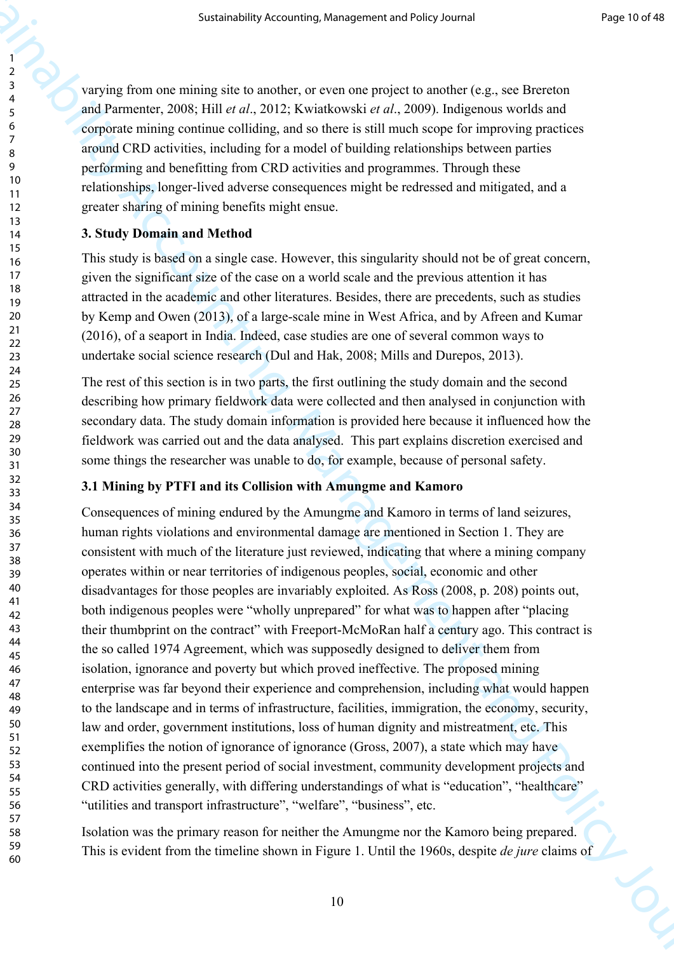varying from one mining site to another, or even one project to another (e.g., see Brereton and Parmenter, 2008; Hill *et al*., 2012; Kwiatkowski *et al*., 2009). Indigenous worlds and corporate mining continue colliding, and so there is still much scope for improving practices around CRD activities, including for a model of building relationships between parties performing and benefitting from CRD activities and programmes. Through these relationships, longer-lived adverse consequences might be redressed and mitigated, and a greater sharing of mining benefits might ensue.

#### **3. Study Domain and Method**

This study is based on a single case. However, this singularity should not be of great concern, given the significant size of the case on a world scale and the previous attention it has attracted in the academic and other literatures. Besides, there are precedents, such as studies by Kemp and Owen (2013), of a large-scale mine in West Africa, and by Afreen and Kumar (2016), of a seaport in India. Indeed, case studies are one of several common ways to undertake social science research (Dul and Hak, 2008; Mills and Durepos, 2013).

The rest of this section is in two parts, the first outlining the study domain and the second describing how primary fieldwork data were collected and then analysed in conjunction with secondary data. The study domain information is provided here because it influenced how the fieldwork was carried out and the data analysed. This part explains discretion exercised and some things the researcher was unable to do, for example, because of personal safety.

#### **3.1 Mining by PTFI and its Collision with Amungme and Kamoro**

Sustainability Accounting, Management and Policy Journal Properties<br>
2.4 very significant and the stationary of the stationary of the stationary (Eq. 34). Detection<br>
4.4 substitutions are also that  $\alpha$ , 3012; As between Consequences of mining endured by the Amungme and Kamoro in terms of land seizures, human rights violations and environmental damage are mentioned in Section 1. They are consistent with much of the literature just reviewed, indicating that where a mining company operates within or near territories of indigenous peoples, social, economic and other disadvantages for those peoples are invariably exploited. As Ross (2008, p. 208) points out, both indigenous peoples were "wholly unprepared" for what was to happen after "placing their thumbprint on the contract" with Freeport-McMoRan half a century ago. This contract is the so called 1974 Agreement, which was supposedly designed to deliver them from isolation, ignorance and poverty but which proved ineffective. The proposed mining enterprise was far beyond their experience and comprehension, including what would happen to the landscape and in terms of infrastructure, facilities, immigration, the economy, security, law and order, government institutions, loss of human dignity and mistreatment, etc. This exemplifies the notion of ignorance of ignorance (Gross, 2007), a state which may have continued into the present period of social investment, community development projects and CRD activities generally, with differing understandings of what is "education", "healthcare" "utilities and transport infrastructure", "welfare", "business", etc.

Isolation was the primary reason for neither the Amungme nor the Kamoro being prepared. This is evident from the timeline shown in Figure 1. Until the 1960s, despite *de jure* claims of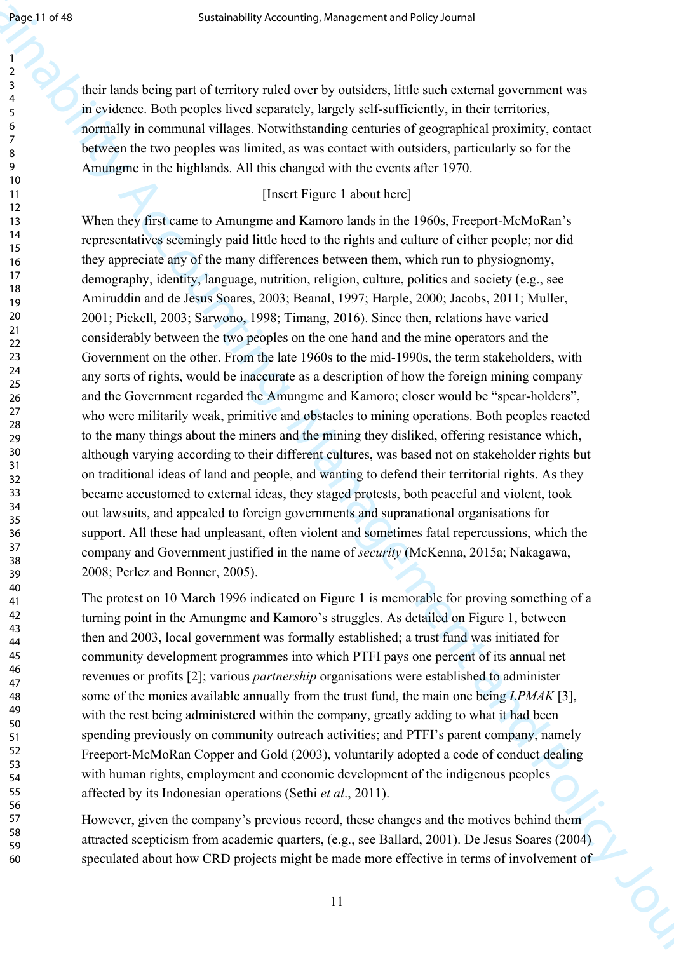their lands being part of territory ruled over by outsiders, little such external government was in evidence. Both peoples lived separately, largely self-sufficiently, in their territories, normally in communal villages. Notwithstanding centuries of geographical proximity, contact between the two peoples was limited, as was contact with outsiders, particularly so for the Amungme in the highlands. All this changed with the events after 1970.

# [Insert Figure 1 about here]

Sustainability Accounting, Management and Heresa Constitution Constitution Constitution Constitution Constitution Constitution Constitution Constitution Constitution Constitution Constitution Constitution Constitution Con When they first came to Amungme and Kamoro lands in the 1960s, Freeport-McMoRan's representatives seemingly paid little heed to the rights and culture of either people; nor did they appreciate any of the many differences between them, which run to physiognomy, demography, identity, language, nutrition, religion, culture, politics and society (e.g., see Amiruddin and de Jesus Soares, 2003; Beanal, 1997; Harple, 2000; Jacobs, 2011; Muller, 2001; Pickell, 2003; Sarwono, 1998; Timang, 2016). Since then, relations have varied considerably between the two peoples on the one hand and the mine operators and the Government on the other. From the late 1960s to the mid-1990s, the term stakeholders, with any sorts of rights, would be inaccurate as a description of how the foreign mining company and the Government regarded the Amungme and Kamoro; closer would be "spear-holders", who were militarily weak, primitive and obstacles to mining operations. Both peoples reacted to the many things about the miners and the mining they disliked, offering resistance which, although varying according to their different cultures, was based not on stakeholder rights but on traditional ideas of land and people, and wanting to defend their territorial rights. As they became accustomed to external ideas, they staged protests, both peaceful and violent, took out lawsuits, and appealed to foreign governments and supranational organisations for support. All these had unpleasant, often violent and sometimes fatal repercussions, which the company and Government justified in the name of *security* (McKenna, 2015a; Nakagawa, 2008; Perlez and Bonner, 2005).

The protest on 10 March 1996 indicated on Figure 1 is memorable for proving something of a turning point in the Amungme and Kamoro's struggles. As detailed on Figure 1, between then and 2003, local government was formally established; a trust fund was initiated for community development programmes into which PTFI pays one percent of its annual net revenues or profits [2]; various *partnership* organisations were established to administer some of the monies available annually from the trust fund, the main one being *LPMAK* [3], with the rest being administered within the company, greatly adding to what it had been spending previously on community outreach activities; and PTFI's parent company, namely Freeport-McMoRan Copper and Gold (2003), voluntarily adopted a code of conduct dealing with human rights, employment and economic development of the indigenous peoples affected by its Indonesian operations (Sethi *et al*., 2011).

However, given the company's previous record, these changes and the motives behind them attracted scepticism from academic quarters, (e.g., see Ballard, 2001). De Jesus Soares (2004) speculated about how CRD projects might be made more effective in terms of involvement of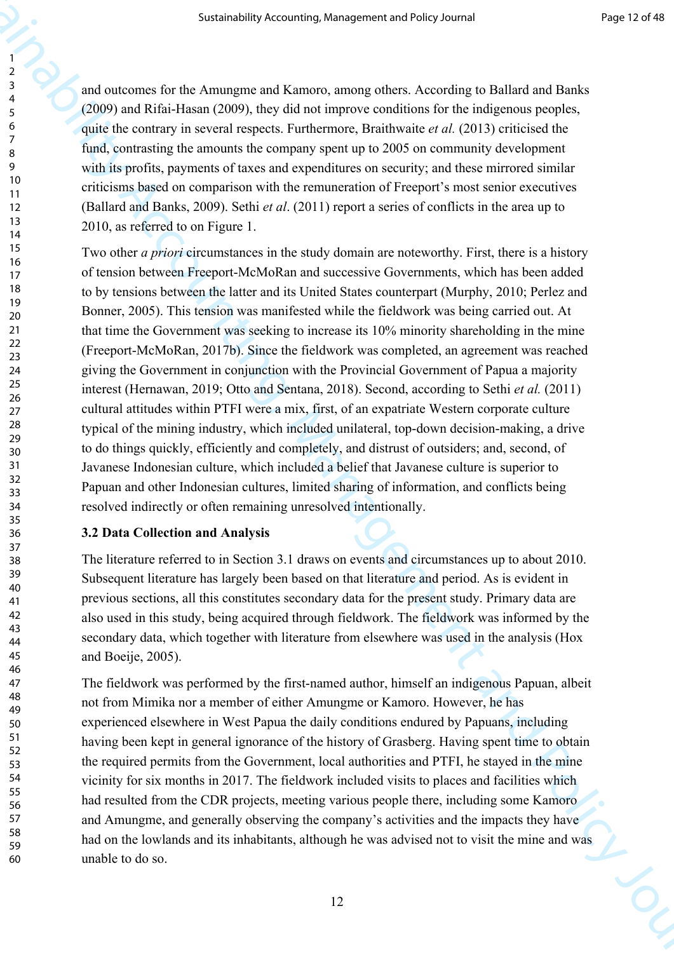and outcomes for the Amungme and Kamoro, among others. According to Ballard and Banks (2009) and Rifai-Hasan (2009), they did not improve conditions for the indigenous peoples, quite the contrary in several respects. Furthermore, Braithwaite *et al.* (2013) criticised the fund, contrasting the amounts the company spent up to 2005 on community development with its profits, payments of taxes and expenditures on security; and these mirrored similar criticisms based on comparison with the remuneration of Freeport's most senior executives (Ballard and Banks, 2009). Sethi *et al*. (2011) report a series of conflicts in the area up to 2010, as referred to on Figure 1.

Sustainability Accounting, Management and Policy Journal Findelic Control<br>
2 and conforming for the Amerippe and Karnany, strong others. According to Findelic Control<br>
2 (2009) calc Rub-Himan (2009), these this control co Two other *a priori* circumstances in the study domain are noteworthy. First, there is a history of tension between Freeport-McMoRan and successive Governments, which has been added to by tensions between the latter and its United States counterpart (Murphy, 2010; Perlez and Bonner, 2005). This tension was manifested while the fieldwork was being carried out. At that time the Government was seeking to increase its 10% minority shareholding in the mine (Freeport-McMoRan, 2017b). Since the fieldwork was completed, an agreement was reached giving the Government in conjunction with the Provincial Government of Papua a majority interest (Hernawan, 2019; Otto and Sentana, 2018). Second, according to Sethi *et al.* (2011) cultural attitudes within PTFI were a mix, first, of an expatriate Western corporate culture typical of the mining industry, which included unilateral, top-down decision-making, a drive to do things quickly, efficiently and completely, and distrust of outsiders; and, second, of Javanese Indonesian culture, which included a belief that Javanese culture is superior to Papuan and other Indonesian cultures, limited sharing of information, and conflicts being resolved indirectly or often remaining unresolved intentionally.

#### **3.2 Data Collection and Analysis**

The literature referred to in Section 3.1 draws on events and circumstances up to about 2010. Subsequent literature has largely been based on that literature and period. As is evident in previous sections, all this constitutes secondary data for the present study. Primary data are also used in this study, being acquired through fieldwork. The fieldwork was informed by the secondary data, which together with literature from elsewhere was used in the analysis (Hox and Boeije, 2005).

The fieldwork was performed by the first-named author, himself an indigenous Papuan, albeit not from Mimika nor a member of either Amungme or Kamoro. However, he has experienced elsewhere in West Papua the daily conditions endured by Papuans, including having been kept in general ignorance of the history of Grasberg. Having spent time to obtain the required permits from the Government, local authorities and PTFI, he stayed in the mine vicinity for six months in 2017. The fieldwork included visits to places and facilities which had resulted from the CDR projects, meeting various people there, including some Kamoro and Amungme, and generally observing the company's activities and the impacts they have had on the lowlands and its inhabitants, although he was advised not to visit the mine and was unable to do so.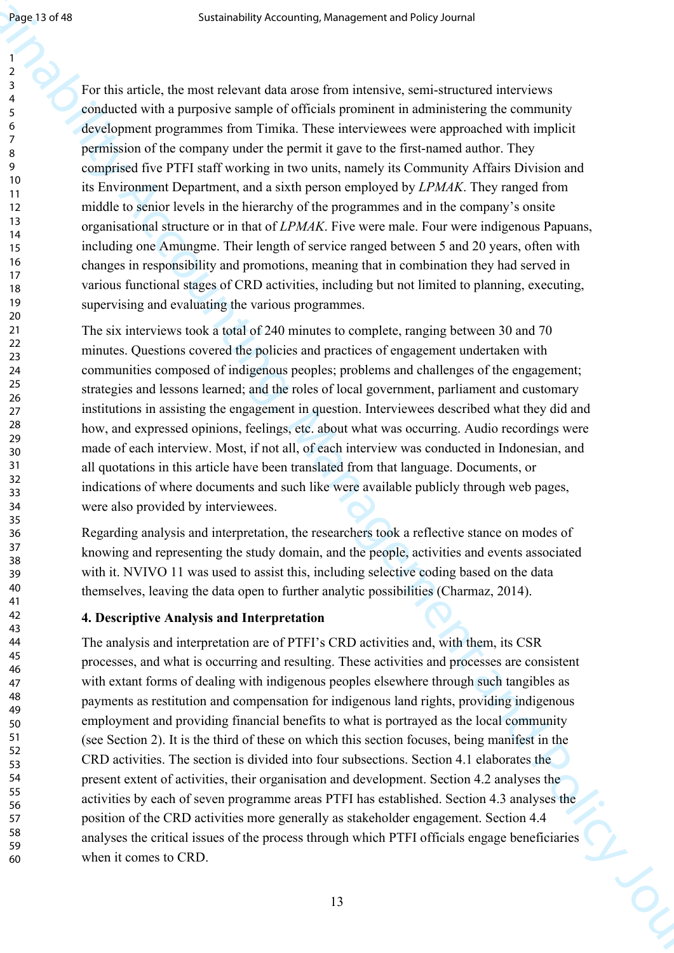60

Sustainability Accounting, Management and Hermical Constant and Accounting Accounting the constant and  $\epsilon$  constant and policy and policy and policy and policy and policy and policy of the state of the constant and the c For this article, the most relevant data arose from intensive, semi-structured interviews conducted with a purposive sample of officials prominent in administering the community development programmes from Timika. These interviewees were approached with implicit permission of the company under the permit it gave to the first-named author. They comprised five PTFI staff working in two units, namely its Community Affairs Division and its Environment Department, and a sixth person employed by *LPMAK*. They ranged from middle to senior levels in the hierarchy of the programmes and in the company's onsite organisational structure or in that of *LPMAK*. Five were male. Four were indigenous Papuans, including one Amungme. Their length of service ranged between 5 and 20 years, often with changes in responsibility and promotions, meaning that in combination they had served in various functional stages of CRD activities, including but not limited to planning, executing, supervising and evaluating the various programmes.

The six interviews took a total of 240 minutes to complete, ranging between 30 and 70 minutes. Questions covered the policies and practices of engagement undertaken with communities composed of indigenous peoples; problems and challenges of the engagement; strategies and lessons learned; and the roles of local government, parliament and customary institutions in assisting the engagement in question. Interviewees described what they did and how, and expressed opinions, feelings, etc. about what was occurring. Audio recordings were made of each interview. Most, if not all, of each interview was conducted in Indonesian, and all quotations in this article have been translated from that language. Documents, or indications of where documents and such like were available publicly through web pages, were also provided by interviewees.

Regarding analysis and interpretation, the researchers took a reflective stance on modes of knowing and representing the study domain, and the people, activities and events associated with it. NVIVO 11 was used to assist this, including selective coding based on the data themselves, leaving the data open to further analytic possibilities (Charmaz, 2014).

#### **4. Descriptive Analysis and Interpretation**

The analysis and interpretation are of PTFI's CRD activities and, with them, its CSR processes, and what is occurring and resulting. These activities and processes are consistent with extant forms of dealing with indigenous peoples elsewhere through such tangibles as payments as restitution and compensation for indigenous land rights, providing indigenous employment and providing financial benefits to what is portrayed as the local community (see Section 2). It is the third of these on which this section focuses, being manifest in the CRD activities. The section is divided into four subsections. Section 4.1 elaborates the present extent of activities, their organisation and development. Section 4.2 analyses the activities by each of seven programme areas PTFI has established. Section 4.3 analyses the position of the CRD activities more generally as stakeholder engagement. Section 4.4 analyses the critical issues of the process through which PTFI officials engage beneficiaries when it comes to CRD.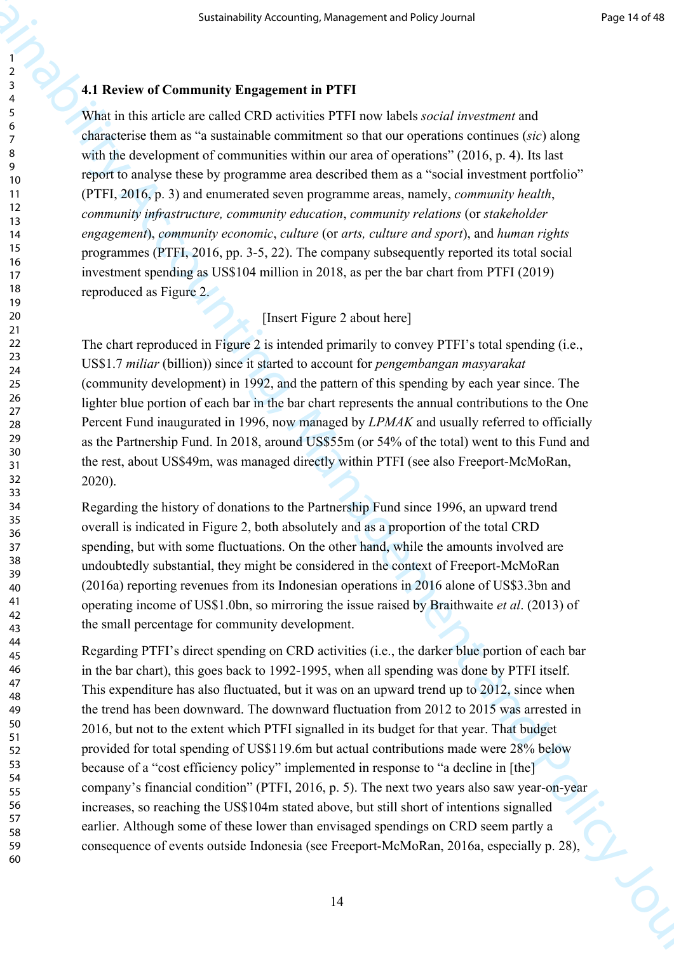# **4.1 Review of Community Engagement in PTFI**

What in this article are called CRD activities PTFI now labels *social investment* and characterise them as "a sustainable commitment so that our operations continues (*sic*) along with the development of communities within our area of operations" (2016, p. 4). Its last report to analyse these by programme area described them as a "social investment portfolio" (PTFI, 2016, p. 3) and enumerated seven programme areas, namely, *community health*, *community infrastructure, community education*, *community relations* (or *stakeholder engagement*), *community economic*, *culture* (or *arts, culture and sport*), and *human rights* programmes (PTFI, 2016, pp. 3-5, 22). The company subsequently reported its total social investment spending as US\$104 million in 2018, as per the bar chart from PTFI (2019) reproduced as Figure 2.

# [Insert Figure 2 about here]

The chart reproduced in Figure 2 is intended primarily to convey PTFI's total spending (i.e., US\$1.7 *miliar* (billion)) since it started to account for *pengembangan masyarakat* (community development) in 1992, and the pattern of this spending by each year since. The lighter blue portion of each bar in the bar chart represents the annual contributions to the One Percent Fund inaugurated in 1996, now managed by *LPMAK* and usually referred to officially as the Partnership Fund. In 2018, around US\$55m (or 54% of the total) went to this Fund and the rest, about US\$49m, was managed directly within PTFI (see also Freeport-McMoRan, 2020).

Regarding the history of donations to the Partnership Fund since 1996, an upward trend overall is indicated in Figure 2, both absolutely and as a proportion of the total CRD spending, but with some fluctuations. On the other hand, while the amounts involved are undoubtedly substantial, they might be considered in the context of Freeport-McMoRan (2016a) reporting revenues from its Indonesian operations in 2016 alone of US\$3.3bn and operating income of US\$1.0bn, so mirroring the issue raised by Braithwaite *et al*. (2013) of the small percentage for community development.

Sustainability Accounting, Management and PFPI<br>
2. All Review of Community Engingment in PFFI<br>
2. While in this anticle are called CRD activities FITI more labels so call are called all the state of the state of the state Regarding PTFI's direct spending on CRD activities (i.e., the darker blue portion of each bar in the bar chart), this goes back to 1992-1995, when all spending was done by PTFI itself. This expenditure has also fluctuated, but it was on an upward trend up to 2012, since when the trend has been downward. The downward fluctuation from 2012 to 2015 was arrested in 2016, but not to the extent which PTFI signalled in its budget for that year. That budget provided for total spending of US\$119.6m but actual contributions made were 28% below because of a "cost efficiency policy" implemented in response to "a decline in [the] company's financial condition" (PTFI, 2016, p. 5). The next two years also saw year-on-year increases, so reaching the US\$104m stated above, but still short of intentions signalled earlier. Although some of these lower than envisaged spendings on CRD seem partly a consequence of events outside Indonesia (see Freeport-McMoRan, 2016a, especially p. 28),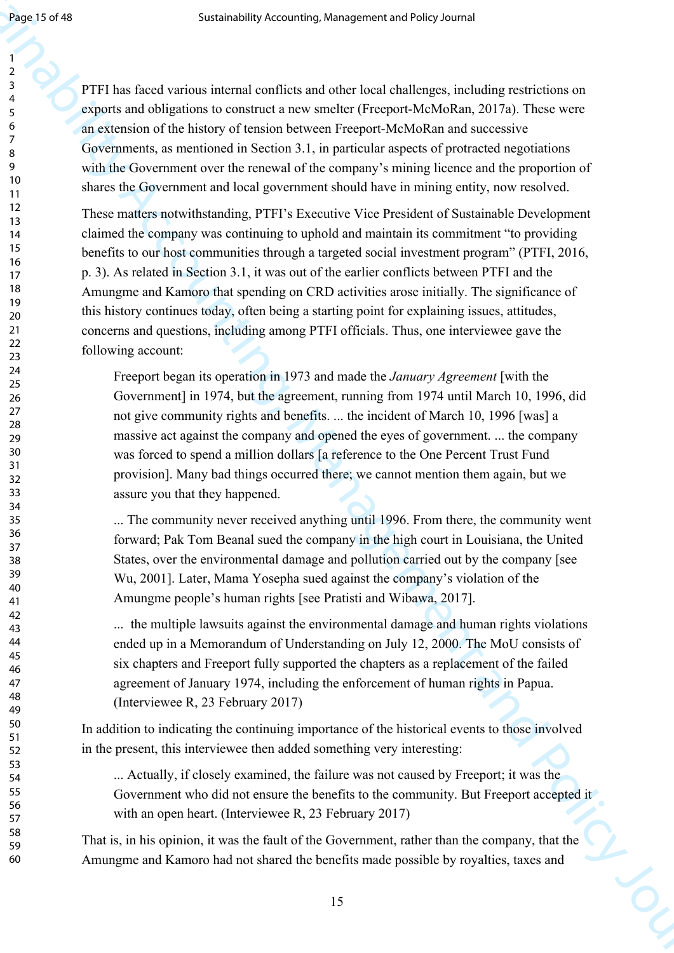PTFI has faced various internal conflicts and other local challenges, including restrictions on exports and obligations to construct a new smelter (Freeport-McMoRan, 2017a). These were an extension of the history of tension between Freeport-McMoRan and successive Governments, as mentioned in Section 3.1, in particular aspects of protracted negotiations with the Government over the renewal of the company's mining licence and the proportion of shares the Government and local government should have in mining entity, now resolved.

Sustainability Accounting, Management and the planetation of the state of the state of the state of the state of the state of the state of the state of the state of the state of the state of the state of the state of the These matters notwithstanding, PTFI's Executive Vice President of Sustainable Development claimed the company was continuing to uphold and maintain its commitment "to providing benefits to our host communities through a targeted social investment program" (PTFI, 2016, p. 3). As related in Section 3.1, it was out of the earlier conflicts between PTFI and the Amungme and Kamoro that spending on CRD activities arose initially. The significance of this history continues today, often being a starting point for explaining issues, attitudes, concerns and questions, including among PTFI officials. Thus, one interviewee gave the following account:

Freeport began its operation in 1973 and made the *January Agreement* [with the Government] in 1974, but the agreement, running from 1974 until March 10, 1996, did not give community rights and benefits. ... the incident of March 10, 1996 [was] a massive act against the company and opened the eyes of government. ... the company was forced to spend a million dollars [a reference to the One Percent Trust Fund provision]. Many bad things occurred there; we cannot mention them again, but we assure you that they happened.

... The community never received anything until 1996. From there, the community went forward; Pak Tom Beanal sued the company in the high court in Louisiana, the United States, over the environmental damage and pollution carried out by the company [see Wu, 2001]. Later, Mama Yosepha sued against the company's violation of the Amungme people's human rights [see Pratisti and Wibawa, 2017].

... the multiple lawsuits against the environmental damage and human rights violations ended up in a Memorandum of Understanding on July 12, 2000. The MoU consists of six chapters and Freeport fully supported the chapters as a replacement of the failed agreement of January 1974, including the enforcement of human rights in Papua. (Interviewee R, 23 February 2017)

In addition to indicating the continuing importance of the historical events to those involved in the present, this interviewee then added something very interesting:

... Actually, if closely examined, the failure was not caused by Freeport; it was the Government who did not ensure the benefits to the community. But Freeport accepted it with an open heart. (Interviewee R, 23 February 2017)

That is, in his opinion, it was the fault of the Government, rather than the company, that the Amungme and Kamoro had not shared the benefits made possible by royalties, taxes and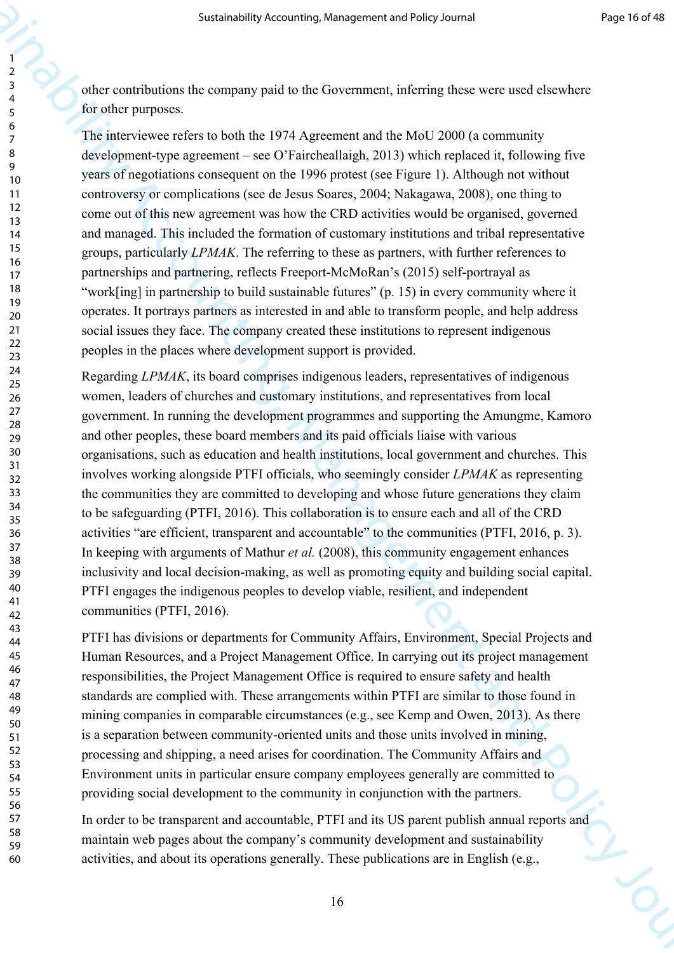other contributions the company paid to the Government, inferring these were used elsewhere for other purposes.

The interviewee refers to both the 1974 Agreement and the MoU 2000 (a community development-type agreement – see O'Faircheallaigh, 2013) which replaced it, following five years of negotiations consequent on the 1996 protest (see Figure 1). Although not without controversy or complications (see de Jesus Soares, 2004; Nakagawa, 2008), one thing to come out of this new agreement was how the CRD activities would be organised, governed and managed. This included the formation of customary institutions and tribal representative groups, particularly *LPMAK*. The referring to these as partners, with further references to partnerships and partnering, reflects Freeport-McMoRan's (2015) self-portrayal as "work[ing] in partnership to build sustainable futures" (p. 15) in every community where it operates. It portrays partners as interested in and able to transform people, and help address social issues they face. The company created these institutions to represent indigenous peoples in the places where development support is provided.

Sustainability Accounting, Management and Policy Accounting<br>
Sustainability Accounting (Section 2014)<br>
2. A deter contribution the company paid on the Government, the<br>Integration and Policy Distribution (Fig. 2013). The c Regarding *LPMAK*, its board comprises indigenous leaders, representatives of indigenous women, leaders of churches and customary institutions, and representatives from local government. In running the development programmes and supporting the Amungme, Kamoro and other peoples, these board members and its paid officials liaise with various organisations, such as education and health institutions, local government and churches. This involves working alongside PTFI officials, who seemingly consider *LPMAK* as representing the communities they are committed to developing and whose future generations they claim to be safeguarding (PTFI, 2016). This collaboration is to ensure each and all of the CRD activities "are efficient, transparent and accountable" to the communities (PTFI, 2016, p. 3). In keeping with arguments of Mathur *et al.* (2008), this community engagement enhances inclusivity and local decision-making, as well as promoting equity and building social capital. PTFI engages the indigenous peoples to develop viable, resilient, and independent communities (PTFI, 2016).

PTFI has divisions or departments for Community Affairs, Environment, Special Projects and Human Resources, and a Project Management Office. In carrying out its project management responsibilities, the Project Management Office is required to ensure safety and health standards are complied with. These arrangements within PTFI are similar to those found in mining companies in comparable circumstances (e.g., see Kemp and Owen, 2013). As there is a separation between community-oriented units and those units involved in mining, processing and shipping, a need arises for coordination. The Community Affairs and Environment units in particular ensure company employees generally are committed to providing social development to the community in conjunction with the partners.

In order to be transparent and accountable, PTFI and its US parent publish annual reports and maintain web pages about the company's community development and sustainability activities, and about its operations generally. These publications are in English (e.g.,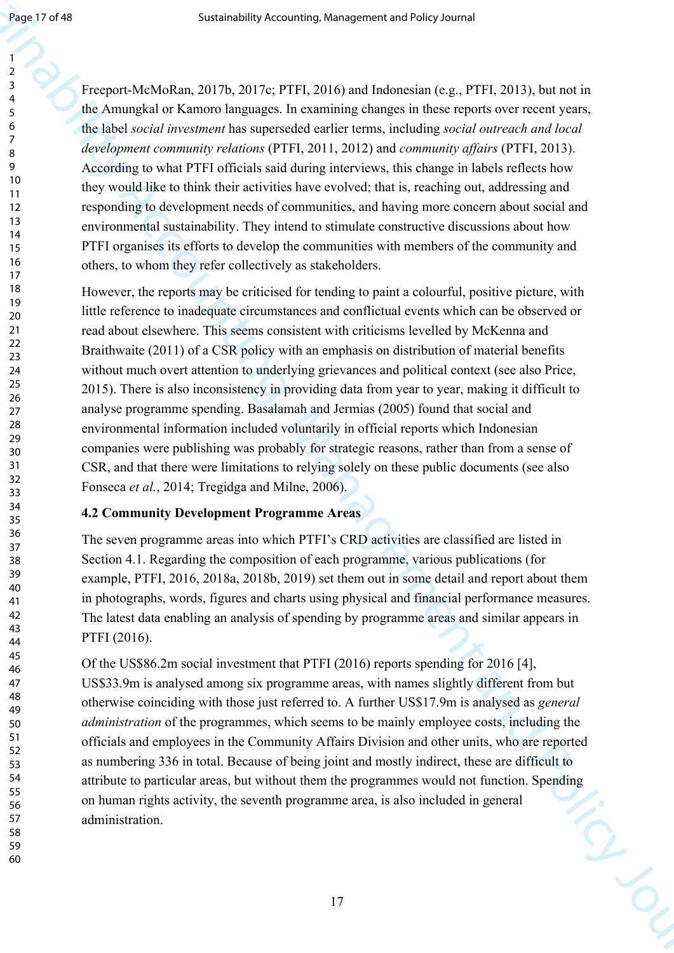Freeport-McMoRan, 2017b, 2017c; PTFI, 2016) and Indonesian (e.g., PTFI, 2013), but not in the Amungkal or Kamoro languages. In examining changes in these reports over recent years, the label *social investment* has superseded earlier terms, including *social outreach and local development community relations* (PTFI, 2011, 2012) and *community affairs* (PTFI, 2013). According to what PTFI officials said during interviews, this change in labels reflects how they would like to think their activities have evolved; that is, reaching out, addressing and responding to development needs of communities, and having more concern about social and environmental sustainability. They intend to stimulate constructive discussions about how PTFI organises its efforts to develop the communities with members of the community and others, to whom they refer collectively as stakeholders.

Sustainability Accounting, Management and Folio Corolline (19, PTF1, 2013) but with the Amagement Accounting Controlline (19, PTF1, 2013) but with the Amagement Accounting Controlline (19, PTF1, 2013) but with the Amageme However, the reports may be criticised for tending to paint a colourful, positive picture, with little reference to inadequate circumstances and conflictual events which can be observed or read about elsewhere. This seems consistent with criticisms levelled by McKenna and Braithwaite (2011) of a CSR policy with an emphasis on distribution of material benefits without much overt attention to underlying grievances and political context (see also Price, 2015). There is also inconsistency in providing data from year to year, making it difficult to analyse programme spending. Basalamah and Jermias (2005) found that social and environmental information included voluntarily in official reports which Indonesian companies were publishing was probably for strategic reasons, rather than from a sense of CSR, and that there were limitations to relying solely on these public documents (see also Fonseca *et al.*, 2014; Tregidga and Milne, 2006).

# **4.2 Community Development Programme Areas**

The seven programme areas into which PTFI's CRD activities are classified are listed in Section 4.1. Regarding the composition of each programme, various publications (for example, PTFI, 2016, 2018a, 2018b, 2019) set them out in some detail and report about them in photographs, words, figures and charts using physical and financial performance measures. The latest data enabling an analysis of spending by programme areas and similar appears in PTFI (2016).

Of the US\$86.2m social investment that PTFI (2016) reports spending for 2016 [4], US\$33.9m is analysed among six programme areas, with names slightly different from but otherwise coinciding with those just referred to. A further US\$17.9m is analysed as *general administration* of the programmes, which seems to be mainly employee costs, including the officials and employees in the Community Affairs Division and other units, who are reported as numbering 336 in total. Because of being joint and mostly indirect, these are difficult to attribute to particular areas, but without them the programmes would not function. Spending on human rights activity, the seventh programme area, is also included in general administration.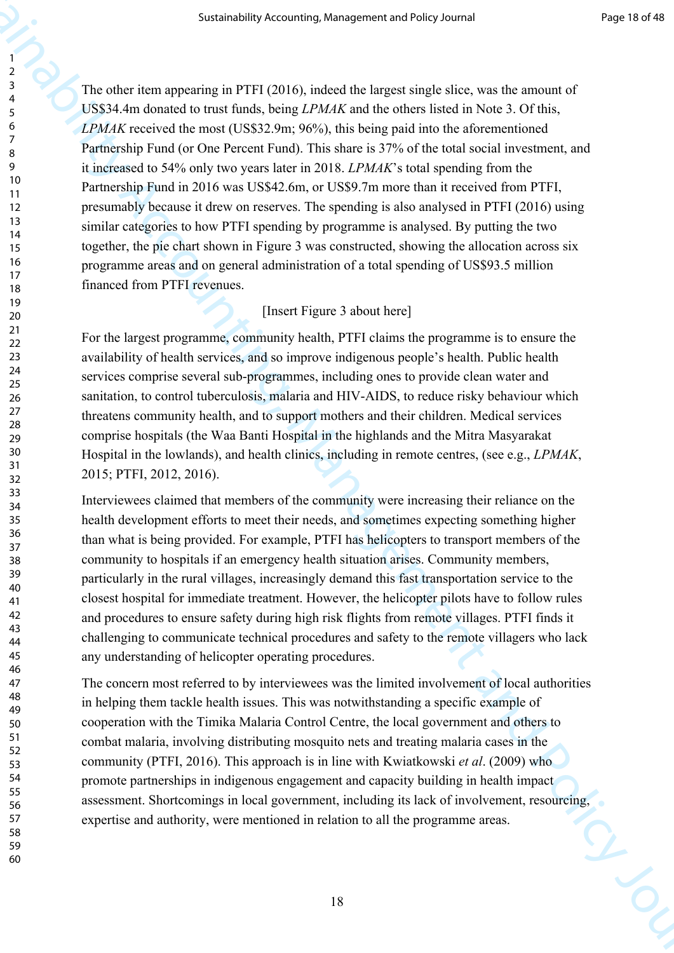Sustainability Accounting, Management and Policy Journal Properties (2003)<br>
2. The reflection separation is the signal distribution of the signal distribution is the signal of the signal distribution of the signal distrib The other item appearing in PTFI (2016), indeed the largest single slice, was the amount of US\$34.4m donated to trust funds, being *LPMAK* and the others listed in Note 3. Of this, *LPMAK* received the most (US\$32.9m; 96%), this being paid into the aforementioned Partnership Fund (or One Percent Fund). This share is 37% of the total social investment, and it increased to 54% only two years later in 2018. *LPMAK*'s total spending from the Partnership Fund in 2016 was US\$42.6m, or US\$9.7m more than it received from PTFI, presumably because it drew on reserves. The spending is also analysed in PTFI (2016) using similar categories to how PTFI spending by programme is analysed. By putting the two together, the pie chart shown in Figure 3 was constructed, showing the allocation across six programme areas and on general administration of a total spending of US\$93.5 million financed from PTFI revenues.

# [Insert Figure 3 about here]

For the largest programme, community health, PTFI claims the programme is to ensure the availability of health services, and so improve indigenous people's health. Public health services comprise several sub-programmes, including ones to provide clean water and sanitation, to control tuberculosis, malaria and HIV-AIDS, to reduce risky behaviour which threatens community health, and to support mothers and their children. Medical services comprise hospitals (the Waa Banti Hospital in the highlands and the Mitra Masyarakat Hospital in the lowlands), and health clinics, including in remote centres, (see e.g., *LPMAK*, 2015; PTFI, 2012, 2016).

Interviewees claimed that members of the community were increasing their reliance on the health development efforts to meet their needs, and sometimes expecting something higher than what is being provided. For example, PTFI has helicopters to transport members of the community to hospitals if an emergency health situation arises. Community members, particularly in the rural villages, increasingly demand this fast transportation service to the closest hospital for immediate treatment. However, the helicopter pilots have to follow rules and procedures to ensure safety during high risk flights from remote villages. PTFI finds it challenging to communicate technical procedures and safety to the remote villagers who lack any understanding of helicopter operating procedures.

The concern most referred to by interviewees was the limited involvement of local authorities in helping them tackle health issues. This was notwithstanding a specific example of cooperation with the Timika Malaria Control Centre, the local government and others to combat malaria, involving distributing mosquito nets and treating malaria cases in the community (PTFI, 2016). This approach is in line with Kwiatkowski *et al*. (2009) who promote partnerships in indigenous engagement and capacity building in health impact assessment. Shortcomings in local government, including its lack of involvement, resourcing, expertise and authority, were mentioned in relation to all the programme areas.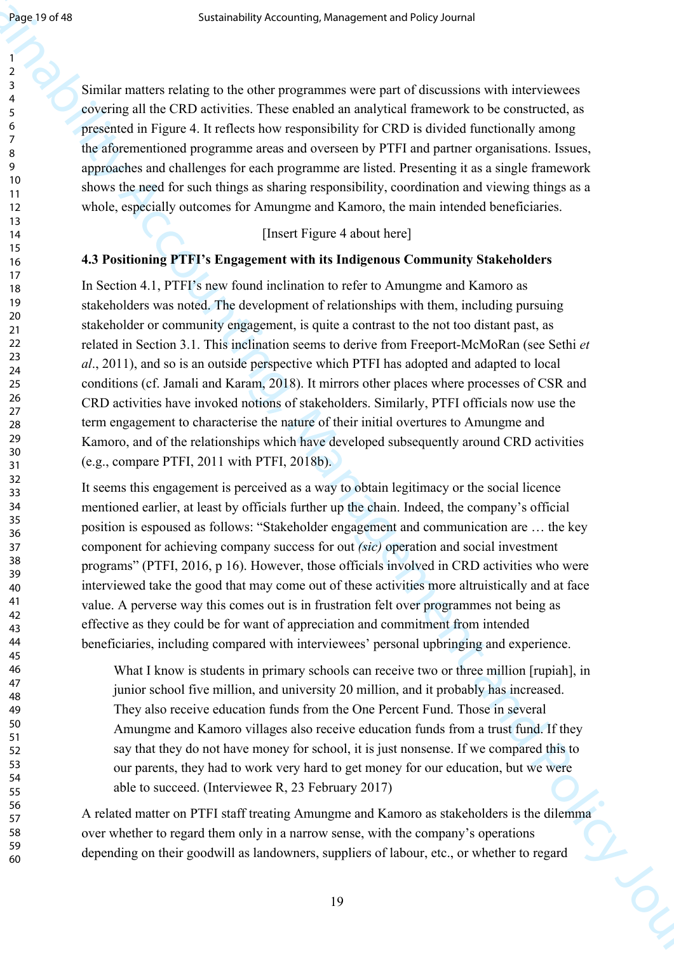Similar matters relating to the other programmes were part of discussions with interviewees covering all the CRD activities. These enabled an analytical framework to be constructed, as presented in Figure 4. It reflects how responsibility for CRD is divided functionally among the aforementioned programme areas and overseen by PTFI and partner organisations. Issues, approaches and challenges for each programme are listed. Presenting it as a single framework shows the need for such things as sharing responsibility, coordination and viewing things as a whole, especially outcomes for Amungme and Kamoro, the main intended beneficiaries.

[Insert Figure 4 about here]

#### **4.3 Positioning PTFI's Engagement with its Indigenous Community Stakeholders**

Sustainability Accounting, Management and Health of Accounting<br>
System and Accounting the strength of the strength of the strength of the<br>strength of Accounting the Bo CKU strength of the strength functions<br>
A consider a In Section 4.1, PTFI's new found inclination to refer to Amungme and Kamoro as stakeholders was noted. The development of relationships with them, including pursuing stakeholder or community engagement, is quite a contrast to the not too distant past, as related in Section 3.1. This inclination seems to derive from Freeport-McMoRan (see Sethi *et al*., 2011), and so is an outside perspective which PTFI has adopted and adapted to local conditions (cf. Jamali and Karam, 2018). It mirrors other places where processes of CSR and CRD activities have invoked notions of stakeholders. Similarly, PTFI officials now use the term engagement to characterise the nature of their initial overtures to Amungme and Kamoro, and of the relationships which have developed subsequently around CRD activities (e.g., compare PTFI, 2011 with PTFI, 2018b).

It seems this engagement is perceived as a way to obtain legitimacy or the social licence mentioned earlier, at least by officials further up the chain. Indeed, the company's official position is espoused as follows: "Stakeholder engagement and communication are … the key component for achieving company success for out *(sic)* operation and social investment programs" (PTFI, 2016, p 16). However, those officials involved in CRD activities who were interviewed take the good that may come out of these activities more altruistically and at face value. A perverse way this comes out is in frustration felt over programmes not being as effective as they could be for want of appreciation and commitment from intended beneficiaries, including compared with interviewees' personal upbringing and experience.

What I know is students in primary schools can receive two or three million [rupiah], in junior school five million, and university 20 million, and it probably has increased. They also receive education funds from the One Percent Fund. Those in several Amungme and Kamoro villages also receive education funds from a trust fund. If they say that they do not have money for school, it is just nonsense. If we compared this to our parents, they had to work very hard to get money for our education, but we were able to succeed. (Interviewee R, 23 February 2017)

A related matter on PTFI staff treating Amungme and Kamoro as stakeholders is the dilemma over whether to regard them only in a narrow sense, with the company's operations depending on their goodwill as landowners, suppliers of labour, etc., or whether to regard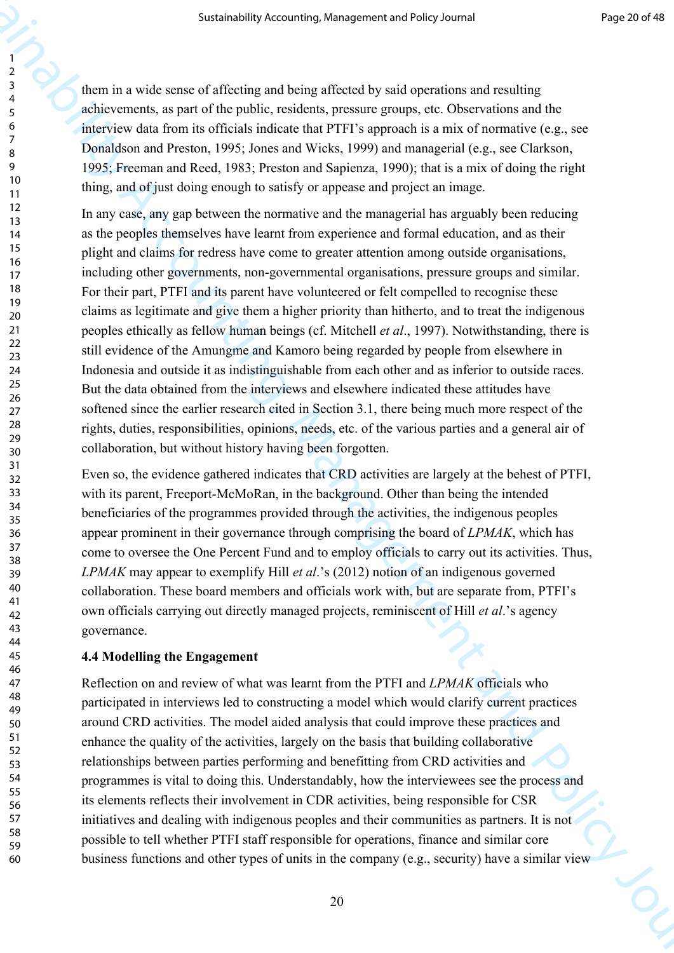them in a wide sense of affecting and being affected by said operations and resulting achievements, as part of the public, residents, pressure groups, etc. Observations and the interview data from its officials indicate that PTFI's approach is a mix of normative (e.g., see Donaldson and Preston, 1995; Jones and Wicks, 1999) and managerial (e.g., see Clarkson, 1995; Freeman and Reed, 1983; Preston and Sapienza, 1990); that is a mix of doing the right thing, and of just doing enough to satisfy or appease and project an image.

Sustainability Accounting, Management and Policy Journal (1983)<br>
2. American spin of the policy content and policy content and reaching<br>
2. American spin of the policy constant governity and the variations and the<br>
2. Ame In any case, any gap between the normative and the managerial has arguably been reducing as the peoples themselves have learnt from experience and formal education, and as their plight and claims for redress have come to greater attention among outside organisations, including other governments, non-governmental organisations, pressure groups and similar. For their part, PTFI and its parent have volunteered or felt compelled to recognise these claims as legitimate and give them a higher priority than hitherto, and to treat the indigenous peoples ethically as fellow human beings (cf. Mitchell *et al*., 1997). Notwithstanding, there is still evidence of the Amungme and Kamoro being regarded by people from elsewhere in Indonesia and outside it as indistinguishable from each other and as inferior to outside races. But the data obtained from the interviews and elsewhere indicated these attitudes have softened since the earlier research cited in Section 3.1, there being much more respect of the rights, duties, responsibilities, opinions, needs, etc. of the various parties and a general air of collaboration, but without history having been forgotten.

Even so, the evidence gathered indicates that CRD activities are largely at the behest of PTFI, with its parent, Freeport-McMoRan, in the background. Other than being the intended beneficiaries of the programmes provided through the activities, the indigenous peoples appear prominent in their governance through comprising the board of *LPMAK*, which has come to oversee the One Percent Fund and to employ officials to carry out its activities. Thus, *LPMAK* may appear to exemplify Hill *et al*.'s (2012) notion of an indigenous governed collaboration. These board members and officials work with, but are separate from, PTFI's own officials carrying out directly managed projects, reminiscent of Hill *et al*.'s agency governance.

#### **4.4 Modelling the Engagement**

Reflection on and review of what was learnt from the PTFI and *LPMAK* officials who participated in interviews led to constructing a model which would clarify current practices around CRD activities. The model aided analysis that could improve these practices and enhance the quality of the activities, largely on the basis that building collaborative relationships between parties performing and benefitting from CRD activities and programmes is vital to doing this. Understandably, how the interviewees see the process and its elements reflects their involvement in CDR activities, being responsible for CSR initiatives and dealing with indigenous peoples and their communities as partners. It is not possible to tell whether PTFI staff responsible for operations, finance and similar core business functions and other types of units in the company (e.g., security) have a similar view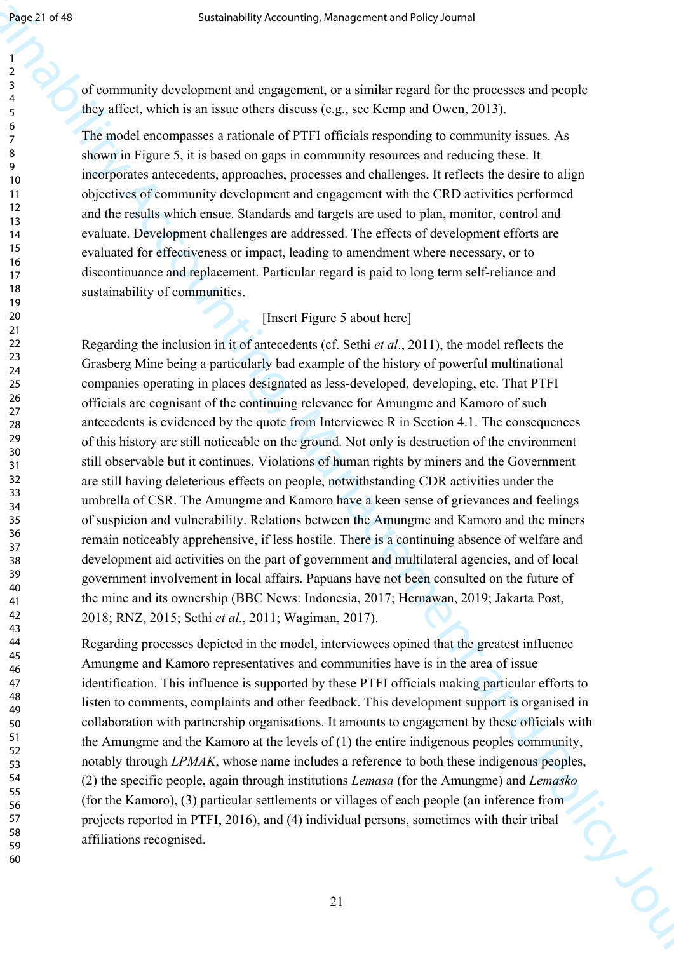of community development and engagement, or a similar regard for the processes and people they affect, which is an issue others discuss (e.g., see Kemp and Owen, 2013).

The model encompasses a rationale of PTFI officials responding to community issues. As shown in Figure 5, it is based on gaps in community resources and reducing these. It incorporates antecedents, approaches, processes and challenges. It reflects the desire to align objectives of community development and engagement with the CRD activities performed and the results which ensue. Standards and targets are used to plan, monitor, control and evaluate. Development challenges are addressed. The effects of development efforts are evaluated for effectiveness or impact, leading to amendment where necessary, or to discontinuance and replacement. Particular regard is paid to long term self-reliance and sustainability of communities.

# [Insert Figure 5 about here]

Sustainability Accounting, Management and Policy Corollation (Section 2013)<br>
Sustainability Accounting Management and any other than the system of the processores, and properties<br>  $\frac{1}{2}$  and connection and Policy Journ Regarding the inclusion in it of antecedents (cf. Sethi *et al*., 2011), the model reflects the Grasberg Mine being a particularly bad example of the history of powerful multinational companies operating in places designated as less-developed, developing, etc. That PTFI officials are cognisant of the continuing relevance for Amungme and Kamoro of such antecedents is evidenced by the quote from Interviewee R in Section 4.1. The consequences of this history are still noticeable on the ground. Not only is destruction of the environment still observable but it continues. Violations of human rights by miners and the Government are still having deleterious effects on people, notwithstanding CDR activities under the umbrella of CSR. The Amungme and Kamoro have a keen sense of grievances and feelings of suspicion and vulnerability. Relations between the Amungme and Kamoro and the miners remain noticeably apprehensive, if less hostile. There is a continuing absence of welfare and development aid activities on the part of government and multilateral agencies, and of local government involvement in local affairs. Papuans have not been consulted on the future of the mine and its ownership (BBC News: Indonesia, 2017; Hernawan, 2019; Jakarta Post, 2018; RNZ, 2015; Sethi *et al.*, 2011; Wagiman, 2017).

Regarding processes depicted in the model, interviewees opined that the greatest influence Amungme and Kamoro representatives and communities have is in the area of issue identification. This influence is supported by these PTFI officials making particular efforts to listen to comments, complaints and other feedback. This development support is organised in collaboration with partnership organisations. It amounts to engagement by these officials with the Amungme and the Kamoro at the levels of (1) the entire indigenous peoples community, notably through *LPMAK*, whose name includes a reference to both these indigenous peoples, (2) the specific people, again through institutions *Lemasa* (for the Amungme) and *Lemasko* (for the Kamoro), (3) particular settlements or villages of each people (an inference from projects reported in PTFI, 2016), and (4) individual persons, sometimes with their tribal affiliations recognised.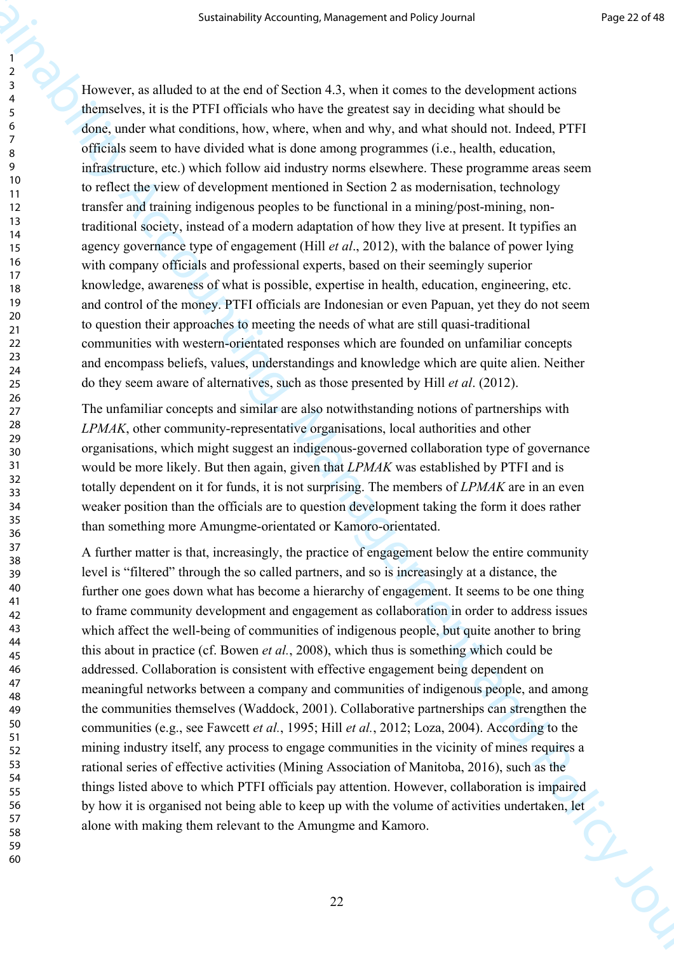Sustainability Accounting, Management and Policy Journal (1982–2014)<br>
22. The strength of the strength of the strength of the strength of the strength of the strength of the strength of the strength of the strength of the However, as alluded to at the end of Section 4.3, when it comes to the development actions themselves, it is the PTFI officials who have the greatest say in deciding what should be done, under what conditions, how, where, when and why, and what should not. Indeed, PTFI officials seem to have divided what is done among programmes (i.e., health, education, infrastructure, etc.) which follow aid industry norms elsewhere. These programme areas seem to reflect the view of development mentioned in Section 2 as modernisation, technology transfer and training indigenous peoples to be functional in a mining/post-mining, nontraditional society, instead of a modern adaptation of how they live at present. It typifies an agency governance type of engagement (Hill *et al*., 2012), with the balance of power lying with company officials and professional experts, based on their seemingly superior knowledge, awareness of what is possible, expertise in health, education, engineering, etc. and control of the money. PTFI officials are Indonesian or even Papuan, yet they do not seem to question their approaches to meeting the needs of what are still quasi-traditional communities with western-orientated responses which are founded on unfamiliar concepts and encompass beliefs, values, understandings and knowledge which are quite alien. Neither do they seem aware of alternatives, such as those presented by Hill *et al*. (2012).

The unfamiliar concepts and similar are also notwithstanding notions of partnerships with *LPMAK*, other community-representative organisations, local authorities and other organisations, which might suggest an indigenous-governed collaboration type of governance would be more likely. But then again, given that *LPMAK* was established by PTFI and is totally dependent on it for funds, it is not surprising. The members of *LPMAK* are in an even weaker position than the officials are to question development taking the form it does rather than something more Amungme-orientated or Kamoro-orientated.

A further matter is that, increasingly, the practice of engagement below the entire community level is "filtered" through the so called partners, and so is increasingly at a distance, the further one goes down what has become a hierarchy of engagement. It seems to be one thing to frame community development and engagement as collaboration in order to address issues which affect the well-being of communities of indigenous people, but quite another to bring this about in practice (cf. Bowen *et al.*, 2008), which thus is something which could be addressed. Collaboration is consistent with effective engagement being dependent on meaningful networks between a company and communities of indigenous people, and among the communities themselves (Waddock, 2001). Collaborative partnerships can strengthen the communities (e.g., see Fawcett *et al.*, 1995; Hill *et al.*, 2012; Loza, 2004). According to the mining industry itself, any process to engage communities in the vicinity of mines requires a rational series of effective activities (Mining Association of Manitoba, 2016), such as the things listed above to which PTFI officials pay attention. However, collaboration is impaired by how it is organised not being able to keep up with the volume of activities undertaken, let<br>alone with making them relevant to the Amungme and Kamoro. alone with making them relevant to the Amungme and Kamoro.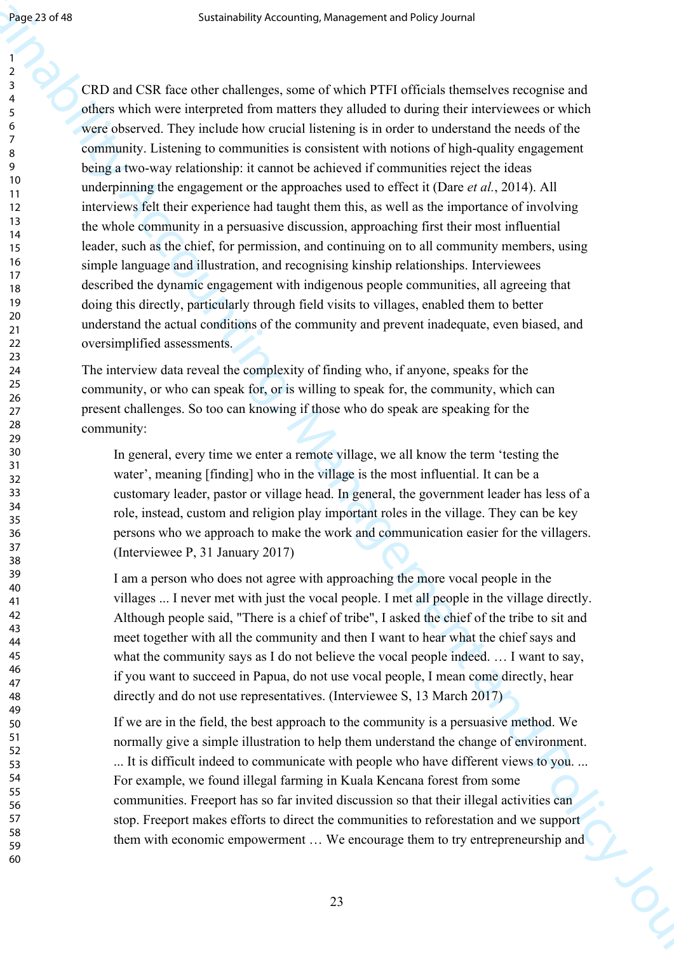Sustainability Accounting, Management and First characteristic second<br>
Sustainability Accounting Management and Sustainability of Registration Constraines<br>  $\frac{1}{2}$  CRD and CSR the order that has shown in the shalled to CRD and CSR face other challenges, some of which PTFI officials themselves recognise and others which were interpreted from matters they alluded to during their interviewees or which were observed. They include how crucial listening is in order to understand the needs of the community. Listening to communities is consistent with notions of high-quality engagement being a two-way relationship: it cannot be achieved if communities reject the ideas underpinning the engagement or the approaches used to effect it (Dare *et al.*, 2014). All interviews felt their experience had taught them this, as well as the importance of involving the whole community in a persuasive discussion, approaching first their most influential leader, such as the chief, for permission, and continuing on to all community members, using simple language and illustration, and recognising kinship relationships. Interviewees described the dynamic engagement with indigenous people communities, all agreeing that doing this directly, particularly through field visits to villages, enabled them to better understand the actual conditions of the community and prevent inadequate, even biased, and oversimplified assessments.

The interview data reveal the complexity of finding who, if anyone, speaks for the community, or who can speak for, or is willing to speak for, the community, which can present challenges. So too can knowing if those who do speak are speaking for the community:

In general, every time we enter a remote village, we all know the term 'testing the water', meaning [finding] who in the village is the most influential. It can be a customary leader, pastor or village head. In general, the government leader has less of a role, instead, custom and religion play important roles in the village. They can be key persons who we approach to make the work and communication easier for the villagers. (Interviewee P, 31 January 2017)

I am a person who does not agree with approaching the more vocal people in the villages ... I never met with just the vocal people. I met all people in the village directly. Although people said, "There is a chief of tribe", I asked the chief of the tribe to sit and meet together with all the community and then I want to hear what the chief says and what the community says as I do not believe the vocal people indeed. ... I want to say, if you want to succeed in Papua, do not use vocal people, I mean come directly, hear directly and do not use representatives. (Interviewee S, 13 March 2017)

If we are in the field, the best approach to the community is a persuasive method. We normally give a simple illustration to help them understand the change of environment. ... It is difficult indeed to communicate with people who have different views to you. ... For example, we found illegal farming in Kuala Kencana forest from some communities. Freeport has so far invited discussion so that their illegal activities can stop. Freeport makes efforts to direct the communities to reforestation and we support them with economic empowerment ... We encourage them to try entrepreneurship and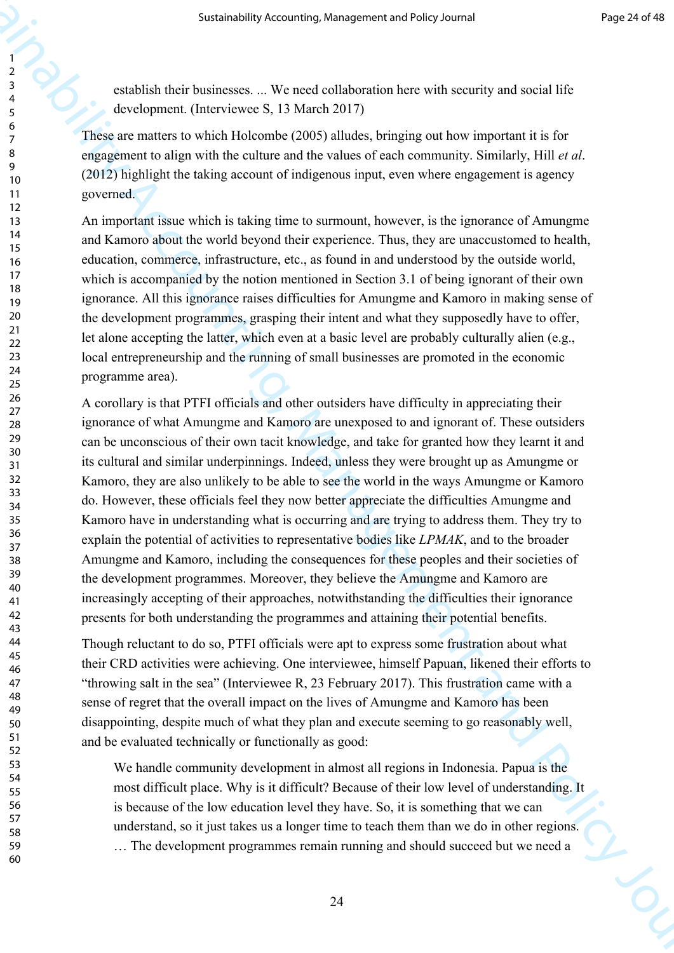establish their businesses. ... We need collaboration here with security and social life development. (Interviewee S, 13 March 2017)

These are matters to which Holcombe (2005) alludes, bringing out how important it is for engagement to align with the culture and the values of each community. Similarly, Hill *et al*. (2012) highlight the taking account of indigenous input, even where engagement is agency governed.

An important issue which is taking time to surmount, however, is the ignorance of Amungme and Kamoro about the world beyond their experience. Thus, they are unaccustomed to health, education, commerce, infrastructure, etc., as found in and understood by the outside world, which is accompanied by the notion mentioned in Section 3.1 of being ignorant of their own ignorance. All this ignorance raises difficulties for Amungme and Kamoro in making sense of the development programmes, grasping their intent and what they supposedly have to offer, let alone accepting the latter, which even at a basic level are probably culturally alien (e.g., local entrepreneurship and the running of small businesses are promoted in the economic programme area).

Sustainability Accounting, Management and Policy Accounting The Sustainability Accounting the Constitution of the Constitution of the Constitution of the Constitution of the Constitution of the Constitution of the Constit A corollary is that PTFI officials and other outsiders have difficulty in appreciating their ignorance of what Amungme and Kamoro are unexposed to and ignorant of. These outsiders can be unconscious of their own tacit knowledge, and take for granted how they learnt it and its cultural and similar underpinnings. Indeed, unless they were brought up as Amungme or Kamoro, they are also unlikely to be able to see the world in the ways Amungme or Kamoro do. However, these officials feel they now better appreciate the difficulties Amungme and Kamoro have in understanding what is occurring and are trying to address them. They try to explain the potential of activities to representative bodies like *LPMAK*, and to the broader Amungme and Kamoro, including the consequences for these peoples and their societies of the development programmes. Moreover, they believe the Amungme and Kamoro are increasingly accepting of their approaches, notwithstanding the difficulties their ignorance presents for both understanding the programmes and attaining their potential benefits.

Though reluctant to do so, PTFI officials were apt to express some frustration about what their CRD activities were achieving. One interviewee, himself Papuan, likened their efforts to "throwing salt in the sea" (Interviewee R, 23 February 2017). This frustration came with a sense of regret that the overall impact on the lives of Amungme and Kamoro has been disappointing, despite much of what they plan and execute seeming to go reasonably well, and be evaluated technically or functionally as good:

We handle community development in almost all regions in Indonesia. Papua is the most difficult place. Why is it difficult? Because of their low level of understanding. It is because of the low education level they have. So, it is something that we can understand, so it just takes us a longer time to teach them than we do in other regions. … The development programmes remain running and should succeed but we need a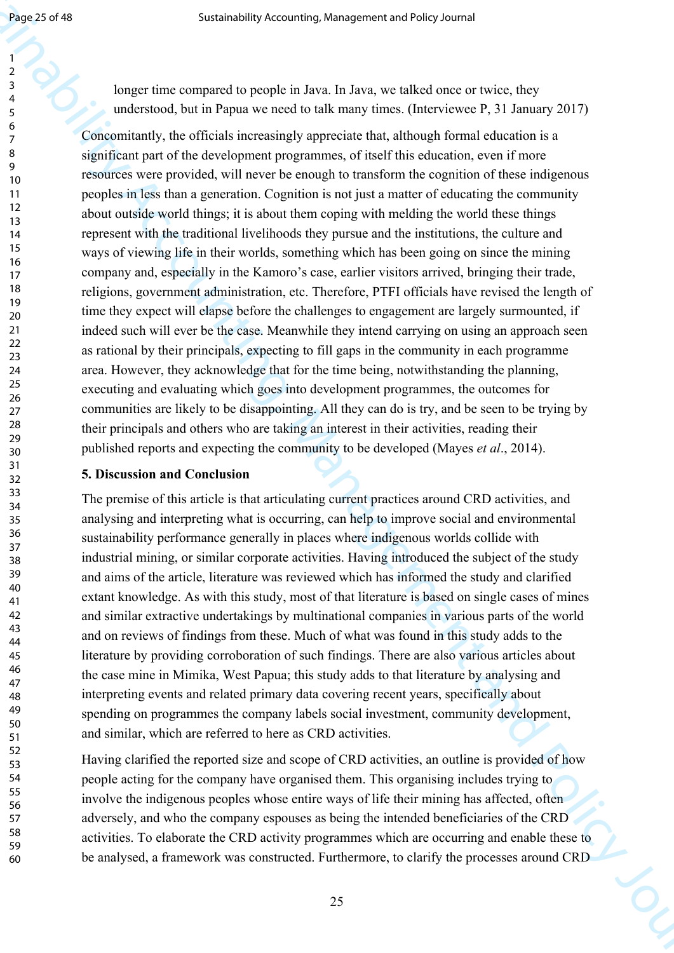59 60

longer time compared to people in Java. In Java, we talked once or twice, they understood, but in Papua we need to talk many times. (Interviewee P, 31 January 2017)

Sustainability Accounting, Management Acchied exposure and the subset of the subset of the subset of the subset of the subset of the subset of the subset of the subset of the subset of the subset of the subset of the subs Concomitantly, the officials increasingly appreciate that, although formal education is a significant part of the development programmes, of itself this education, even if more resources were provided, will never be enough to transform the cognition of these indigenous peoples in less than a generation. Cognition is not just a matter of educating the community about outside world things; it is about them coping with melding the world these things represent with the traditional livelihoods they pursue and the institutions, the culture and ways of viewing life in their worlds, something which has been going on since the mining company and, especially in the Kamoro's case, earlier visitors arrived, bringing their trade, religions, government administration, etc. Therefore, PTFI officials have revised the length of time they expect will elapse before the challenges to engagement are largely surmounted, if indeed such will ever be the case. Meanwhile they intend carrying on using an approach seen as rational by their principals, expecting to fill gaps in the community in each programme area. However, they acknowledge that for the time being, notwithstanding the planning, executing and evaluating which goes into development programmes, the outcomes for communities are likely to be disappointing. All they can do is try, and be seen to be trying by their principals and others who are taking an interest in their activities, reading their published reports and expecting the community to be developed (Mayes *et al*., 2014).

# **5. Discussion and Conclusion**

The premise of this article is that articulating current practices around CRD activities, and analysing and interpreting what is occurring, can help to improve social and environmental sustainability performance generally in places where indigenous worlds collide with industrial mining, or similar corporate activities. Having introduced the subject of the study and aims of the article, literature was reviewed which has informed the study and clarified extant knowledge. As with this study, most of that literature is based on single cases of mines and similar extractive undertakings by multinational companies in various parts of the world and on reviews of findings from these. Much of what was found in this study adds to the literature by providing corroboration of such findings. There are also various articles about the case mine in Mimika, West Papua; this study adds to that literature by analysing and interpreting events and related primary data covering recent years, specifically about spending on programmes the company labels social investment, community development, and similar, which are referred to here as CRD activities.

Having clarified the reported size and scope of CRD activities, an outline is provided of how people acting for the company have organised them. This organising includes trying to involve the indigenous peoples whose entire ways of life their mining has affected, often adversely, and who the company espouses as being the intended beneficiaries of the CRD activities. To elaborate the CRD activity programmes which are occurring and enable these to be analysed, a framework was constructed. Furthermore, to clarify the processes around CRD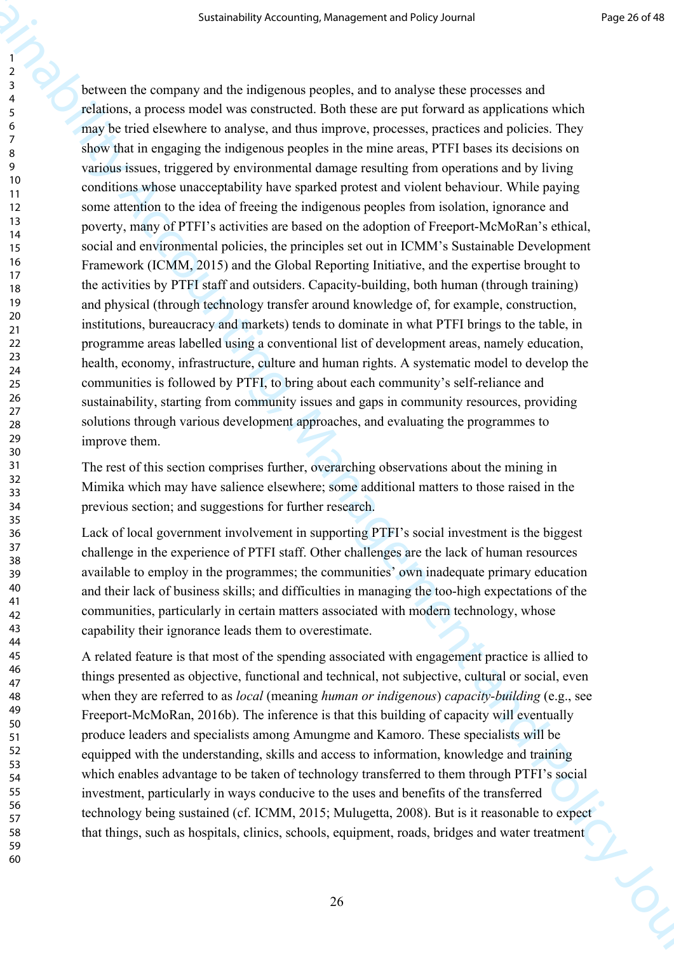Sustainability Accounting, the<br>separate shell of the stationary control of the stationary of the stationary of the stationary<br>distinction of the stationary of the stationary of the stationary formula is equipled<br>to the st between the company and the indigenous peoples, and to analyse these processes and relations, a process model was constructed. Both these are put forward as applications which may be tried elsewhere to analyse, and thus improve, processes, practices and policies. They show that in engaging the indigenous peoples in the mine areas, PTFI bases its decisions on various issues, triggered by environmental damage resulting from operations and by living conditions whose unacceptability have sparked protest and violent behaviour. While paying some attention to the idea of freeing the indigenous peoples from isolation, ignorance and poverty, many of PTFI's activities are based on the adoption of Freeport-McMoRan's ethical, social and environmental policies, the principles set out in ICMM's Sustainable Development Framework (ICMM, 2015) and the Global Reporting Initiative, and the expertise brought to the activities by PTFI staff and outsiders. Capacity-building, both human (through training) and physical (through technology transfer around knowledge of, for example, construction, institutions, bureaucracy and markets) tends to dominate in what PTFI brings to the table, in programme areas labelled using a conventional list of development areas, namely education, health, economy, infrastructure, culture and human rights. A systematic model to develop the communities is followed by PTFI, to bring about each community's self-reliance and sustainability, starting from community issues and gaps in community resources, providing solutions through various development approaches, and evaluating the programmes to improve them.

The rest of this section comprises further, overarching observations about the mining in Mimika which may have salience elsewhere; some additional matters to those raised in the previous section; and suggestions for further research.

Lack of local government involvement in supporting PTFI's social investment is the biggest challenge in the experience of PTFI staff. Other challenges are the lack of human resources available to employ in the programmes; the communities' own inadequate primary education and their lack of business skills; and difficulties in managing the too-high expectations of the communities, particularly in certain matters associated with modern technology, whose capability their ignorance leads them to overestimate.

A related feature is that most of the spending associated with engagement practice is allied to things presented as objective, functional and technical, not subjective, cultural or social, even when they are referred to as *local* (meaning *human or indigenous*) *capacity-building* (e.g., see Freeport-McMoRan, 2016b). The inference is that this building of capacity will eventually produce leaders and specialists among Amungme and Kamoro. These specialists will be equipped with the understanding, skills and access to information, knowledge and training which enables advantage to be taken of technology transferred to them through PTFI's social investment, particularly in ways conducive to the uses and benefits of the transferred technology being sustained (cf. ICMM, 2015; Mulugetta, 2008). But is it reasonable to expect that things, such as hospitals, clinics, schools, equipment, roads, bridges and water treatment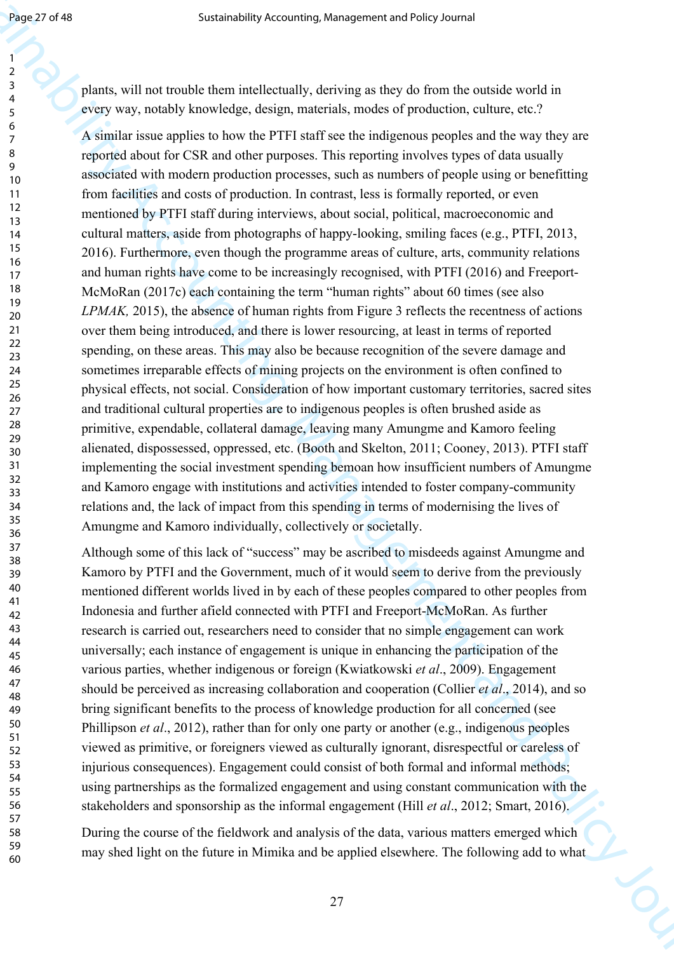plants, will not trouble them intellectually, deriving as they do from the outside world in every way, notably knowledge, design, materials, modes of production, culture, etc.?

Sustainability Accounting, Management and the periodic of the medicine and  $\lambda$  of the state of the state of the state of the state of the state of the state of the state of the state of the state of the state of the stat A similar issue applies to how the PTFI staff see the indigenous peoples and the way they are reported about for CSR and other purposes. This reporting involves types of data usually associated with modern production processes, such as numbers of people using or benefitting from facilities and costs of production. In contrast, less is formally reported, or even mentioned by PTFI staff during interviews, about social, political, macroeconomic and cultural matters, aside from photographs of happy-looking, smiling faces (e.g., PTFI, 2013, 2016). Furthermore, even though the programme areas of culture, arts, community relations and human rights have come to be increasingly recognised, with PTFI (2016) and Freeport-McMoRan (2017c) each containing the term "human rights" about 60 times (see also *LPMAK,* 2015), the absence of human rights from Figure 3 reflects the recentness of actions over them being introduced, and there is lower resourcing, at least in terms of reported spending, on these areas. This may also be because recognition of the severe damage and sometimes irreparable effects of mining projects on the environment is often confined to physical effects, not social. Consideration of how important customary territories, sacred sites and traditional cultural properties are to indigenous peoples is often brushed aside as primitive, expendable, collateral damage, leaving many Amungme and Kamoro feeling alienated, dispossessed, oppressed, etc. (Booth and Skelton, 2011; Cooney, 2013). PTFI staff implementing the social investment spending bemoan how insufficient numbers of Amungme and Kamoro engage with institutions and activities intended to foster company-community relations and, the lack of impact from this spending in terms of modernising the lives of Amungme and Kamoro individually, collectively or societally.

Although some of this lack of "success" may be ascribed to misdeeds against Amungme and Kamoro by PTFI and the Government, much of it would seem to derive from the previously mentioned different worlds lived in by each of these peoples compared to other peoples from Indonesia and further afield connected with PTFI and Freeport-McMoRan. As further research is carried out, researchers need to consider that no simple engagement can work universally; each instance of engagement is unique in enhancing the participation of the various parties, whether indigenous or foreign (Kwiatkowski *et al*., 2009). Engagement should be perceived as increasing collaboration and cooperation (Collier *et al*., 2014), and so bring significant benefits to the process of knowledge production for all concerned (see Phillipson *et al*., 2012), rather than for only one party or another (e.g., indigenous peoples viewed as primitive, or foreigners viewed as culturally ignorant, disrespectful or careless of injurious consequences). Engagement could consist of both formal and informal methods; using partnerships as the formalized engagement and using constant communication with the stakeholders and sponsorship as the informal engagement (Hill *et al*., 2012; Smart, 2016).

During the course of the fieldwork and analysis of the data, various matters emerged which may shed light on the future in Mimika and be applied elsewhere. The following add to what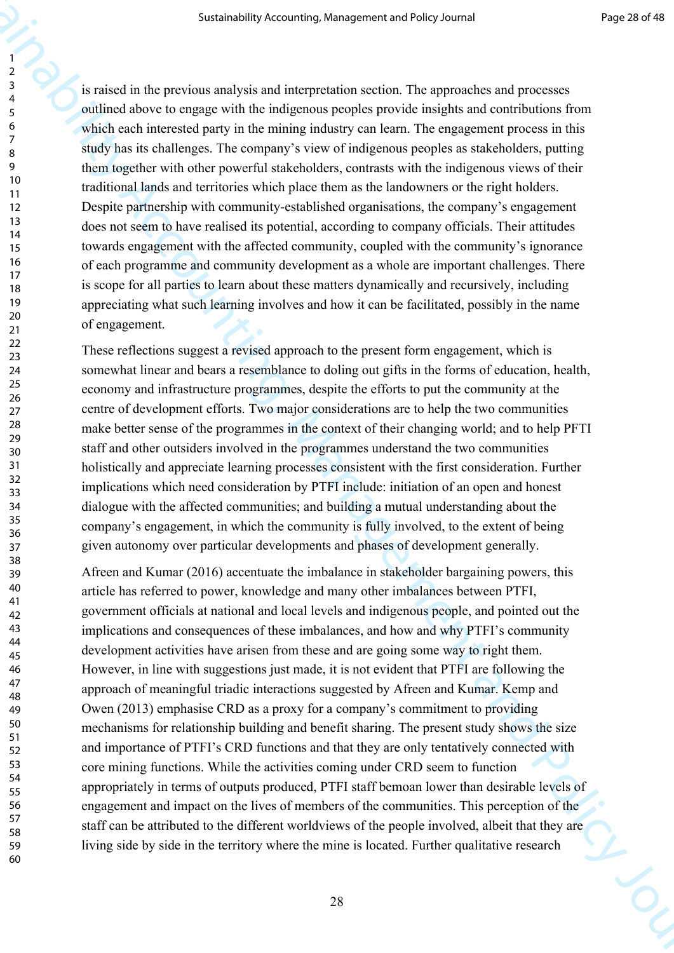is raised in the previous analysis and interpretation section. The approaches and processes outlined above to engage with the indigenous peoples provide insights and contributions from which each interested party in the mining industry can learn. The engagement process in this study has its challenges. The company's view of indigenous peoples as stakeholders, putting them together with other powerful stakeholders, contrasts with the indigenous views of their traditional lands and territories which place them as the landowners or the right holders. Despite partnership with community-established organisations, the company's engagement does not seem to have realised its potential, according to company officials. Their attitudes towards engagement with the affected community, coupled with the community's ignorance of each programme and community development as a whole are important challenges. There is scope for all parties to learn about these matters dynamically and recursively, including appreciating what such learning involves and how it can be facilitated, possibly in the name of engagement.

These reflections suggest a revised approach to the present form engagement, which is somewhat linear and bears a resemblance to doling out gifts in the forms of education, health, economy and infrastructure programmes, despite the efforts to put the community at the centre of development efforts. Two major considerations are to help the two communities make better sense of the programmes in the context of their changing world; and to help PFTI staff and other outsiders involved in the programmes understand the two communities holistically and appreciate learning processes consistent with the first consideration. Further implications which need consideration by PTFI include: initiation of an open and honest dialogue with the affected communities; and building a mutual understanding about the company's engagement, in which the community is fully involved, to the extent of being given autonomy over particular developments and phases of development generally.

Sustainability Accounting, Management and the proposition of Pacific Control (1972)<br>
2. A control of the provision analysis and the interpretation action. The approximate and processes<br>
4. control of the set of the set of Afreen and Kumar (2016) accentuate the imbalance in stakeholder bargaining powers, this article has referred to power, knowledge and many other imbalances between PTFI, government officials at national and local levels and indigenous people, and pointed out the implications and consequences of these imbalances, and how and why PTFI's community development activities have arisen from these and are going some way to right them. However, in line with suggestions just made, it is not evident that PTFI are following the approach of meaningful triadic interactions suggested by Afreen and Kumar. Kemp and Owen (2013) emphasise CRD as a proxy for a company's commitment to providing mechanisms for relationship building and benefit sharing. The present study shows the size and importance of PTFI's CRD functions and that they are only tentatively connected with core mining functions. While the activities coming under CRD seem to function appropriately in terms of outputs produced, PTFI staff bemoan lower than desirable levels of engagement and impact on the lives of members of the communities. This perception of the staff can be attributed to the different worldviews of the people involved, albeit that they are living side by side in the territory where the mine is located. Further qualitative research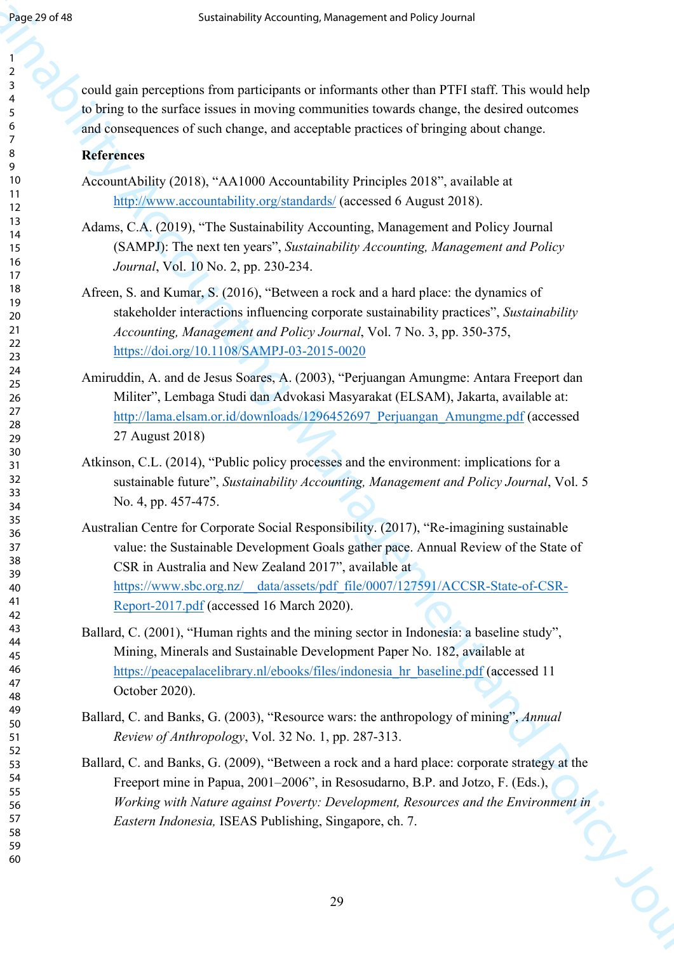could gain perceptions from participants or informants other than PTFI staff. This would help to bring to the surface issues in moving communities towards change, the desired outcomes and consequences of such change, and acceptable practices of bringing about change.

# **References**

- AccountAbility (2018), "AA1000 Accountability Principles 2018", available at http://www.accountability.org/standards/ (accessed 6 August 2018).
- Adams, C.A. (2019), "The Sustainability Accounting, Management and Policy Journal (SAMPJ): The next ten years", *Sustainability Accounting, Management and Policy Journal*, Vol. 10 No. 2, pp. 230-234.
- Afreen, S. and Kumar, S. (2016), "Between a rock and a hard place: the dynamics of stakeholder interactions influencing corporate sustainability practices", *Sustainability Accounting, Management and Policy Journal*, Vol. 7 No. 3, pp. 350-375, https://doi.org/10.1108/SAMPJ-03-2015-0020
- Amiruddin, A. and de Jesus Soares, A. (2003), "Perjuangan Amungme: Antara Freeport dan Militer", Lembaga Studi dan Advokasi Masyarakat (ELSAM), Jakarta, available at: http://lama.elsam.or.id/downloads/1296452697\_Perjuangan\_Amungme.pdf (accessed 27 August 2018)
- Atkinson, C.L. (2014), "Public policy processes and the environment: implications for a sustainable future", *Sustainability Accounting, Management and Policy Journal*, Vol. 5 No. 4, pp. 457-475.
- From EV Sustainability [Ac](http://www.accountability.org/standards/)coun[tin](https://doi.org/10.1108/SAMPJ-03-2015-0020)[g, M](http://lama.elsam.or.id/downloads/1296452697_Perjuangan_Amungme.pdf)anage[m](https://www.sbc.org.nz/__data/assets/pdf_file/0007/127591/ACCSR-State-of-CSR-Report-2017.pdf)en[t a](https://peacepalacelibrary.nl/ebooks/files/indonesia_hr_baseline.pdf)nd From TFI calf This would help<br>  $\frac{2}{3}$  could give perception from perticposite and intermediation to the first TFI calf This would be<br>  $\frac{2}{3}$  could give perception fr Australian Centre for Corporate Social Responsibility. (2017), "Re-imagining sustainable value: the Sustainable Development Goals gather pace. Annual Review of the State of CSR in Australia and New Zealand 2017", available at https://www.sbc.org.nz/\_\_data/assets/pdf\_file/0007/127591/ACCSR-State-of-CSR-Report-2017.pdf (accessed 16 March 2020).
	- Ballard, C. (2001), "Human rights and the mining sector in Indonesia: a baseline study", Mining, Minerals and Sustainable Development Paper No. 182, available at https://peacepalacelibrary.nl/ebooks/files/indonesia hr\_baseline.pdf (accessed 11 October 2020).
	- Ballard, C. and Banks, G. (2003), "Resource wars: the anthropology of mining", *Annual Review of Anthropology*, Vol. 32 No. 1, pp. 287-313.
	- Ballard, C. and Banks, G. (2009), "Between a rock and a hard place: corporate strategy at the Freeport mine in Papua, 2001–2006", in Resosudarno, B.P. and Jotzo, F. (Eds.), *Working with Nature against Poverty: Development, Resources and the Environment in*<br>Eastern Indonesia, ISEAS Publishing, Singapore, ch. 7. *Eastern Indonesia,* ISEAS Publishing, Singapore, ch. 7.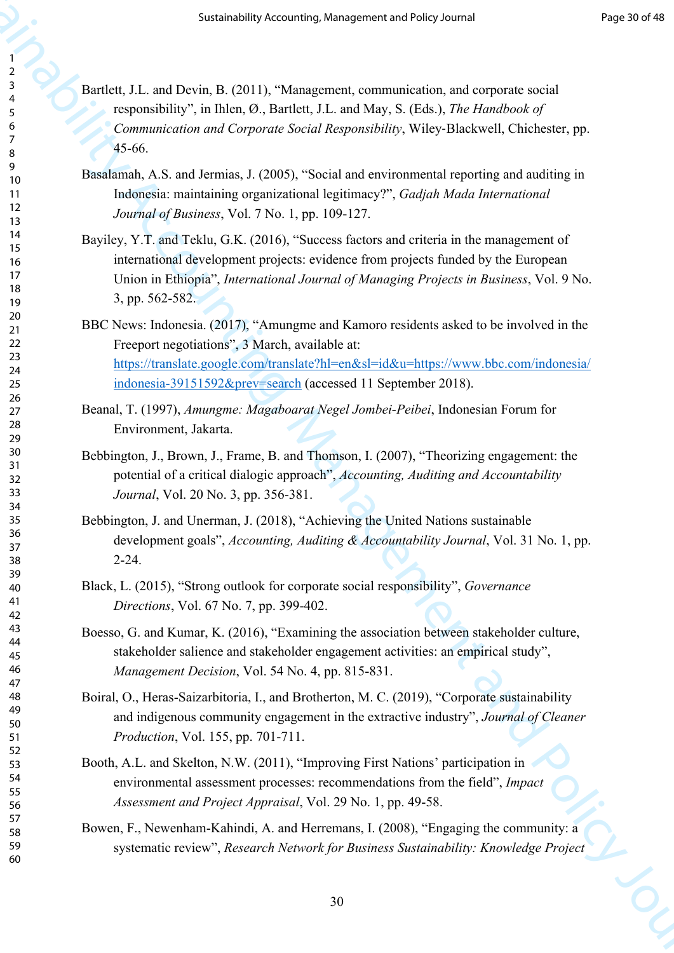- Bartlett, J.L. and Devin, B. (2011), "Management, communication, and corporate social responsibility", in Ihlen, Ø., Bartlett, J.L. and May, S. (Eds.), *The Handbook of Communication and Corporate Social Responsibility*, Wiley‐Blackwell, Chichester, pp. 45-66.
- Basalamah, A.S. and Jermias, J. (2005), "Social and environmental reporting and auditing in Indonesia: maintaining organizational legitimacy?", *Gadjah Mada International Journal of Business*, Vol. 7 No. 1, pp. 109-127.
- Sustainability Accounti[ng](https://translate.google.com/translate?hl=en&sl=id&u=https://www.bbc.com/indonesia/indonesia-39151592&prev=search), Management and Policy Journal (1988)<br>
Analistics Accounting Accounting and Construction and composite oriental<br>
(1980-1980-1981), "Management and membersion and composite oriental<br>
(1980-1981), Bayiley, Y.T. and Teklu, G.K. (2016), "Success factors and criteria in the management of international development projects: evidence from projects funded by the European Union in Ethiopia", *International Journal of Managing Projects in Business*, Vol. 9 No. 3, pp. 562-582.
	- BBC News: Indonesia. (2017), "Amungme and Kamoro residents asked to be involved in the Freeport negotiations", 3 March, available at: https://translate.google.com/translate?hl=en&sl=id&u=https://www.bbc.com/indonesia/ indonesia-39151592&prev=search (accessed 11 September 2018).
	- Beanal, T. (1997), *Amungme: Magaboarat Negel Jombei-Peibei*, Indonesian Forum for Environment, Jakarta.
	- Bebbington, J., Brown, J., Frame, B. and Thomson, I. (2007), "Theorizing engagement: the potential of a critical dialogic approach", *Accounting, Auditing and Accountability Journal*, Vol. 20 No. 3, pp. 356-381.
	- Bebbington, J. and Unerman, J. (2018), "Achieving the United Nations sustainable development goals", *Accounting, Auditing & Accountability Journal*, Vol. 31 No. 1, pp. 2-24.
	- Black, L. (2015), "Strong outlook for corporate social responsibility", *Governance Directions*, Vol. 67 No. 7, pp. 399-402.
	- Boesso, G. and Kumar, K. (2016), "Examining the association between stakeholder culture, stakeholder salience and stakeholder engagement activities: an empirical study", *Management Decision*, Vol. 54 No. 4, pp. 815-831.
	- Boiral, O., Heras-Saizarbitoria, I., and Brotherton, M. C. (2019), "Corporate sustainability and indigenous community engagement in the extractive industry", *Journal of Cleaner Production*, Vol. 155, pp. 701-711.
	- Booth, A.L. and Skelton, N.W. (2011), "Improving First Nations' participation in environmental assessment processes: recommendations from the field", *Impact Assessment and Project Appraisal*, Vol. 29 No. 1, pp. 49-58.
	- Bowen, F., Newenham-Kahindi, A. and Herremans, I. (2008), "Engaging the community: a systematic review", *Research Network for Business Sustainability: Knowledge Project*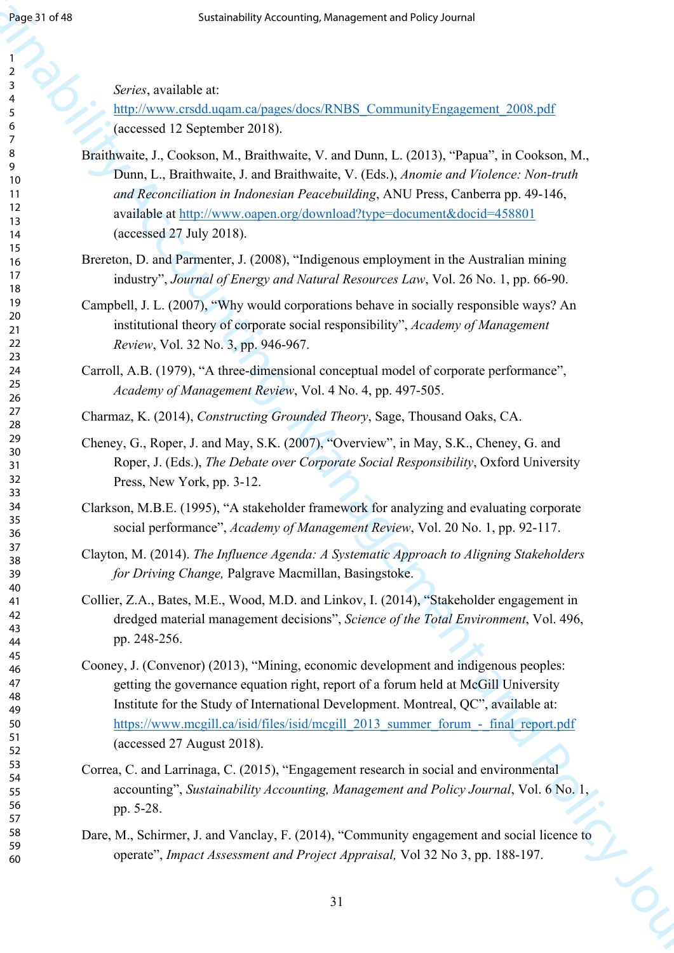*Series*, available at:

http://www.crsdd.uqam.ca/pages/docs/RNBS\_CommunityEngagement\_2008.pdf (accessed 12 September 2018).

- Sustainability Accounting, Management a[nd](https://www.mcgill.ca/isid/files/isid/mcgill_2013_summer_forum_-_final_report.pdf) Folicy Journal of Eq. (3) Sustainability Accounting the second of Eq. (3) Sustainability Accounting the Constraints of Eq. (3) Sustainability (3) Sustainability (3) Sustainability Braithwaite, J., Cookson, M., Braithwaite, V. and Dunn, L. (2013), "Papua", in Cookson, M., Dunn, L., Braithwaite, J. and Braithwaite, V. (Eds.), *Anomie and Violence: Non-truth and Reconciliation in Indonesian Peacebuilding*, ANU Press, Canberra pp. 49-146, available at http://www.oapen.org/download?type=document&docid=458801 (accessed 27 July 2018).
	- Brereton, D. and Parmenter, J. (2008), "Indigenous employment in the Australian mining industry", *Journal of Energy and Natural Resources Law*, Vol. 26 No. 1, pp. 66-90.
	- Campbell, J. L. (2007), "Why would corporations behave in socially responsible ways? An institutional theory of corporate social responsibility", *Academy of Management Review*, Vol. 32 No. 3, pp. 946-967.

Carroll, A.B. (1979), "A three-dimensional conceptual model of corporate performance", *Academy of Management Review*, Vol. 4 No. 4, pp. 497-505.

Charmaz, K. (2014), *Constructing Grounded Theory*, Sage, Thousand Oaks, CA.

- Cheney, G., Roper, J. and May, S.K. (2007), "Overview", in May, S.K., Cheney, G. and Roper, J. (Eds.), *The Debate over Corporate Social Responsibility*, Oxford University Press, New York, pp. 3-12.
- Clarkson, M.B.E. (1995), "A stakeholder framework for analyzing and evaluating corporate social performance", *Academy of Management Review*, Vol. 20 No. 1, pp. 92-117.

Clayton, M. (2014). *The Influence Agenda: A Systematic Approach to Aligning Stakeholders for Driving Change,* Palgrave Macmillan, Basingstoke.

- Collier, Z.A., Bates, M.E., Wood, M.D. and Linkov, I. (2014), "Stakeholder engagement in dredged material management decisions", *Science of the Total Environment*, Vol. 496, pp. 248-256.
- Cooney, J. (Convenor) (2013), "Mining, economic development and indigenous peoples: getting the governance equation right, report of a forum held at McGill University Institute for the Study of International Development. Montreal, QC", available at: https://www.mcgill.ca/isid/files/isid/mcgill\_2013\_summer\_forum\_-\_final\_report.pdf (accessed 27 August 2018).
- Correa, C. and Larrinaga, C. (2015), "Engagement research in social and environmental accounting", *Sustainability Accounting, Management and Policy Journal*, Vol. 6 No. 1, pp. 5-28.
- Dare, M., Schirmer, J. and Vanclay, F. (2014), "Community engagement and social licence to operate", *Impact Assessment and Project Appraisal,* Vol 32 No 3, pp. 188-197.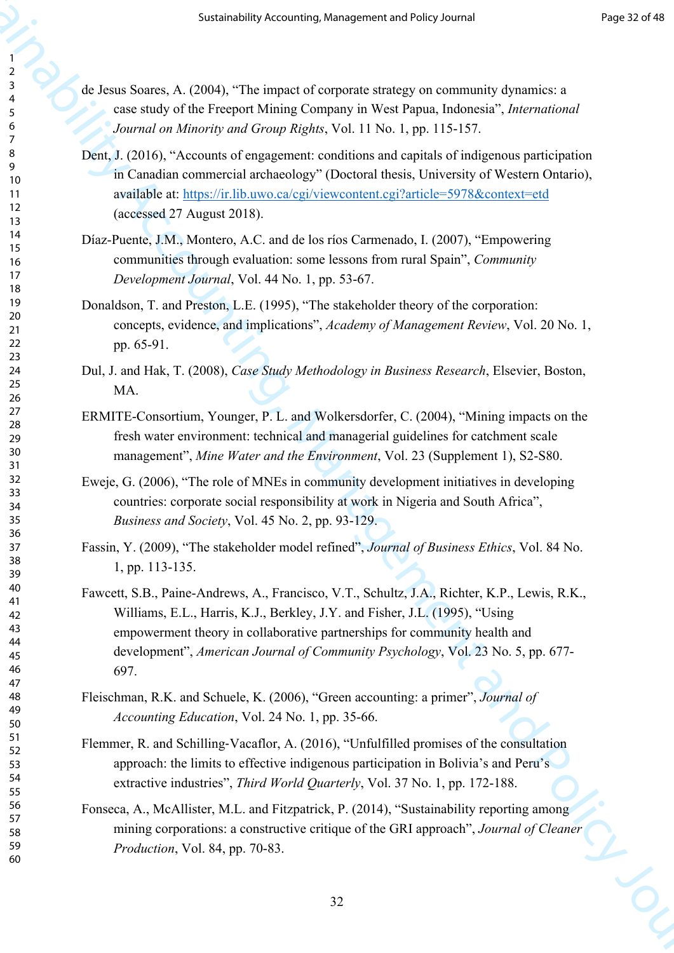- de Jesus Soares, A. (2004), "The impact of corporate strategy on community dynamics: a case study of the Freeport Mining Company in West Papua, Indonesia", *International Journal on Minority and Group Rights*, Vol. 11 No. 1, pp. 115-157.
- Dent, J. (2016), "Accounts of engagement: conditions and capitals of indigenous participation in Canadian commercial archaeology" (Doctoral thesis, University of Western Ontario), available at: https://ir.lib.uwo.ca/cgi/viewcontent.cgi?article=5978&context=etd (accessed 27 August 2018).
- Díaz-Puente, J.M., Montero, A.C. and de los ríos Carmenado, I. (2007), "Empowering communities through evaluation: some lessons from rural Spain", *Community Development Journal*, Vol. 44 No. 1, pp. 53-67.
- Donaldson, T. and Preston, L.E. (1995), "The stakeholder theory of the corporation: concepts, evidence, and implications", *Academy of Management Review*, Vol. 20 No. 1, pp. 65-91.
- Dul, J. and Hak, T. (2008), *Case Study Methodology in Business Research*, Elsevier, Boston, MA.
- ERMITE-Consortium, Younger, P. L. and Wolkersdorfer, C. (2004), "Mining impacts on the fresh water environment: technical and managerial guidelines for catchment scale management", *Mine Water and the Environment*, Vol. 23 (Supplement 1), S2-S80.
- Eweje, G. (2006), "The role of MNEs in community development initiatives in developing countries: corporate social responsibility at work in Nigeria and South Africa", *Business and Society*, Vol. 45 No. 2, pp. 93-129.
- Fassin, Y. (2009), "The stakeholder model refined", *Journal of Business Ethics*, Vol. 84 No. 1, pp. 113-135.
- Sustainability Accounting, Management and Policy Journal Properties<br>
2. A discussion of the Franchistan Company in a West Paper Library of the Sustainability<br>
2. A discussion of the Franchistan Company in a West Paper Lib Fawcett, S.B., Paine-Andrews, A., Francisco, V.T., Schultz, J.A., Richter, K.P., Lewis, R.K., Williams, E.L., Harris, K.J., Berkley, J.Y. and Fisher, J.L. (1995), "Using empowerment theory in collaborative partnerships for community health and development", *American Journal of Community Psychology*, Vol. 23 No. 5, pp. 677- 697.
	- Fleischman, R.K. and Schuele, K. (2006), "Green accounting: a primer", *Journal of Accounting Education*, Vol. 24 No. 1, pp. 35-66.
	- Flemmer, R. and Schilling‐Vacaflor, A. (2016), "Unfulfilled promises of the consultation approach: the limits to effective indigenous participation in Bolivia's and Peru's extractive industries", *Third World Quarterly*, Vol. 37 No. 1, pp. 172-188.
	- Fonseca, A., McAllister, M.L. and Fitzpatrick, P. (2014), "Sustainability reporting among mining corporations: a constructive critique of the GRI approach", *Journal of Cleaner Production*, Vol. 84, pp. 70-83.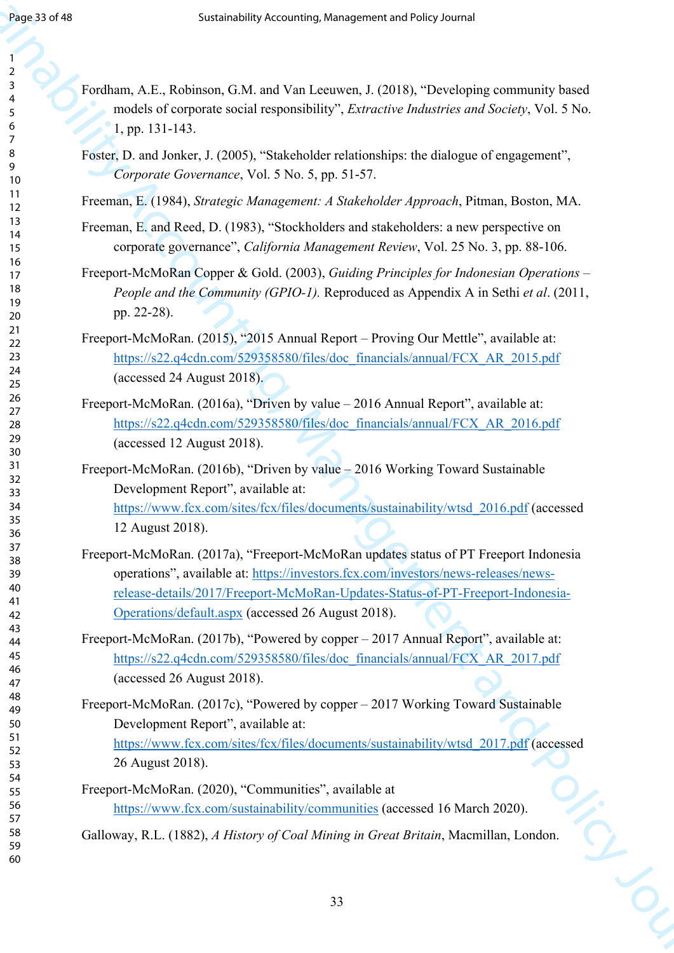From 1974<br>
Susta[in](https://s22.q4cdn.com/529358580/files/doc_financials/annual/FCX_AR_2015.pdf)ability Accounting[, M](https://s22.q4cdn.com/529358580/files/doc_financials/annual/FCX_AR_2016.pdf)a[nag](https://www.fcx.com/sites/fcx/files/documents/sustainability/wtsd_2016.pdf)[eme](https://investors.fcx.com/investors/news-releases/news-release-details/2017/Freeport-McMoRan-Updates-Status-of-PT-Freeport-Indonesia-Operations/default.aspx)[nt](https://s22.q4cdn.com/529358580/files/doc_financials/annual/FCX_AR_2017.pdf) an[d](https://www.fcx.com/sites/fcx/files/documents/sustainability/wtsd_2017.pdf) Policy Journal (1980)<br>
Sustering A. F. Reinhard, C. H. and Yue Lamour, J. (2018), "Dendroping community has<br>
subsets of corporation and its intermediate relationship an Fordham, A.E., Robinson, G.M. and Van Leeuwen, J. (2018), "Developing community based models of corporate social responsibility", *Extractive Industries and Society*, Vol. 5 No. 1, pp. 131-143. Foster, D. and Jonker, J. (2005), "Stakeholder relationships: the dialogue of engagement", *Corporate Governance*, Vol. 5 No. 5, pp. 51-57. Freeman, E. (1984), *Strategic Management: A Stakeholder Approach*, Pitman, Boston, MA. Freeman, E. and Reed, D. (1983), "Stockholders and stakeholders: a new perspective on corporate governance", *California Management Review*, Vol. 25 No. 3, pp. 88-106. Freeport-McMoRan Copper & Gold. (2003), *Guiding Principles for Indonesian Operations – People and the Community (GPIO-1).* Reproduced as Appendix A in Sethi *et al*. (2011, pp. 22-28). Freeport-McMoRan. (2015), "2015 Annual Report – Proving Our Mettle", available at: https://s22.q4cdn.com/529358580/files/doc\_financials/annual/FCX\_AR\_2015.pdf (accessed 24 August 2018). Freeport-McMoRan. (2016a), "Driven by value – 2016 Annual Report", available at: https://s22.q4cdn.com/529358580/files/doc\_financials/annual/FCX\_AR\_2016.pdf (accessed 12 August 2018). Freeport-McMoRan. (2016b), "Driven by value – 2016 Working Toward Sustainable Development Report", available at: https://www.fcx.com/sites/fcx/files/documents/sustainability/wtsd\_2016.pdf (accessed 12 August 2018). Freeport-McMoRan. (2017a), "Freeport-McMoRan updates status of PT Freeport Indonesia operations", available at: https://investors.fcx.com/investors/news-releases/newsrelease-details/2017/Freeport-McMoRan-Updates-Status-of-PT-Freeport-Indonesia-Operations/default.aspx (accessed 26 August 2018). Freeport-McMoRan. (2017b), "Powered by copper – 2017 Annual Report", available at: https://s22.q4cdn.com/529358580/files/doc\_financials/annual/FCX\_AR\_2017.pdf (accessed 26 August 2018). Freeport-McMoRan. (2017c), "Powered by copper – 2017 Working Toward Sustainable Development Report", available at: https://www.fcx.com/sites/fcx/files/documents/sustainability/wtsd\_2017.pdf (accessed 26 August 2018). Freeport-McMoRan. (2020), "Communities", available at 

https://www.fcx.com/sustainability/communities (accessed 16 March 2020).

Galloway, R.L. (1882), *A History of Coal Mining in Great Britain*, Macmillan, London.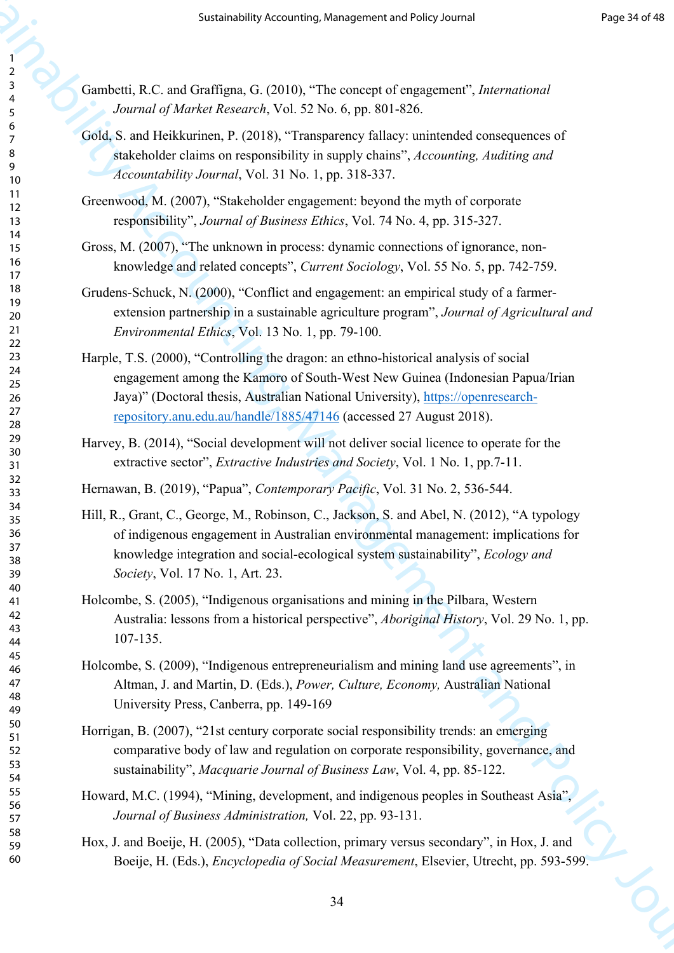Gambetti, R.C. and Graffigna, G. (2010), "The concept of engagement", *International Journal of Market Research*, Vol. 52 No. 6, pp. 801-826.

- Gold, S. and Heikkurinen, P. (2018), "Transparency fallacy: unintended consequences of stakeholder claims on responsibility in supply chains", *Accounting, Auditing and Accountability Journal*, Vol. 31 No. 1, pp. 318-337.
- Greenwood, M. (2007), "Stakeholder engagement: beyond the myth of corporate responsibility", *Journal of Business Ethics*, Vol. 74 No. 4, pp. 315-327.
- Gross, M. (2007), "The unknown in process: dynamic connections of ignorance, nonknowledge and related concepts", *Current Sociology*, Vol. 55 No. 5, pp. 742-759.
- Grudens-Schuck, N. (2000), "Conflict and engagement: an empirical study of a farmerextension partnership in a sustainable agriculture program", *Journal of Agricultural and Environmental Ethics*, Vol. 13 No. 1, pp. 79-100.
- Harple, T.S. (2000), "Controlling the dragon: an ethno-historical analysis of social engagement among the Kamoro of South-West New Guinea (Indonesian Papua/Irian Jaya)" (Doctoral thesis, Australian National University), https://openresearchrepository.anu.edu.au/handle/1885/47146 (accessed 27 August 2018).
- Harvey, B. (2014), "Social development will not deliver social licence to operate for the extractive sector", *Extractive Industries and Society*, Vol. 1 No. 1, pp.7-11.

Hernawan, B. (2019), "Papua", *Contemporary Pacific*, Vol. 31 No. 2, 536-544.

- Sustainability Accountin[g, M](https://openresearch-repository.anu.edu.au/handle/1885/47146)anagement and Policy Accounting<br>
Sustainability Accounting (C) (2) No. 6, pp. 301-526;<br>
Sustainability Accounting Policy Accounting Policy Consults of the set of the set of the set of the set o Hill, R., Grant, C., George, M., Robinson, C., Jackson, S. and Abel, N. (2012), "A typology of indigenous engagement in Australian environmental management: implications for knowledge integration and social-ecological system sustainability", *Ecology and Society*, Vol. 17 No. 1, Art. 23.
	- Holcombe, S. (2005), "Indigenous organisations and mining in the Pilbara, Western Australia: lessons from a historical perspective", *Aboriginal History*, Vol. 29 No. 1, pp. 107-135.
	- Holcombe, S. (2009), "Indigenous entrepreneurialism and mining land use agreements", in Altman, J. and Martin, D. (Eds.), *Power, Culture, Economy,* Australian National University Press, Canberra, pp. 149-169
	- Horrigan, B. (2007), "21st century corporate social responsibility trends: an emerging comparative body of law and regulation on corporate responsibility, governance, and sustainability", *Macquarie Journal of Business Law*, Vol. 4, pp. 85-122.
	- Howard, M.C. (1994), "Mining, development, and indigenous peoples in Southeast Asia", *Journal of Business Administration,* Vol. 22, pp. 93-131.
	- Hox, J. and Boeije, H. (2005), "Data collection, primary versus secondary", in Hox, J. and Boeije, H. (Eds.), *Encyclopedia of Social Measurement*, Elsevier, Utrecht, pp. 593-599.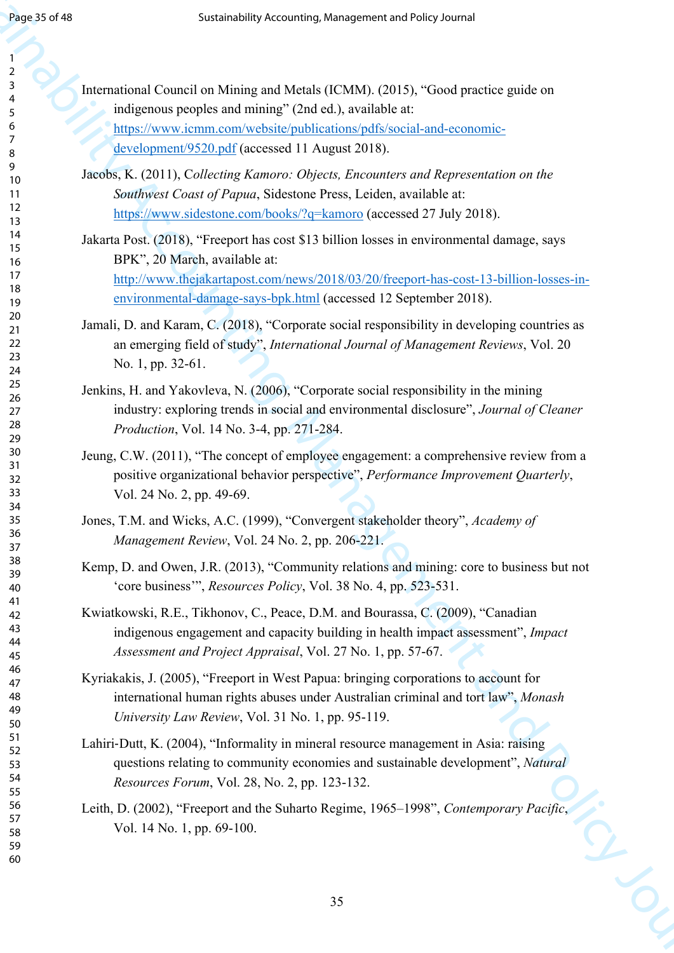| 2                            |
|------------------------------|
| ₹                            |
|                              |
| 4                            |
| 5                            |
| 6                            |
|                              |
|                              |
| 8                            |
| $\mathbf$<br>)               |
|                              |
| 10                           |
| 11                           |
| $\mathbf{1}$<br>C            |
|                              |
| $\overline{13}$              |
| $\overline{14}$              |
| 15                           |
|                              |
| 16                           |
| 17                           |
| 18                           |
|                              |
| 19                           |
| 20                           |
| $\overline{21}$              |
|                              |
| $\overline{2}$<br>,          |
| $\overline{2}$<br>3          |
| 24                           |
| 25                           |
|                              |
| 26                           |
| $^{27}$                      |
| $\overline{28}$              |
|                              |
| 29                           |
| 30                           |
|                              |
| $\overline{\textbf{3}}$      |
| $\overline{\mathbf{3}}$<br>, |
| $\overline{\mathbf{3}}$<br>ξ |
|                              |
| 34                           |
| 35                           |
| 36                           |
|                              |
| 37                           |
| $\overline{\bf 8}$           |
| $\frac{1}{2}$<br>Ć           |
|                              |
| 40                           |
| 41                           |
| 42                           |
| 3                            |
| $\overline{4}$               |
| 44                           |
| 45                           |
| 46                           |
|                              |
| 47                           |
| 48                           |
| 49                           |
|                              |
| 50                           |
| 51                           |
| 5.<br>$\overline{2}$         |
|                              |
| 5:<br>ξ                      |
| 54                           |
| 55                           |
|                              |
| 56                           |
| 57                           |
| 58                           |
|                              |
| 59                           |

| Page 35 of 48              | Sustainability Accounting, Management and Policy Journal                                                                                                                                                                           |
|----------------------------|------------------------------------------------------------------------------------------------------------------------------------------------------------------------------------------------------------------------------------|
|                            |                                                                                                                                                                                                                                    |
| 3<br>5                     | International Council on Mining and Metals (ICMM). (2015), "Good practice guide on<br>indigenous peoples and mining" (2nd ed.), available at:                                                                                      |
| 6<br>7<br>8                | https://www.icmm.com/website/publications/pdfs/social-and-economic-<br>development/9520.pdf (accessed 11 August 2018).                                                                                                             |
| 9<br>10<br>11<br>12<br>13  | Jacobs, K. (2011), Collecting Kamoro: Objects, Encounters and Representation on the<br>Southwest Coast of Papua, Sidestone Press, Leiden, available at:<br>https://www.sidestone.com/books/?q=kamoro (accessed 27 July 2018).      |
| 14<br>15<br>16             | Jakarta Post. (2018), "Freeport has cost \$13 billion losses in environmental damage, says<br>BPK", 20 March, available at:                                                                                                        |
| 17<br>18<br>19             | http://www.thejakartapost.com/news/2018/03/20/freeport-has-cost-13-billion-losses-in-<br>environmental-damage-says-bpk.html (accessed 12 September 2018).                                                                          |
| 20<br>21<br>22<br>23<br>24 | Jamali, D. and Karam, C. (2018), "Corporate social responsibility in developing countries as<br>an emerging field of study", International Journal of Management Reviews, Vol. 20<br>No. 1, pp. 32-61.                             |
| 25<br>26<br>27<br>28<br>29 | Jenkins, H. and Yakovleva, N. (2006), "Corporate social responsibility in the mining<br>industry: exploring trends in social and environmental disclosure", Journal of Cleaner<br>Production, Vol. 14 No. 3-4, pp. 271-284.        |
| 30<br>31<br>32<br>33       | Jeung, C.W. (2011), "The concept of employee engagement: a comprehensive review from a<br>positive organizational behavior perspective", Performance Improvement Quarterly,<br>Vol. 24 No. 2, pp. 49-69.                           |
| 34<br>35<br>36<br>37       | Jones, T.M. and Wicks, A.C. (1999), "Convergent stakeholder theory", Academy of<br>Management Review, Vol. 24 No. 2, pp. 206-221.                                                                                                  |
| 38<br>39<br>40             | Kemp, D. and Owen, J.R. (2013), "Community relations and mining: core to business but not<br>"core business", <i>Resources Policy</i> , Vol. 38 No. 4, pp. 523-531.                                                                |
| 41<br>42<br>43<br>44<br>45 | Kwiatkowski, R.E., Tikhonov, C., Peace, D.M. and Bourassa, C. (2009), "Canadian<br>indigenous engagement and capacity building in health impact assessment", Impact<br>Assessment and Project Appraisal, Vol. 27 No. 1, pp. 57-67. |
| 46<br>47<br>48<br>49<br>50 | Kyriakakis, J. (2005), "Freeport in West Papua: bringing corporations to account for<br>international human rights abuses under Australian criminal and tort law", Monash<br>University Law Review, Vol. 31 No. 1, pp. 95-119.     |
| 51<br>52<br>53<br>54<br>55 | Lahiri-Dutt, K. (2004), "Informality in mineral resource management in Asia: raising<br>questions relating to community economies and sustainable development", Natural<br><i>Resources Forum, Vol. 28, No. 2, pp. 123-132.</i>    |
| 56<br>57<br>58<br>59<br>60 | Leith, D. (2002), "Freeport and the Suharto Regime, 1965–1998", Contemporary Pacific,<br>Vol. 14 No. 1, pp. 69-100.                                                                                                                |
|                            | 35                                                                                                                                                                                                                                 |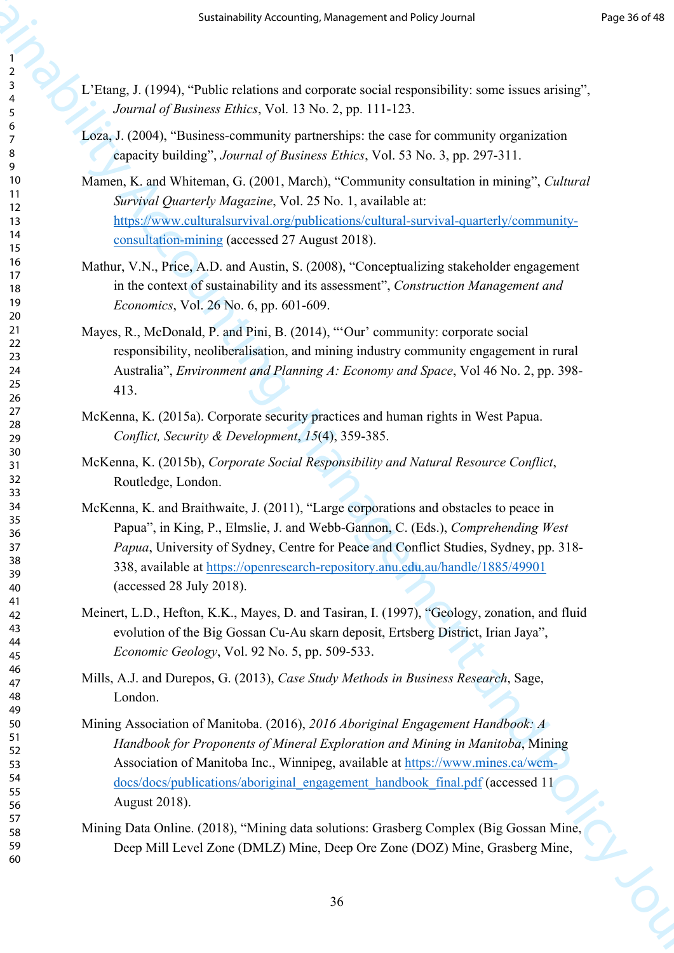- L'Etang, J. (1994), "Public relations and corporate social responsibility: some issues arising", *Journal of Business Ethics*, Vol. 13 No. 2, pp. 111-123.
- Loza, J. (2004), "Business-community partnerships: the case for community organization capacity building", *Journal of Business Ethics*, Vol. 53 No. 3, pp. 297-311.
- Mamen, K. and Whiteman, G. (2001, March), "Community consultation in mining", *Cultural Survival Quarterly Magazine*, Vol. 25 No. 1, available at: https://www.culturalsurvival.org/publications/cultural-survival-quarterly/communityconsultation-mining (accessed 27 August 2018).
- Mathur, V.N., Price, A.D. and Austin, S. (2008), "Conceptualizing stakeholder engagement in the context of sustainability and its assessment", *Construction Management and Economics*, Vol. 26 No. 6, pp. 601-609.
- Mayes, R., McDonald, P. and Pini, B. (2014), "'Our' community: corporate social responsibility, neoliberalisation, and mining industry community engagement in rural Australia", *Environment and Planning A: Economy and Space*, Vol 46 No. 2, pp. 398- 413.
- McKenna, K. (2015a). Corporate security practices and human rights in West Papua. *Conflict, Security & Development*, *15*(4), 359-385.
- McKenna, K. (2015b), *Corporate Social Responsibility and Natural Resource Conflict*, Routledge, London.
- Sustainability [Acco](https://www.culturalsurvival.org/publications/cultural-survival-quarterly/community-consultation-mining)unting, Manag[em](https://openresearch-repository.anu.edu.au/handle/1885/49901)ent and Heliophysics in the space of the space of the space of the space of the space of the space of the space of the space of the space of the space of the space of the space of the spa McKenna, K. and Braithwaite, J. (2011), "Large corporations and obstacles to peace in Papua", in King, P., Elmslie, J. and Webb-Gannon, C. (Eds.), *Comprehending West Papua*, University of Sydney, Centre for Peace and Conflict Studies, Sydney, pp. 318- 338, available at https://openresearch-repository.anu.edu.au/handle/1885/49901 (accessed 28 July 2018).
	- Meinert, L.D., Hefton, K.K., Mayes, D. and Tasiran, I. (1997), "Geology, zonation, and fluid evolution of the Big Gossan Cu-Au skarn deposit, Ertsberg District, Irian Jaya", *Economic Geology*, Vol. 92 No. 5, pp. 509-533.
	- Mills, A.J. and Durepos, G. (2013), *Case Study Methods in Business Research*, Sage, London.
	- Mining Association of Manitoba. (2016), *2016 Aboriginal Engagement Handbook: A Handbook for Proponents of Mineral Exploration and Mining in Manitoba*, Mining Association of Manitoba Inc., Winnipeg, available at https://www.mines.ca/wcmdocs/docs/publications/aboriginal\_engagement\_handbook\_final.pdf (accessed 11 August 2018).
	- Mining Data Online. (2018), "Mining data solutions: Grasberg Complex (Big Gossan Mine, Deep Mill Level Zone (DMLZ) Mine, Deep Ore Zone (DOZ) Mine, Grasberg Mine,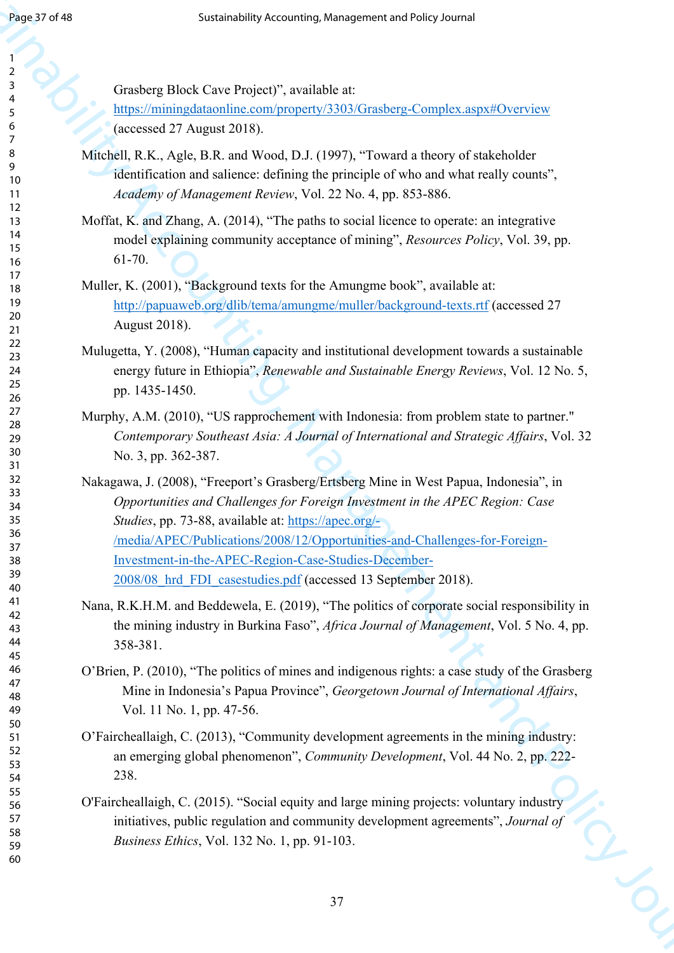Grasberg Block Cave Project)", available at:

https://miningdataonline.com/property/3303/Grasberg-Complex.aspx#Overview (accessed 27 August 2018).

- Mitchell, R.K., Agle, B.R. and Wood, D.J. (1997), "Toward a theory of stakeholder identification and salience: defining the principle of who and what really counts", *Academy of Management Review*, Vol. 22 No. 4, pp. 853-886.
- Moffat, K. and Zhang, A. (2014), "The paths to social licence to operate: an integrative model explaining community acceptance of mining", *Resources Policy*, Vol. 39, pp. 61-70.
- Muller, K. (2001), "Background texts for the Amungme book", available at: http://papuaweb.org/dlib/tema/amungme/muller/background-texts.rtf (accessed 27 August 2018).
- Mulugetta, Y. (2008), "Human capacity and institutional development towards a sustainable energy future in Ethiopia", *Renewable and Sustainable Energy Reviews*, Vol. 12 No. 5, pp. 1435-1450.
- Murphy, A.M. (2010), "US rapprochement with Indonesia: from problem state to partner." *Contemporary Southeast Asia: A Journal of International and Strategic Affairs*, Vol. 32 No. 3, pp. 362-387.
- Super 20 of Management Acco[un](http://papuaweb.org/dlib/tema/amungme/muller/background-texts.rtf)ting, Man[agem](https://apec.org/-/media/APEC/Publications/2008/12/Opportunities-and-Challenges-for-Foreign-Investment-in-the-APEC-Region-Case-Studies-December-2008/08_hrd_FDI_casestudies.pdf)ent and Policy Journal of Accounting<br>
Sustainability Accounting Theoretical Sustainability (counting and Continental Sustainability Continental Sustainability Accounting The Conti Nakagawa, J. (2008), "Freeport's Grasberg/Ertsberg Mine in West Papua, Indonesia", in *Opportunities and Challenges for Foreign Investment in the APEC Region: Case Studies*, pp. 73-88, available at: https://apec.org/- /media/APEC/Publications/2008/12/Opportunities-and-Challenges-for-Foreign-Investment-in-the-APEC-Region-Case-Studies-December-2008/08\_hrd\_FDI\_casestudies.pdf (accessed 13 September 2018).
	- Nana, R.K.H.M. and Beddewela, E. (2019), "The politics of corporate social responsibility in the mining industry in Burkina Faso", *Africa Journal of Management*, Vol. 5 No. 4, pp. 358-381.
	- O'Brien, P. (2010), "The politics of mines and indigenous rights: a case study of the Grasberg Mine in Indonesia's Papua Province", *Georgetown Journal of International Affairs*, Vol. 11 No. 1, pp. 47-56.
	- O'Faircheallaigh, C. (2013), "Community development agreements in the mining industry: an emerging global phenomenon", *Community Development*, Vol. 44 No. 2, pp. 222- 238.
	- O'Faircheallaigh, C. (2015). "Social equity and large mining projects: voluntary industry initiatives, public regulation and community development agreements", *Journal of Business Ethics*, Vol. 132 No. 1, pp. 91-103.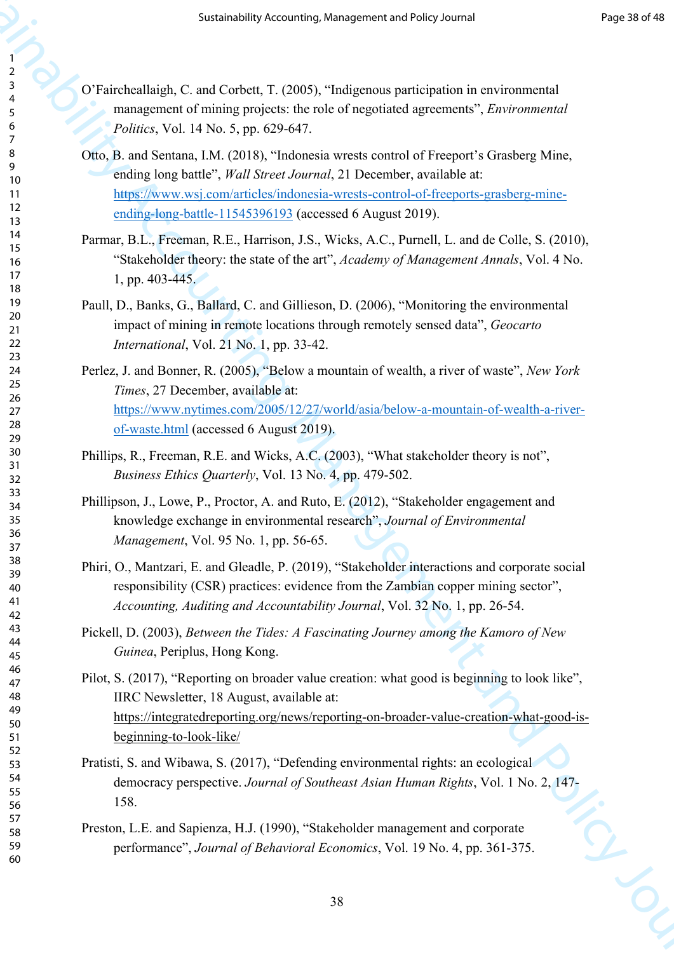- O'Faircheallaigh, C. and Corbett, T. (2005), "Indigenous participation in environmental management of mining projects: the role of negotiated agreements", *Environmental Politics*, Vol. 14 No. 5, pp. 629-647.
- Otto, B. and Sentana, I.M. (2018), "Indonesia wrests control of Freeport's Grasberg Mine, ending long battle", *Wall Street Journal*, 21 December, available at: https://www.wsj.com/articles/indonesia-wrests-control-of-freeports-grasberg-mineending-long-battle-11545396193 (accessed 6 August 2019).
- Parmar, B.L., Freeman, R.E., Harrison, J.S., Wicks, A.C., Purnell, L. and de Colle, S. (2010), "Stakeholder theory: the state of the art", *Academy of Management Annals*, Vol. 4 No. 1, pp. 403-445.
- Paull, D., Banks, G., Ballard, C. and Gillieson, D. (2006), "Monitoring the environmental impact of mining in remote locations through remotely sensed data", *Geocarto International*, Vol. 21 No. 1, pp. 33-42.
- Perlez, J. and Bonner, R. (2005), "Below a mountain of wealth, a river of waste", *New York Times*, 27 December, available at: https://www.nytimes.com/2005/12/27/world/asia/below-a-mountain-of-wealth-a-riverof-waste.html (accessed 6 August 2019).
- Phillips, R., Freeman, R.E. and Wicks, A.C. (2003), "What stakeholder theory is not", *Business Ethics Quarterly*, Vol. 13 No. 4, pp. 479-502.
- Phillipson, J., Lowe, P., Proctor, A. and Ruto, E. (2012), "Stakeholder engagement and knowledge exchange in environmental research", *Journal of Environmental Management*, Vol. 95 No. 1, pp. 56-65.
- Phiri, O., Mantzari, E. and Gleadle, P. (2019), "Stakeholder interactions and corporate social responsibility (CSR) practices: evidence from the Zambian copper mining sector", *Accounting, Auditing and Accountability Journal*, Vol. 32 No. 1, pp. 26-54.
- Pickell, D. (2003), *Between the Tides: A Fascinating Journey among the Kamoro of New Guinea*, Periplus, Hong Kong.
- Sustainabilit[y Ac](https://www.wsj.com/articles/indonesia-wrests-control-of-freeports-grasberg-mine-ending-long-battle-11545396193)countin[g, M](https://www.nytimes.com/2005/12/27/world/asia/below-a-mountain-of-wealth-a-river-of-waste.html)anagement a[nd](https://integratedreporting.org/news/reporting-on-broader-value-creation-what-good-is-beginning-to-look-like/) Policy Journal Prop. 2016<br>
2. The constrained C. and Corbest, T. (2005). The<br>Bandery C. and Corbest, T. (2005). The Equivariative constrained in the<br>former and the constrained and Pilot, S. (2017), "Reporting on broader value creation: what good is beginning to look like", IIRC Newsletter, 18 August, available at: https://integratedreporting.org/news/reporting-on-broader-value-creation-what-good-isbeginning-to-look-like/
	- Pratisti, S. and Wibawa, S. (2017), "Defending environmental rights: an ecological democracy perspective. *Journal of Southeast Asian Human Rights*, Vol. 1 No. 2, 147- 158.
	- Preston, L.E. and Sapienza, H.J. (1990), "Stakeholder management and corporate performance", *Journal of Behavioral Economics*, Vol. 19 No. 4, pp. 361-375.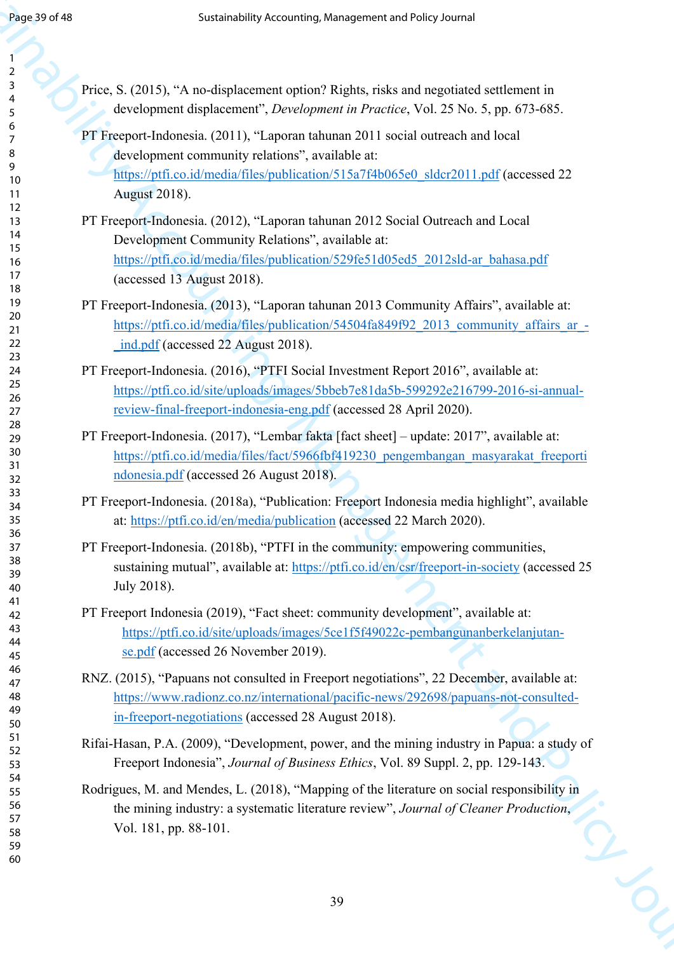| Page 39 of 48              | Sustainability Accounting, Management and Policy Journal                                                                                                                                                     |
|----------------------------|--------------------------------------------------------------------------------------------------------------------------------------------------------------------------------------------------------------|
|                            |                                                                                                                                                                                                              |
| 2<br>3                     | Price, S. (2015), "A no-displacement option? Rights, risks and negotiated settlement in                                                                                                                      |
| 4<br>5<br>6                | development displacement", <i>Development in Practice</i> , Vol. 25 No. 5, pp. 673-685.                                                                                                                      |
| 7                          | PT Freeport-Indonesia. (2011), "Laporan tahunan 2011 social outreach and local                                                                                                                               |
| 8<br>9                     | development community relations", available at:<br>https://ptfi.co.id/media/files/publication/515a7f4b065e0_sldcr2011.pdf (accessed 22                                                                       |
| 10<br>11                   | <b>August</b> 2018).                                                                                                                                                                                         |
| 12<br>13                   | PT Freeport-Indonesia. (2012), "Laporan tahunan 2012 Social Outreach and Local                                                                                                                               |
| 14<br>15                   | Development Community Relations", available at:                                                                                                                                                              |
| 16<br>17                   | https://ptfi.co.id/media/files/publication/529fe51d05ed5 2012sld-ar bahasa.pdf                                                                                                                               |
| 18                         | (accessed 13 August 2018).                                                                                                                                                                                   |
| 19<br>20                   | PT Freeport-Indonesia. (2013), "Laporan tahunan 2013 Community Affairs", available at:<br>https://ptfi.co.id/media/files/publication/54504fa849f92 2013 community affairs ar -                               |
| 21<br>22                   | ind.pdf (accessed 22 August 2018).                                                                                                                                                                           |
| 23<br>24                   | PT Freeport-Indonesia. (2016), "PTFI Social Investment Report 2016", available at:                                                                                                                           |
| 25<br>26                   | https://ptfi.co.id/site/uploads/images/5bbeb7e81da5b-599292e216799-2016-si-annual-                                                                                                                           |
| 27<br>28                   | review-final-freeport-indonesia-eng.pdf (accessed 28 April 2020).                                                                                                                                            |
| 29                         | PT Freeport-Indonesia. (2017), "Lembar fakta [fact sheet] – update: 2017", available at:                                                                                                                     |
| 30<br>31                   | https://ptfi.co.id/media/files/fact/5966fbf419230 pengembangan masyarakat freeporti<br>ndonesia.pdf (accessed 26 August 2018).                                                                               |
| 32<br>33                   |                                                                                                                                                                                                              |
| 34<br>35                   | PT Freeport-Indonesia. (2018a), "Publication: Freeport Indonesia media highlight", available<br>at: https://ptfi.co.id/en/media/publication (accessed 22 March 2020).                                        |
| 36<br>37                   | PT Freeport-Indonesia. (2018b), "PTFI in the community: empowering communities,                                                                                                                              |
| 38<br>39                   | sustaining mutual", available at: https://ptfi.co.id/en/csr/freeport-in-society (accessed 25                                                                                                                 |
| 40<br>41                   | July 2018).                                                                                                                                                                                                  |
| 42                         | PT Freeport Indonesia (2019), "Fact sheet: community development", available at:                                                                                                                             |
| 43<br>44                   | https://ptfi.co.id/site/uploads/images/5ce1f5f49022c-pembangunanberkelanjutan-<br>se.pdf (accessed 26 November 2019).                                                                                        |
| 45<br>46                   | RNZ. (2015), "Papuans not consulted in Freeport negotiations", 22 December, available at:                                                                                                                    |
| 47<br>48                   | https://www.radionz.co.nz/international/pacific-news/292698/papuans-not-consulted-                                                                                                                           |
| 49<br>50                   | in-freeport-negotiations (accessed 28 August 2018).                                                                                                                                                          |
| 51<br>52<br>53             | Rifai-Hasan, P.A. (2009), "Development, power, and the mining industry in Papua: a study of<br>Freeport Indonesia", Journal of Business Ethics, Vol. 89 Suppl. 2, pp. 129-143.                               |
| 54<br>55<br>56<br>57<br>58 | Rodrigues, M. and Mendes, L. (2018), "Mapping of the literature on social responsibility in<br>the mining industry: a systematic literature review", Journal of Cleaner Production,<br>Vol. 181, pp. 88-101. |
| 59<br>60                   |                                                                                                                                                                                                              |
|                            |                                                                                                                                                                                                              |
|                            | 39                                                                                                                                                                                                           |
|                            |                                                                                                                                                                                                              |
|                            |                                                                                                                                                                                                              |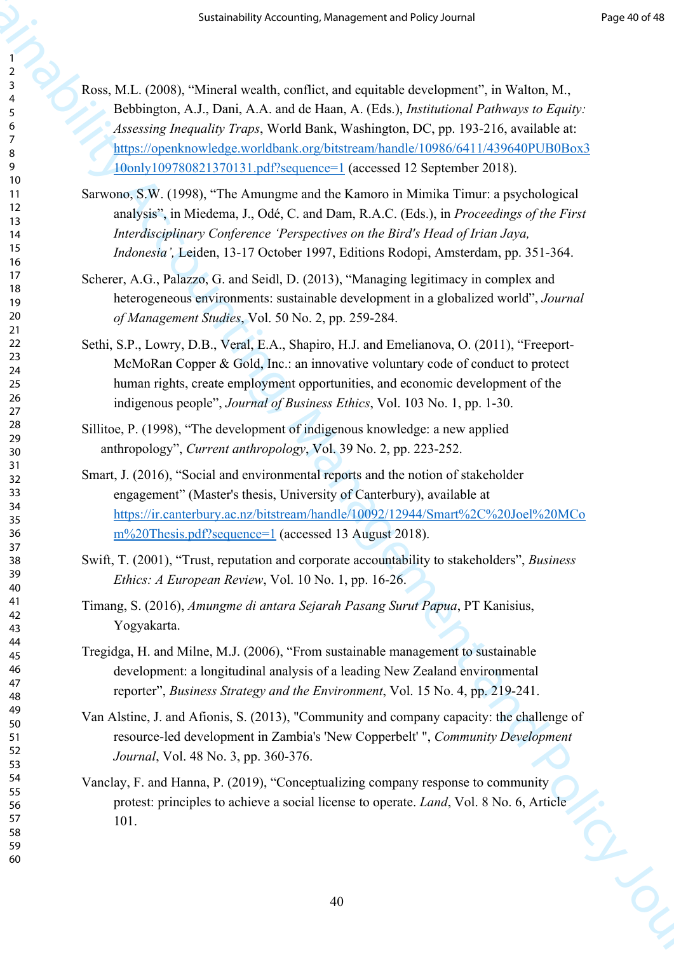- Sustainabili[ty](https://openknowledge.worldbank.org/bitstream/handle/10986/6411/439640PUB0Box310only109780821370131.pdf?sequence=1) [A](https://openknowledge.worldbank.org/bitstream/handle/10986/6411/439640PUB0Box310only109780821370131.pdf?sequence=1)ccounting, Man[ag](https://ir.canterbury.ac.nz/bitstream/handle/10092/12944/Smart%2C%20Joel%20MCom%20Thesis.pdf?sequence=1)ement and Policy Corollary (1997)<br>
Subdiment A.1, Usua, A.A. and 6: Hata, A. (2ds.), Association C Folivers is April.<br>
Subdiment A.1, Usua, A.A. and 6: Hata, A. (2ds.), Association C Folive Ross, M.L. (2008), "Mineral wealth, conflict, and equitable development", in Walton, M., Bebbington, A.J., Dani, A.A. and de Haan, A. (Eds.), *Institutional Pathways to Equity: Assessing Inequality Traps*, World Bank, Washington, DC, pp. 193-216, available at: https://openknowledge.worldbank.org/bitstream/handle/10986/6411/439640PUB0Box3 10only109780821370131.pdf?sequence=1 (accessed 12 September 2018).
	- Sarwono, S.W. (1998), "The Amungme and the Kamoro in Mimika Timur: a psychological analysis", in Miedema, J., Odé, C. and Dam, R.A.C. (Eds.), in *Proceedings of the First Interdisciplinary Conference 'Perspectives on the Bird's Head of Irian Jaya, Indonesia',* Leiden, 13-17 October 1997, Editions Rodopi, Amsterdam, pp. 351-364.
	- Scherer, A.G., Palazzo, G. and Seidl, D. (2013), "Managing legitimacy in complex and heterogeneous environments: sustainable development in a globalized world", *Journal of Management Studies*, Vol. 50 No. 2, pp. 259-284.
	- Sethi, S.P., Lowry, D.B., Veral, E.A., Shapiro, H.J. and Emelianova, O. (2011), "Freeport-McMoRan Copper & Gold, Inc.: an innovative voluntary code of conduct to protect human rights, create employment opportunities, and economic development of the indigenous people", *Journal of Business Ethics*, Vol. 103 No. 1, pp. 1-30.
	- Sillitoe, P. (1998), "The development of indigenous knowledge: a new applied anthropology", *Current anthropology*, Vol. 39 No. 2, pp. 223-252.
	- Smart, J. (2016), "Social and environmental reports and the notion of stakeholder engagement" (Master's thesis, University of Canterbury), available at https://ir.canterbury.ac.nz/bitstream/handle/10092/12944/Smart%2C%20Joel%20MCo m%20Thesis.pdf?sequence=1 (accessed 13 August 2018).
	- Swift, T. (2001), "Trust, reputation and corporate accountability to stakeholders", *Business Ethics: A European Review*, Vol. 10 No. 1, pp. 16-26.
	- Timang, S. (2016), *Amungme di antara Sejarah Pasang Surut Papua*, PT Kanisius, Yogyakarta.
	- Tregidga, H. and Milne, M.J. (2006), "From sustainable management to sustainable development: a longitudinal analysis of a leading New Zealand environmental reporter", *Business Strategy and the Environment*, Vol. 15 No. 4, pp. 219-241.
	- Van Alstine, J. and Afionis, S. (2013), "Community and company capacity: the challenge of resource-led development in Zambia's 'New Copperbelt' ", *Community Development Journal*, Vol. 48 No. 3, pp. 360-376.
	- Vanclay, F. and Hanna, P. (2019), "Conceptualizing company response to community protest: principles to achieve a social license to operate. *Land*, Vol. 8 No. 6, Article 101.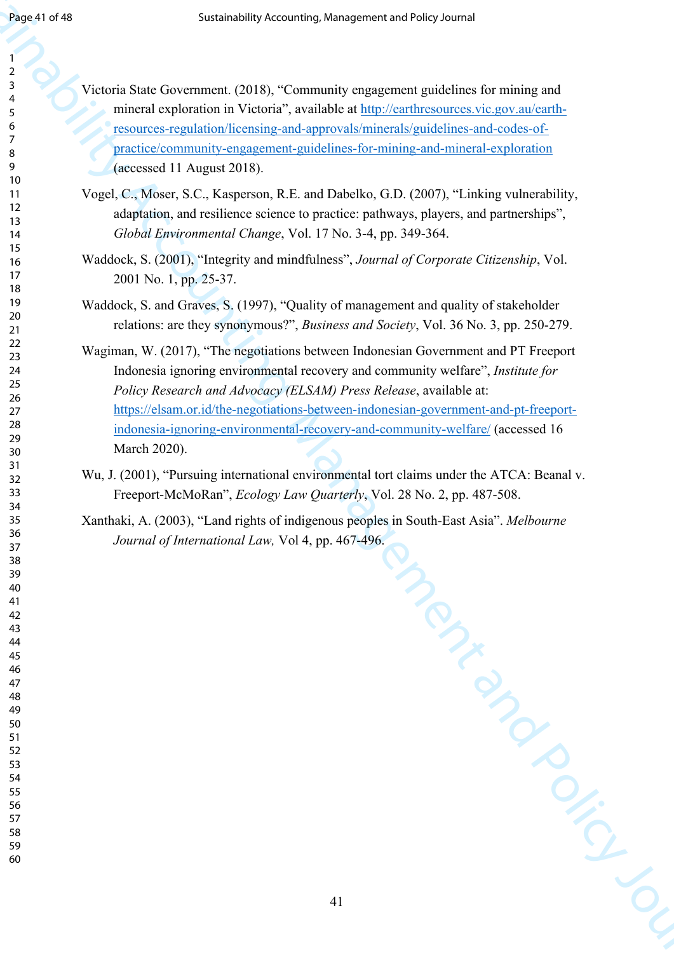> 

Victoria State Government. (2018), "Community engagement guidelines for mining and mineral exploration in Victoria", available at http://earthresources.vic.gov.au/earthresources-regulation/licensing-and-approvals/minerals/guidelines-and-codes-ofpractice/community-engagement-guidelines-for-mining-and-mineral-exploration (accessed 11 August 2018).

- Vogel, C., Moser, S.C., Kasperson, R.E. and Dabelko, G.D. (2007), "Linking vulnerability, adaptation, and resilience science to practice: pathways, players, and partnerships", *Global Environmental Change*, Vol. 17 No. 3-4, pp. 349-364.
- Waddock, S. (2001), "Integrity and mindfulness", *Journal of Corporate Citizenship*, Vol. 2001 No. 1, pp. 25-37.
- Waddock, S. and Graves, S. (1997), "Quality of management and quality of stakeholder relations: are they synonymous?", *Business and Society*, Vol. 36 No. 3, pp. 250-279.
- Sustained and the stationary control of the stationary control of the stationary control of the stationary control of the stationary control of the stationary control of the stationary control of the stationary control of Wagiman, W. (2017), "The negotiations between Indonesian Government and PT Freeport Indonesia ignoring environmental recovery and community welfare", *Institute for Policy Research and Advocacy (ELSAM) Press Release*, available at: https://elsam.or.id/the-negotiations-between-indonesian-government-and-pt-freeportindonesia-ignoring-environmental-recovery-and-community-welfare/ (accessed 16 March 2020).
	- Wu, J. (2001), "Pursuing international environmental tort claims under the ATCA: Beanal v. Freeport-McMoRan", *Ecology Law Quarterly*, Vol. 28 No. 2, pp. 487-508.
	- Xanthaki, A. (2003), "Land rights of indigenous peoples in South-East Asia". *Melbourne Journal of International Law,* Vol 4, pp. 467-496.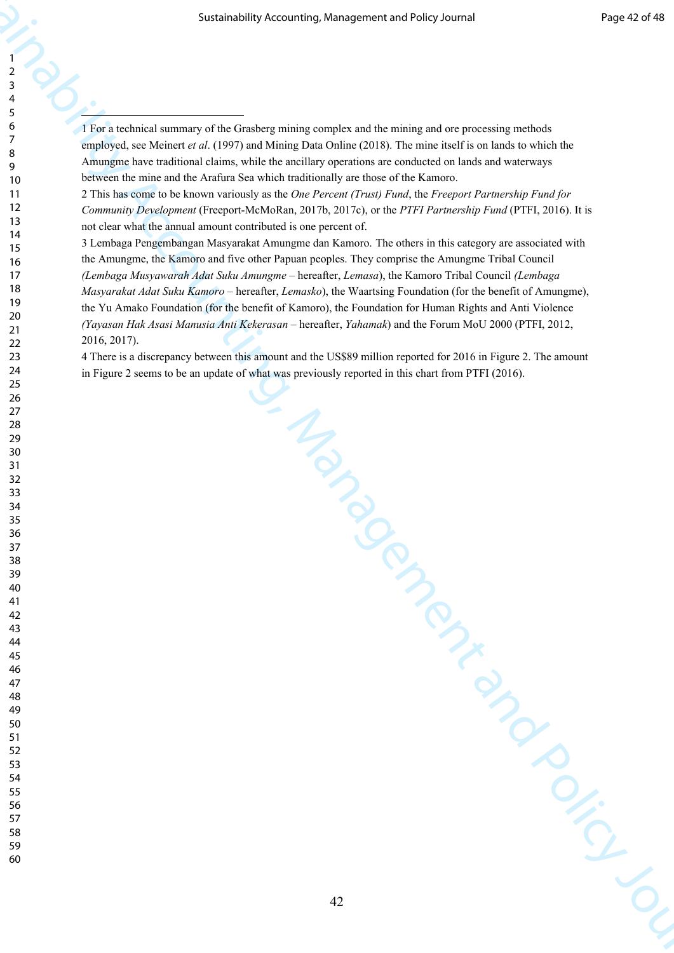1 For a technical summary of the Grasberg mining complex and the mining and ore processing methods employed, see Meinert *et al*. (1997) and Mining Data Online (2018). The mine itself is on lands to which the Amungme have traditional claims, while the ancillary operations are conducted on lands and waterways between the mine and the Arafura Sea which traditionally are those of the Kamoro.

2 This has come to be known variously as the *One Percent (Trust) Fund*, the *Freeport Partnership Fund for Community Development* (Freeport-McMoRan, 2017b, 2017c), or the *PTFI Partnership Fund* (PTFI, 2016). It is not clear what the annual amount contributed is one percent of.

Sustainability Accounting, Management and Policy Journal in Policy Journal in the Control of the Control of the Control of the Control of the Control of the Control of the Control of the Control of the Control of the Cont 3 Lembaga Pengembangan Masyarakat Amungme dan Kamoro. The others in this category are associated with the Amungme, the Kamoro and five other Papuan peoples. They comprise the Amungme Tribal Council *(Lembaga Musyawarah Adat Suku Amungme* – hereafter, *Lemasa*), the Kamoro Tribal Council *(Lembaga Masyarakat Adat Suku Kamoro* – hereafter, *Lemasko*), the Waartsing Foundation (for the benefit of Amungme), the Yu Amako Foundation (for the benefit of Kamoro), the Foundation for Human Rights and Anti Violence *(Yayasan Hak Asasi Manusia Anti Kekerasan* – hereafter, *Yahamak*) and the Forum MoU 2000 (PTFI, 2012, 2016, 2017).

4 There is a discrepancy between this amount and the US\$89 million reported for 2016 in Figure 2. The amount in Figure 2 seems to be an update of what was previously reported in this chart from PTFI (2016).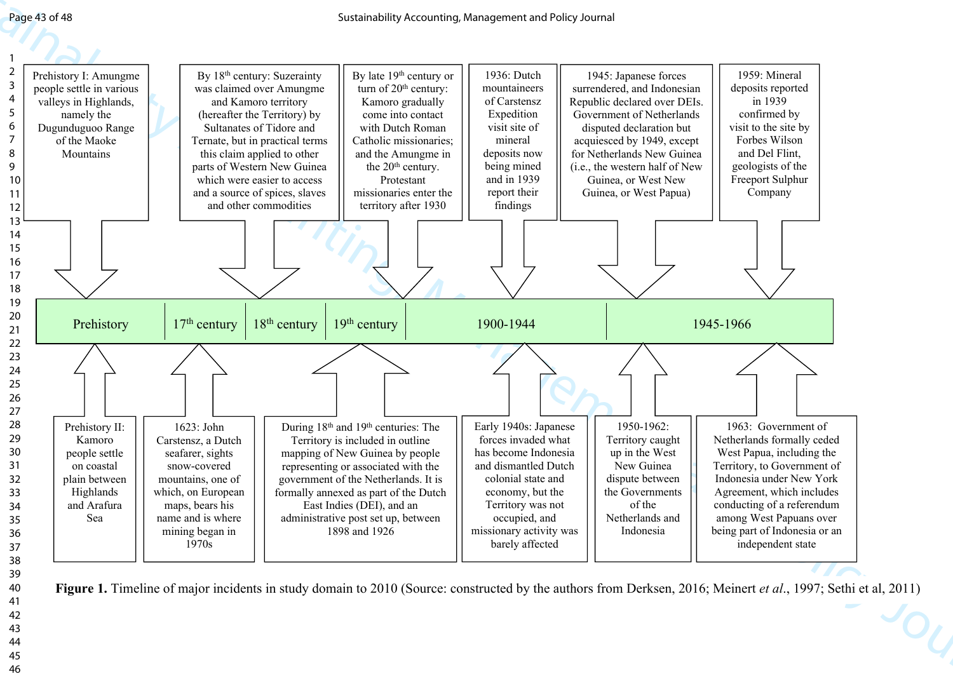

Figure 1. Timeline of major incidents in study domain to 2010 (Source: constructed by the authors from Derksen, 2016; Meinert *et al.*, 1997; Sethi et al, 2011)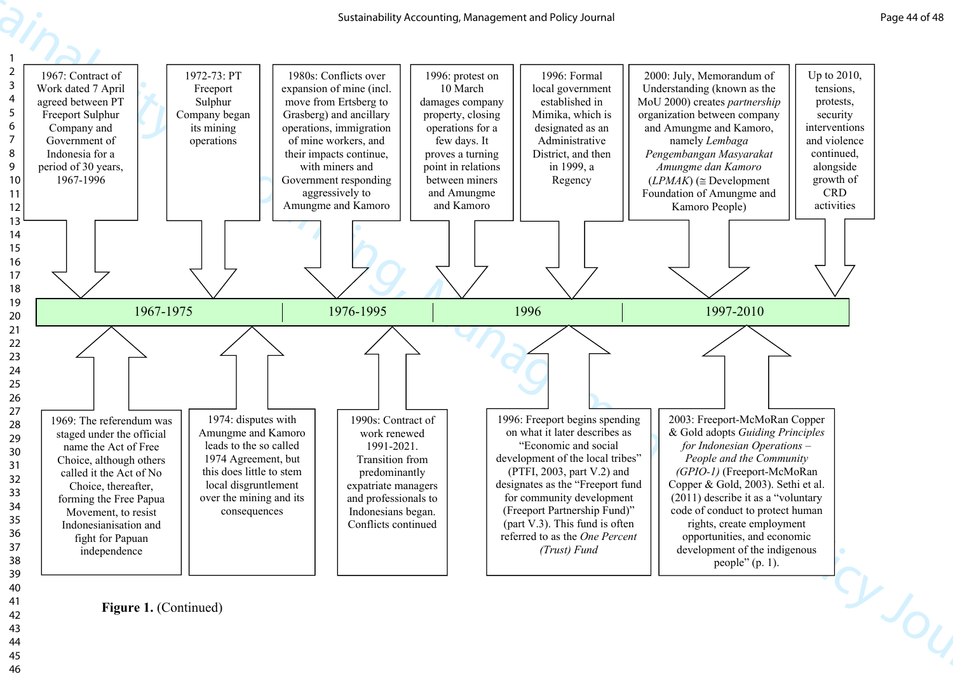

Figure 1. (Continued)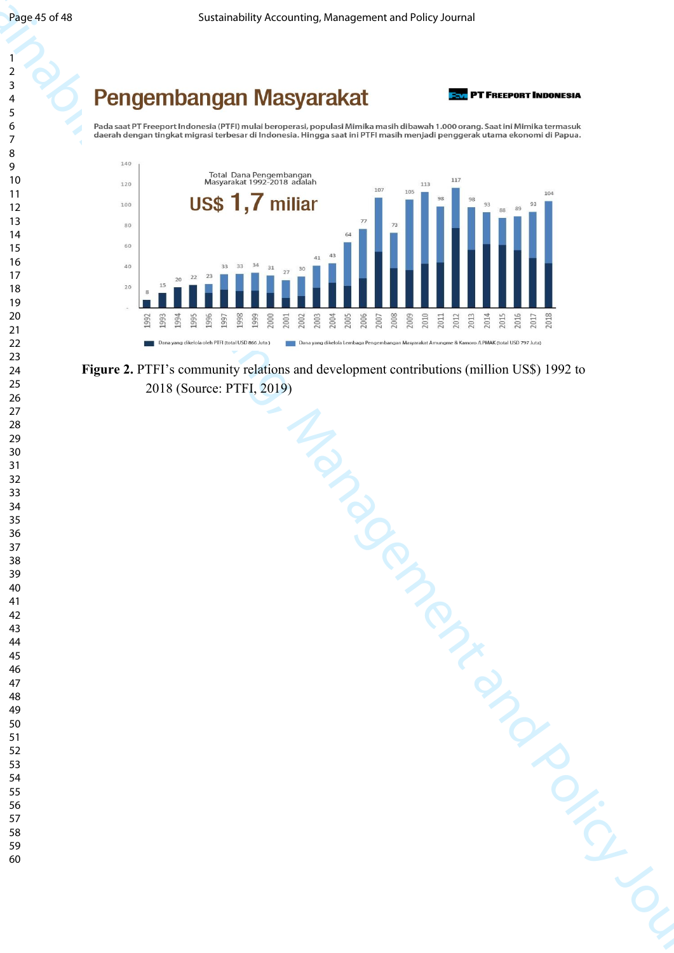



**Figure 2.** PTFI's community relations and development contributions (million US\$) 1992 to 2018 (Source: PTFI, 2019)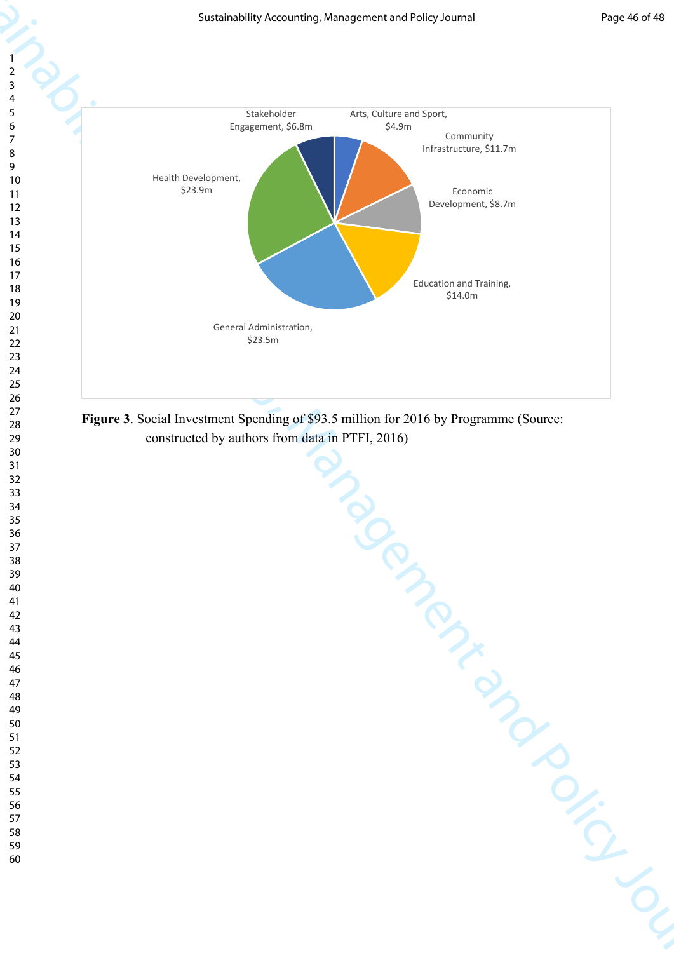

**Figure 3**. Social Investment Spending of \$93.5 million for 2016 by Programme (Source: constructed by authors from data in PTFI, 2016)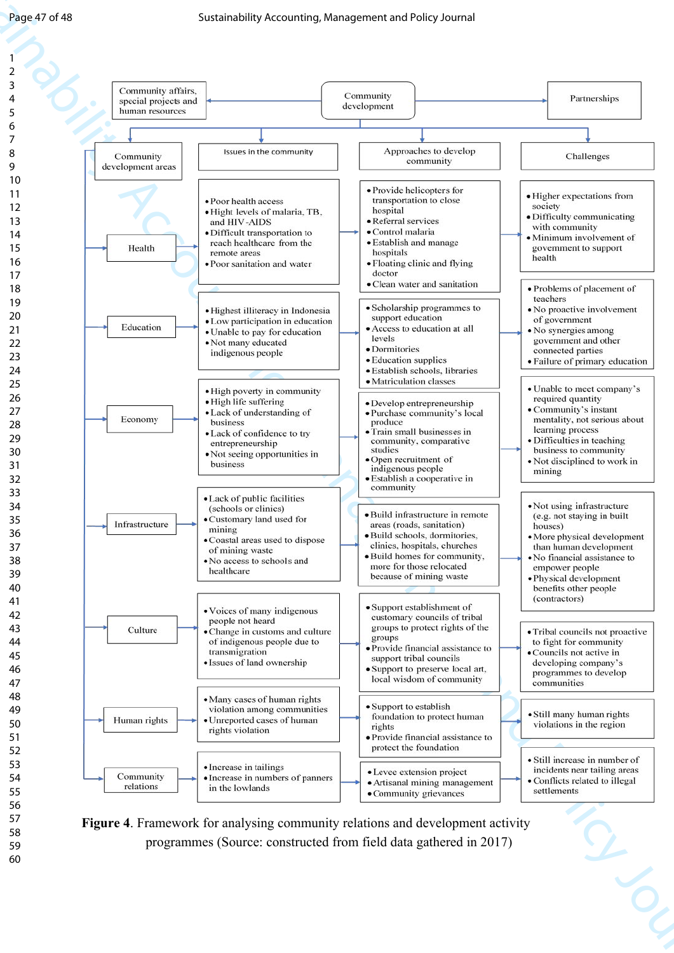

**Figure 4**. Framework for analysing community relations and development activity programmes (Source: constructed from field data gathered in 2017)